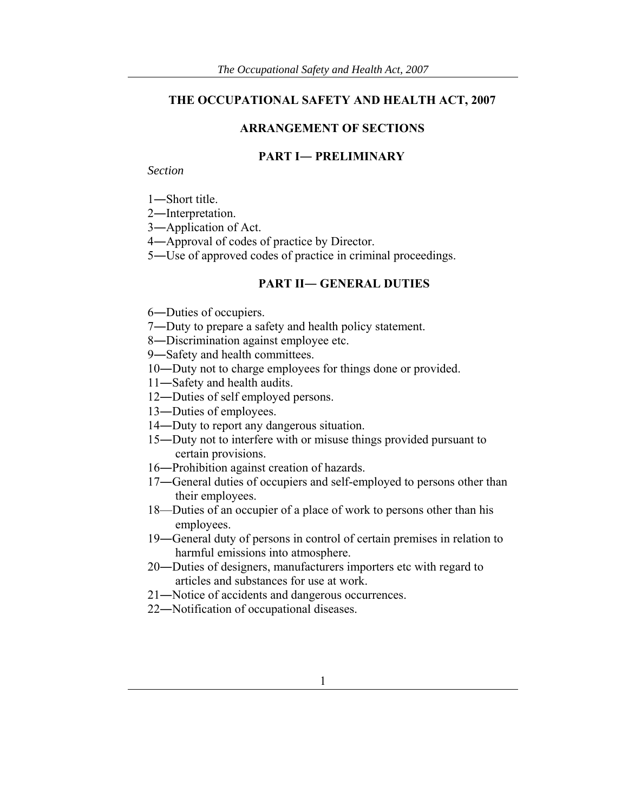## **THE OCCUPATIONAL SAFETY AND HEALTH ACT, 2007**

#### **ARRANGEMENT OF SECTIONS**

#### **PART I― PRELIMINARY**

*Section* 

―Short title.

―Interpretation.

―Application of Act.

―Approval of codes of practice by Director.

―Use of approved codes of practice in criminal proceedings.

### **PART II― GENERAL DUTIES**

―Duties of occupiers.

―Duty to prepare a safety and health policy statement.

―Discrimination against employee etc.

―Safety and health committees.

- ―Duty not to charge employees for things done or provided.
- ―Safety and health audits.
- ―Duties of self employed persons.
- ―Duties of employees.
- ―Duty to report any dangerous situation.
- ―Duty not to interfere with or misuse things provided pursuant to certain provisions.
- ―Prohibition against creation of hazards.
- ―General duties of occupiers and self-employed to persons other than their employees.
- 18—Duties of an occupier of a place of work to persons other than his employees.
- ―General duty of persons in control of certain premises in relation to harmful emissions into atmosphere.
- ―Duties of designers, manufacturers importers etc with regard to articles and substances for use at work.
- ―Notice of accidents and dangerous occurrences.
- ―Notification of occupational diseases.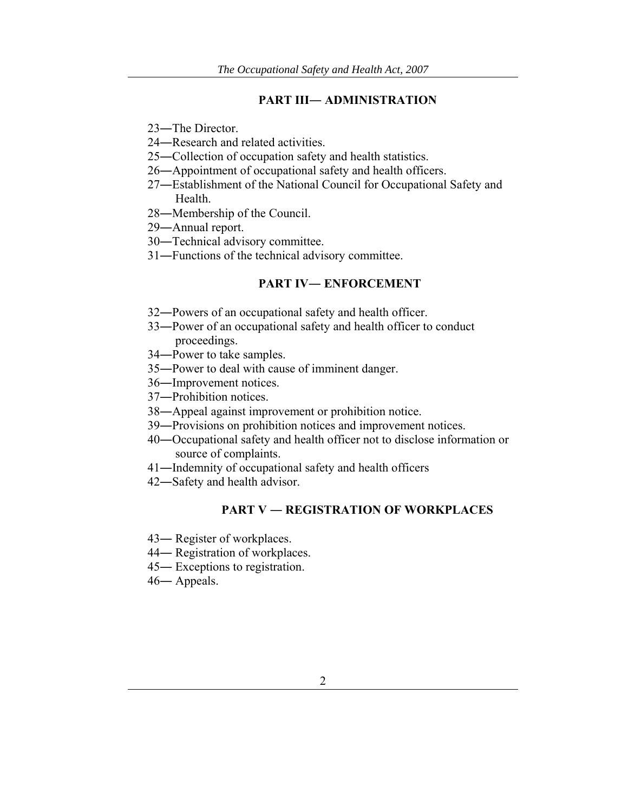#### **PART III― ADMINISTRATION**

- ―The Director.
- ―Research and related activities.
- ―Collection of occupation safety and health statistics.
- ―Appointment of occupational safety and health officers.
- ―Establishment of the National Council for Occupational Safety and Health.
- ―Membership of the Council.
- ―Annual report.
- ―Technical advisory committee.
- ―Functions of the technical advisory committee.

# **PART IV― ENFORCEMENT**

- ―Powers of an occupational safety and health officer.
- ―Power of an occupational safety and health officer to conduct proceedings.
- ―Power to take samples.
- ―Power to deal with cause of imminent danger.
- ―Improvement notices.
- ―Prohibition notices.
- ―Appeal against improvement or prohibition notice.
- ―Provisions on prohibition notices and improvement notices.
- ―Occupational safety and health officer not to disclose information or source of complaints.
- ―Indemnity of occupational safety and health officers
- ―Safety and health advisor.

## **PART V ― REGISTRATION OF WORKPLACES**

- ― Register of workplaces.
- ― Registration of workplaces.
- ― Exceptions to registration.
- ― Appeals.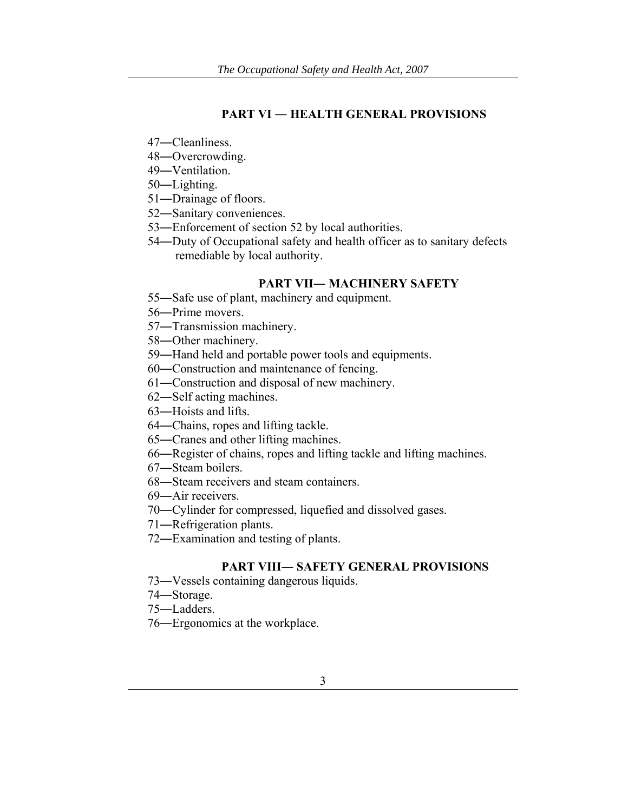## **PART VI ― HEALTH GENERAL PROVISIONS**

- ―Cleanliness.
- ―Overcrowding.
- ―Ventilation.
- ―Lighting.
- ―Drainage of floors.
- ―Sanitary conveniences.
- ―Enforcement of section 52 by local authorities.
- ―Duty of Occupational safety and health officer as to sanitary defects remediable by local authority.

# **PART VII― MACHINERY SAFETY**

- ―Safe use of plant, machinery and equipment.
- ―Prime movers.
- ―Transmission machinery.
- ―Other machinery.
- ―Hand held and portable power tools and equipments.
- ―Construction and maintenance of fencing.
- ―Construction and disposal of new machinery.
- ―Self acting machines.
- ―Hoists and lifts.
- ―Chains, ropes and lifting tackle.
- ―Cranes and other lifting machines.
- ―Register of chains, ropes and lifting tackle and lifting machines.
- ―Steam boilers.
- ―Steam receivers and steam containers.
- ―Air receivers.
- ―Cylinder for compressed, liquefied and dissolved gases.
- ―Refrigeration plants.
- ―Examination and testing of plants.

## **PART VIII― SAFETY GENERAL PROVISIONS**

- 73―Vessels containing dangerous liquids.
- ―Storage.
- ―Ladders.
- ―Ergonomics at the workplace.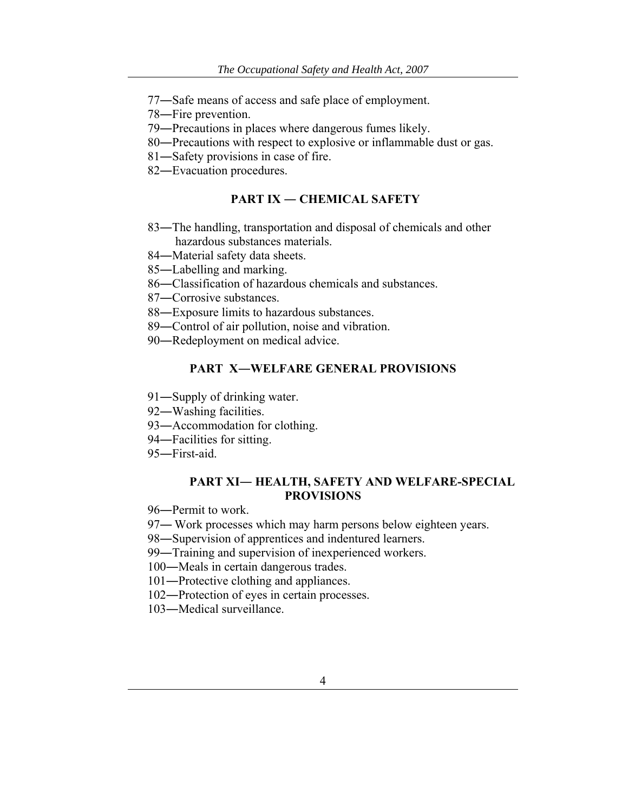- ―Safe means of access and safe place of employment.
- ―Fire prevention.
- ―Precautions in places where dangerous fumes likely.
- ―Precautions with respect to explosive or inflammable dust or gas.
- ―Safety provisions in case of fire.
- ―Evacuation procedures.

### **PART IX ― CHEMICAL SAFETY**

- ―The handling, transportation and disposal of chemicals and other hazardous substances materials.
- ―Material safety data sheets.
- ―Labelling and marking.
- ―Classification of hazardous chemicals and substances.
- ―Corrosive substances.
- ―Exposure limits to hazardous substances.
- ―Control of air pollution, noise and vibration.
- ―Redeployment on medical advice.

## **PART X―WELFARE GENERAL PROVISIONS**

- ―Supply of drinking water.
- ―Washing facilities.
- ―Accommodation for clothing.
- ―Facilities for sitting.
- ―First-aid.

#### **PART XI― HEALTH, SAFETY AND WELFARE-SPECIAL PROVISIONS**

- ―Permit to work.
- 97— Work processes which may harm persons below eighteen years.
- ―Supervision of apprentices and indentured learners.
- ―Training and supervision of inexperienced workers.
- ―Meals in certain dangerous trades.
- ―Protective clothing and appliances.
- ―Protection of eyes in certain processes.
- ―Medical surveillance.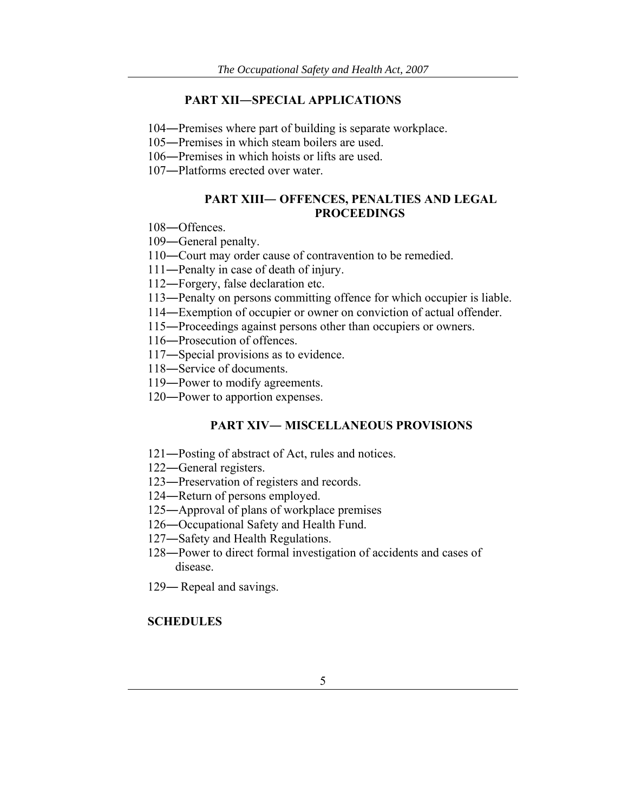#### **PART XII―SPECIAL APPLICATIONS**

―Premises where part of building is separate workplace.

―Premises in which steam boilers are used.

―Premises in which hoists or lifts are used.

―Platforms erected over water.

### **PART XIII― OFFENCES, PENALTIES AND LEGAL PROCEEDINGS**

―Offences.

―General penalty.

―Court may order cause of contravention to be remedied.

―Penalty in case of death of injury.

―Forgery, false declaration etc.

―Penalty on persons committing offence for which occupier is liable.

―Exemption of occupier or owner on conviction of actual offender.

―Proceedings against persons other than occupiers or owners.

―Prosecution of offences.

―Special provisions as to evidence.

―Service of documents.

―Power to modify agreements.

―Power to apportion expenses.

#### **PART XIV― MISCELLANEOUS PROVISIONS**

―Posting of abstract of Act, rules and notices.

―General registers.

―Preservation of registers and records.

―Return of persons employed.

―Approval of plans of workplace premises

―Occupational Safety and Health Fund.

―Safety and Health Regulations.

―Power to direct formal investigation of accidents and cases of disease.

― Repeal and savings.

## **SCHEDULES**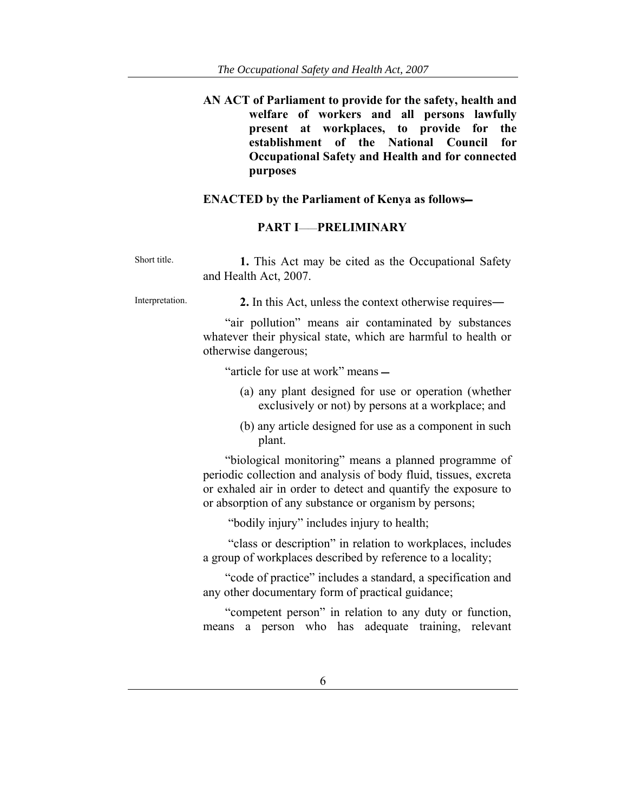**AN ACT of Parliament to provide for the safety, health and welfare of workers and all persons lawfully present at workplaces, to provide for the establishment of the National Council for Occupational Safety and Health and for connected purposes** 

## **ENACTED by the Parliament of Kenya as follows**

# **PART I**——**PRELIMINARY**

| Short title.    | 1. This Act may be cited as the Occupational Safety<br>and Health Act, 2007.                                                                                                                                                                         |
|-----------------|------------------------------------------------------------------------------------------------------------------------------------------------------------------------------------------------------------------------------------------------------|
| Interpretation. | 2. In this Act, unless the context otherwise requires—                                                                                                                                                                                               |
|                 | "air pollution" means air contaminated by substances<br>whatever their physical state, which are harmful to health or<br>otherwise dangerous;                                                                                                        |
|                 | "article for use at work" means —                                                                                                                                                                                                                    |
|                 | (a) any plant designed for use or operation (whether<br>exclusively or not) by persons at a workplace; and                                                                                                                                           |
|                 | (b) any article designed for use as a component in such<br>plant.                                                                                                                                                                                    |
|                 | "biological monitoring" means a planned programme of<br>periodic collection and analysis of body fluid, tissues, excreta<br>or exhaled air in order to detect and quantify the exposure to<br>or absorption of any substance or organism by persons; |
|                 | "bodily injury" includes injury to health;                                                                                                                                                                                                           |
|                 |                                                                                                                                                                                                                                                      |

 "class or description" in relation to workplaces, includes a group of workplaces described by reference to a locality;

"code of practice" includes a standard, a specification and any other documentary form of practical guidance;

"competent person" in relation to any duty or function, means a person who has adequate training, relevant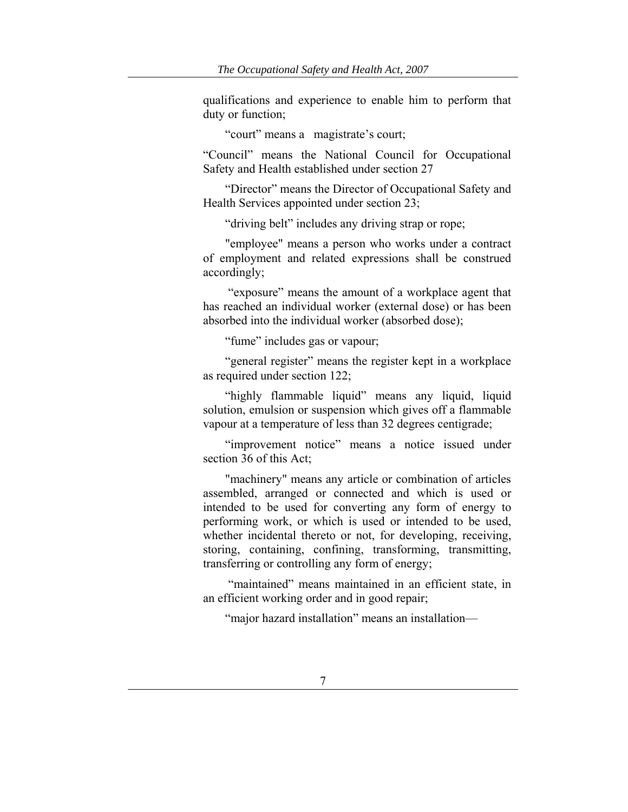qualifications and experience to enable him to perform that duty or function;

"court" means a magistrate's court;

"Council" means the National Council for Occupational Safety and Health established under section 27

"Director" means the Director of Occupational Safety and Health Services appointed under section 23;

"driving belt" includes any driving strap or rope;

"employee" means a person who works under a contract of employment and related expressions shall be construed accordingly;

 "exposure" means the amount of a workplace agent that has reached an individual worker (external dose) or has been absorbed into the individual worker (absorbed dose);

"fume" includes gas or vapour;

"general register" means the register kept in a workplace as required under section 122;

"highly flammable liquid" means any liquid, liquid solution, emulsion or suspension which gives off a flammable vapour at a temperature of less than 32 degrees centigrade;

"improvement notice" means a notice issued under section 36 of this Act;

"machinery" means any article or combination of articles assembled, arranged or connected and which is used or intended to be used for converting any form of energy to performing work, or which is used or intended to be used, whether incidental thereto or not, for developing, receiving, storing, containing, confining, transforming, transmitting, transferring or controlling any form of energy;

 "maintained" means maintained in an efficient state, in an efficient working order and in good repair;

"major hazard installation" means an installation—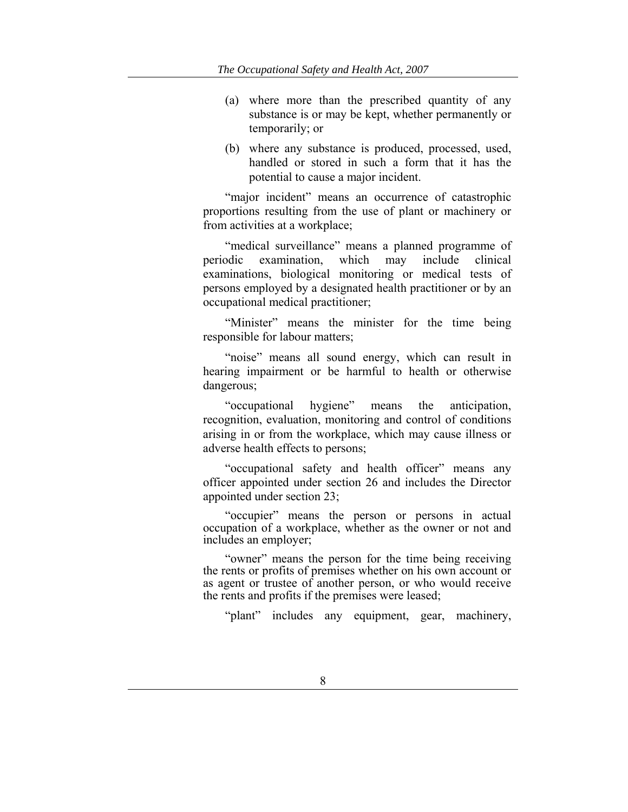- (a) where more than the prescribed quantity of any substance is or may be kept, whether permanently or temporarily; or
- (b) where any substance is produced, processed, used, handled or stored in such a form that it has the potential to cause a major incident.

"major incident" means an occurrence of catastrophic proportions resulting from the use of plant or machinery or from activities at a workplace;

"medical surveillance" means a planned programme of periodic examination, which may include clinical examinations, biological monitoring or medical tests of persons employed by a designated health practitioner or by an occupational medical practitioner;

"Minister" means the minister for the time being responsible for labour matters;

"noise" means all sound energy, which can result in hearing impairment or be harmful to health or otherwise dangerous;

"occupational hygiene" means the anticipation, recognition, evaluation, monitoring and control of conditions arising in or from the workplace, which may cause illness or adverse health effects to persons;

"occupational safety and health officer" means any officer appointed under section 26 and includes the Director appointed under section 23;

"occupier" means the person or persons in actual occupation of a workplace, whether as the owner or not and includes an employer;

"owner" means the person for the time being receiving the rents or profits of premises whether on his own account or as agent or trustee of another person, or who would receive the rents and profits if the premises were leased;

"plant" includes any equipment, gear, machinery,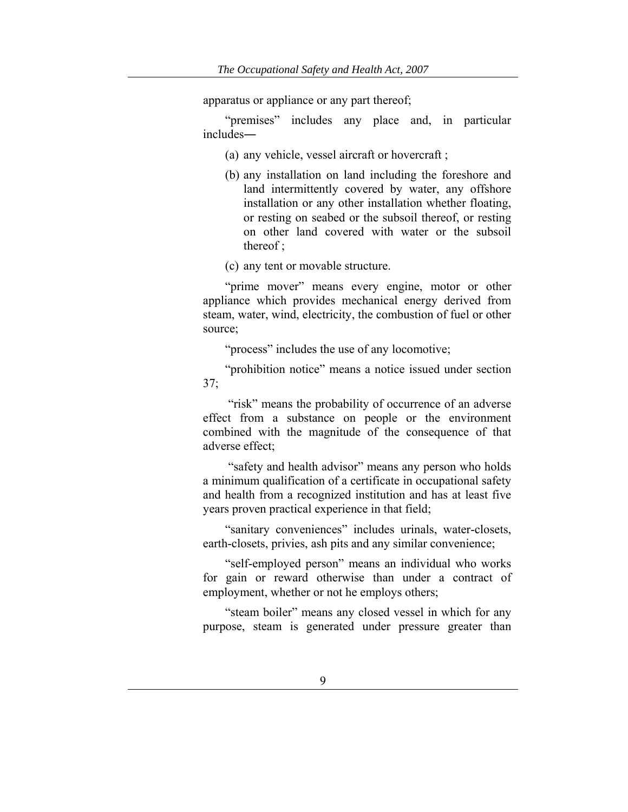apparatus or appliance or any part thereof;

"premises" includes any place and, in particular includes―

- (a) any vehicle, vessel aircraft or hovercraft ;
- (b) any installation on land including the foreshore and land intermittently covered by water, any offshore installation or any other installation whether floating, or resting on seabed or the subsoil thereof, or resting on other land covered with water or the subsoil thereof ;
- (c) any tent or movable structure.

"prime mover" means every engine, motor or other appliance which provides mechanical energy derived from steam, water, wind, electricity, the combustion of fuel or other source;

"process" includes the use of any locomotive;

"prohibition notice" means a notice issued under section 37;

"risk" means the probability of occurrence of an adverse effect from a substance on people or the environment combined with the magnitude of the consequence of that adverse effect;

 "safety and health advisor" means any person who holds a minimum qualification of a certificate in occupational safety and health from a recognized institution and has at least five years proven practical experience in that field;

"sanitary conveniences" includes urinals, water-closets, earth-closets, privies, ash pits and any similar convenience;

"self-employed person" means an individual who works for gain or reward otherwise than under a contract of employment, whether or not he employs others;

"steam boiler" means any closed vessel in which for any purpose, steam is generated under pressure greater than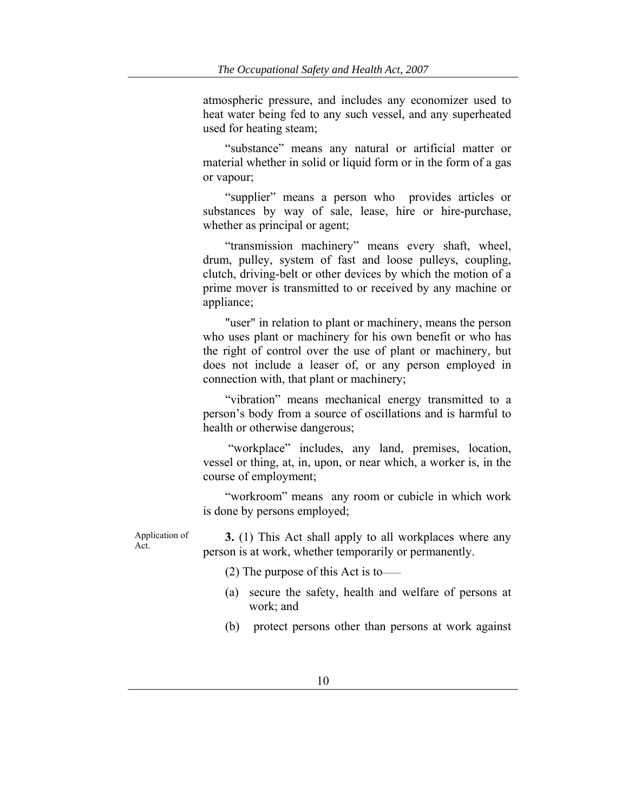atmospheric pressure, and includes any economizer used to heat water being fed to any such vessel, and any superheated used for heating steam;

"substance" means any natural or artificial matter or material whether in solid or liquid form or in the form of a gas or vapour;

"supplier" means a person who provides articles or substances by way of sale, lease, hire or hire-purchase, whether as principal or agent;

"transmission machinery" means every shaft, wheel, drum, pulley, system of fast and loose pulleys, coupling, clutch, driving-belt or other devices by which the motion of a prime mover is transmitted to or received by any machine or appliance;

"user" in relation to plant or machinery, means the person who uses plant or machinery for his own benefit or who has the right of control over the use of plant or machinery, but does not include a leaser of, or any person employed in connection with, that plant or machinery;

"vibration" means mechanical energy transmitted to a person's body from a source of oscillations and is harmful to health or otherwise dangerous;

 "workplace" includes, any land, premises, location, vessel or thing, at, in, upon, or near which, a worker is, in the course of employment;

"workroom" means any room or cubicle in which work is done by persons employed;

Application of Act.

**3.** (1) This Act shall apply to all workplaces where any person is at work, whether temporarily or permanently.

- (2) The purpose of this Act is to——
- (a) secure the safety, health and welfare of persons at work; and
- (b) protect persons other than persons at work against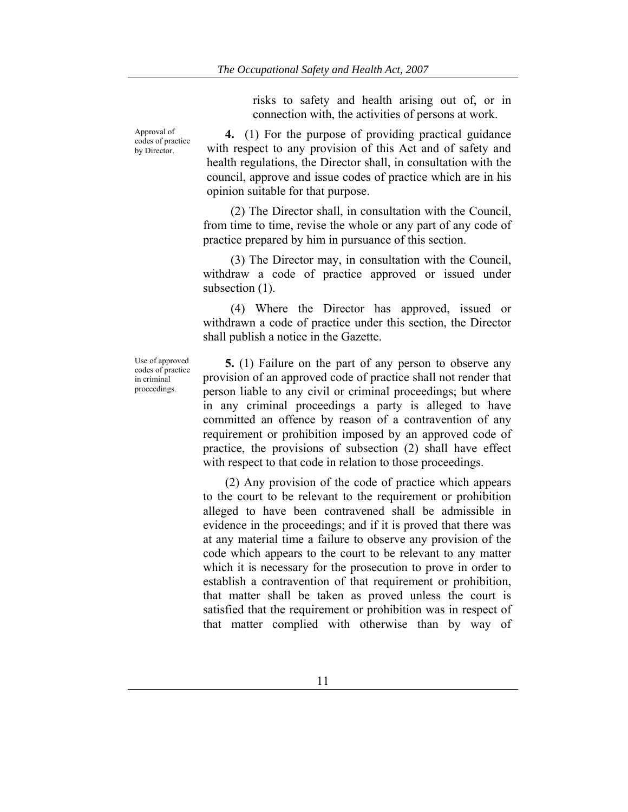risks to safety and health arising out of, or in connection with, the activities of persons at work.

**4.** (1) For the purpose of providing practical guidance with respect to any provision of this Act and of safety and health regulations, the Director shall, in consultation with the council, approve and issue codes of practice which are in his opinion suitable for that purpose.

(2) The Director shall, in consultation with the Council, from time to time, revise the whole or any part of any code of practice prepared by him in pursuance of this section.

(3) The Director may, in consultation with the Council, withdraw a code of practice approved or issued under subsection  $(1)$ .

(4) Where the Director has approved, issued or withdrawn a code of practice under this section, the Director shall publish a notice in the Gazette.

Use of approved codes of practice in criminal proceedings.

Approval of codes of practice by Director.

> **5.** (1) Failure on the part of any person to observe any provision of an approved code of practice shall not render that person liable to any civil or criminal proceedings; but where in any criminal proceedings a party is alleged to have committed an offence by reason of a contravention of any requirement or prohibition imposed by an approved code of practice, the provisions of subsection (2) shall have effect with respect to that code in relation to those proceedings.

> (2) Any provision of the code of practice which appears to the court to be relevant to the requirement or prohibition alleged to have been contravened shall be admissible in evidence in the proceedings; and if it is proved that there was at any material time a failure to observe any provision of the code which appears to the court to be relevant to any matter which it is necessary for the prosecution to prove in order to establish a contravention of that requirement or prohibition, that matter shall be taken as proved unless the court is satisfied that the requirement or prohibition was in respect of that matter complied with otherwise than by way of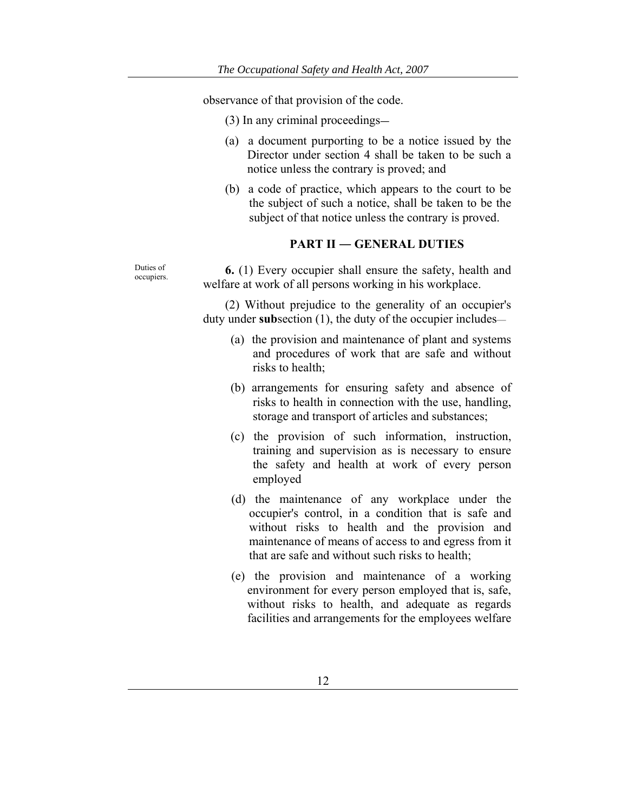observance of that provision of the code.

- (3) In any criminal proceedings―
- (a) a document purporting to be a notice issued by the Director under section 4 shall be taken to be such a notice unless the contrary is proved; and
- (b) a code of practice, which appears to the court to be the subject of such a notice, shall be taken to be the subject of that notice unless the contrary is proved.

#### **PART II ― GENERAL DUTIES**

Duties of **6.** (1) Every occupier shall ensure the safety, health and welfare at work of all persons working in his workplace.

> (2) Without prejudice to the generality of an occupier's duty under **sub**section (1), the duty of the occupier includes—

- (a) the provision and maintenance of plant and systems and procedures of work that are safe and without risks to health;
- (b) arrangements for ensuring safety and absence of risks to health in connection with the use, handling, storage and transport of articles and substances;
- (c) the provision of such information, instruction, training and supervision as is necessary to ensure the safety and health at work of every person employed
- (d) the maintenance of any workplace under the occupier's control, in a condition that is safe and without risks to health and the provision and maintenance of means of access to and egress from it that are safe and without such risks to health;
- (e) the provision and maintenance of a working environment for every person employed that is, safe, without risks to health, and adequate as regards facilities and arrangements for the employees welfare

Duties of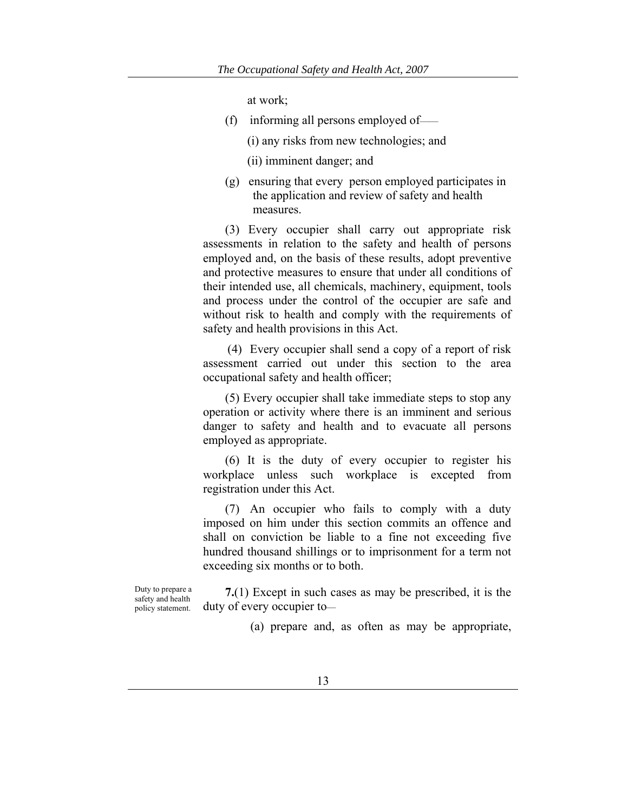at work;

- (f) informing all persons employed of——
	- (i) any risks from new technologies; and
	- (ii) imminent danger; and
- (g) ensuring that every person employed participates in the application and review of safety and health measures.

(3) Every occupier shall carry out appropriate risk assessments in relation to the safety and health of persons employed and, on the basis of these results, adopt preventive and protective measures to ensure that under all conditions of their intended use, all chemicals, machinery, equipment, tools and process under the control of the occupier are safe and without risk to health and comply with the requirements of safety and health provisions in this Act.

 (4) Every occupier shall send a copy of a report of risk assessment carried out under this section to the area occupational safety and health officer;

(5) Every occupier shall take immediate steps to stop any operation or activity where there is an imminent and serious danger to safety and health and to evacuate all persons employed as appropriate.

(6) It is the duty of every occupier to register his workplace unless such workplace is excepted from registration under this Act.

(7) An occupier who fails to comply with a duty imposed on him under this section commits an offence and shall on conviction be liable to a fine not exceeding five hundred thousand shillings or to imprisonment for a term not exceeding six months or to both.

Duty to prepare a safety and health policy statement.

**7.**(1) Except in such cases as may be prescribed, it is the duty of every occupier to—

(a) prepare and, as often as may be appropriate,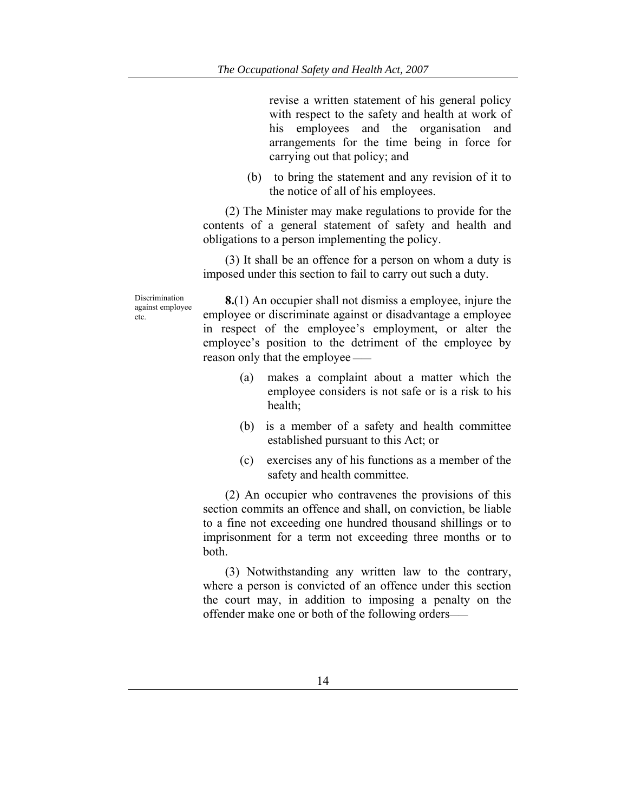revise a written statement of his general policy with respect to the safety and health at work of his employees and the organisation and arrangements for the time being in force for carrying out that policy; and

(b) to bring the statement and any revision of it to the notice of all of his employees.

(2) The Minister may make regulations to provide for the contents of a general statement of safety and health and obligations to a person implementing the policy.

(3) It shall be an offence for a person on whom a duty is imposed under this section to fail to carry out such a duty.

Discrimination against employee etc.

**8.**(1) An occupier shall not dismiss a employee, injure the employee or discriminate against or disadvantage a employee in respect of the employee's employment, or alter the employee's position to the detriment of the employee by reason only that the employee ——

- (a) makes a complaint about a matter which the employee considers is not safe or is a risk to his health;
- (b) is a member of a safety and health committee established pursuant to this Act; or
- (c) exercises any of his functions as a member of the safety and health committee.

(2) An occupier who contravenes the provisions of this section commits an offence and shall, on conviction, be liable to a fine not exceeding one hundred thousand shillings or to imprisonment for a term not exceeding three months or to both.

(3) Notwithstanding any written law to the contrary, where a person is convicted of an offence under this section the court may, in addition to imposing a penalty on the offender make one or both of the following orders——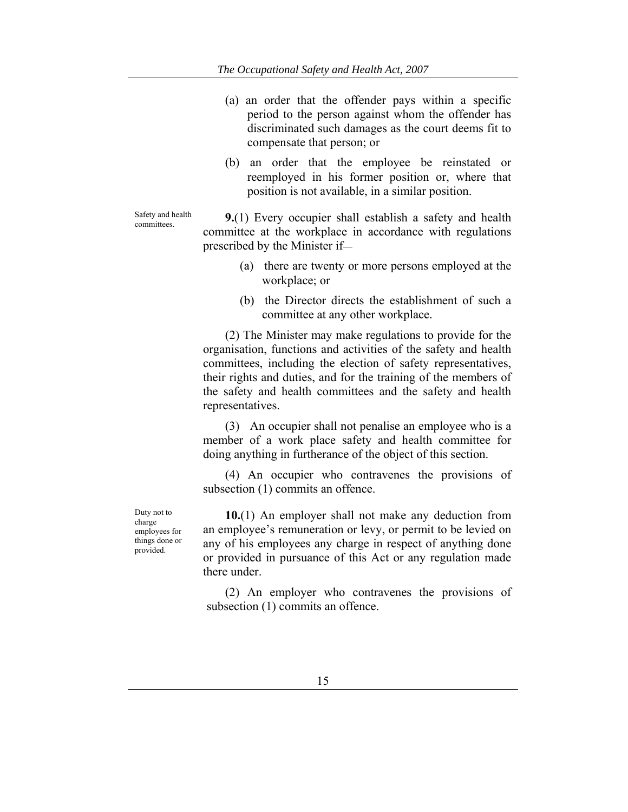- (a) an order that the offender pays within a specific period to the person against whom the offender has discriminated such damages as the court deems fit to compensate that person; or
- (b) an order that the employee be reinstated or reemployed in his former position or, where that position is not available, in a similar position.

Safety and health

Safety and health **9.**(1) Every occupier shall establish a safety and health committees. committee at the workplace in accordance with regulations prescribed by the Minister if—

- (a) there are twenty or more persons employed at the workplace; or
- (b) the Director directs the establishment of such a committee at any other workplace.

(2) The Minister may make regulations to provide for the organisation, functions and activities of the safety and health committees, including the election of safety representatives, their rights and duties, and for the training of the members of the safety and health committees and the safety and health representatives.

(3) An occupier shall not penalise an employee who is a member of a work place safety and health committee for doing anything in furtherance of the object of this section.

(4) An occupier who contravenes the provisions of subsection  $(1)$  commits an offence.

Duty not to charge employees for things done or provided.

**10.**(1) An employer shall not make any deduction from an employee's remuneration or levy, or permit to be levied on any of his employees any charge in respect of anything done or provided in pursuance of this Act or any regulation made there under.

(2) An employer who contravenes the provisions of subsection (1) commits an offence.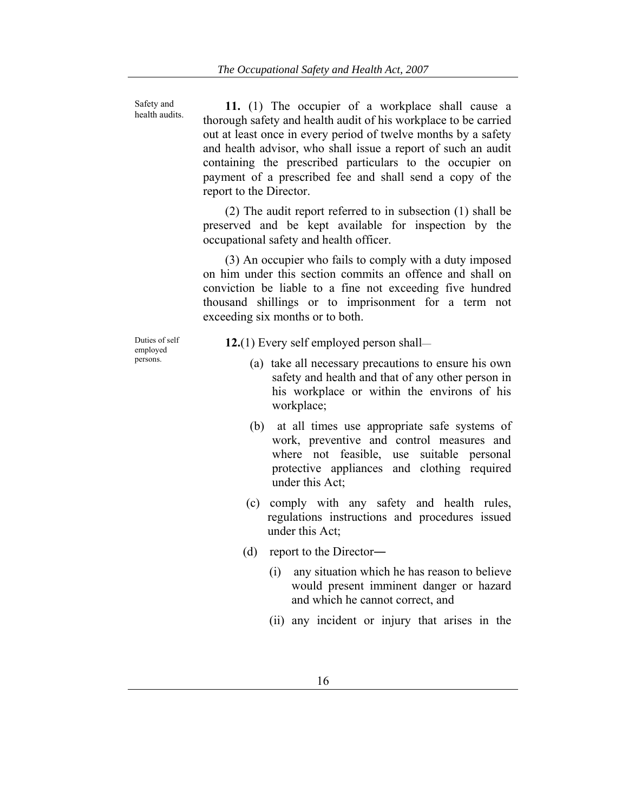Safety and health audits.

**11.** (1) The occupier of a workplace shall cause a thorough safety and health audit of his workplace to be carried out at least once in every period of twelve months by a safety and health advisor, who shall issue a report of such an audit containing the prescribed particulars to the occupier on payment of a prescribed fee and shall send a copy of the report to the Director.

(2) The audit report referred to in subsection (1) shall be preserved and be kept available for inspection by the occupational safety and health officer.

(3) An occupier who fails to comply with a duty imposed on him under this section commits an offence and shall on conviction be liable to a fine not exceeding five hundred thousand shillings or to imprisonment for a term not exceeding six months or to both.

Duties of self employed persons.

**12.**(1) Every self employed person shall—

- (a) take all necessary precautions to ensure his own safety and health and that of any other person in his workplace or within the environs of his workplace;
- (b) at all times use appropriate safe systems of work, preventive and control measures and where not feasible, use suitable personal protective appliances and clothing required under this Act;
- (c) comply with any safety and health rules, regulations instructions and procedures issued under this Act;
- (d) report to the Director―
	- (i) any situation which he has reason to believe would present imminent danger or hazard and which he cannot correct, and
	- (ii) any incident or injury that arises in the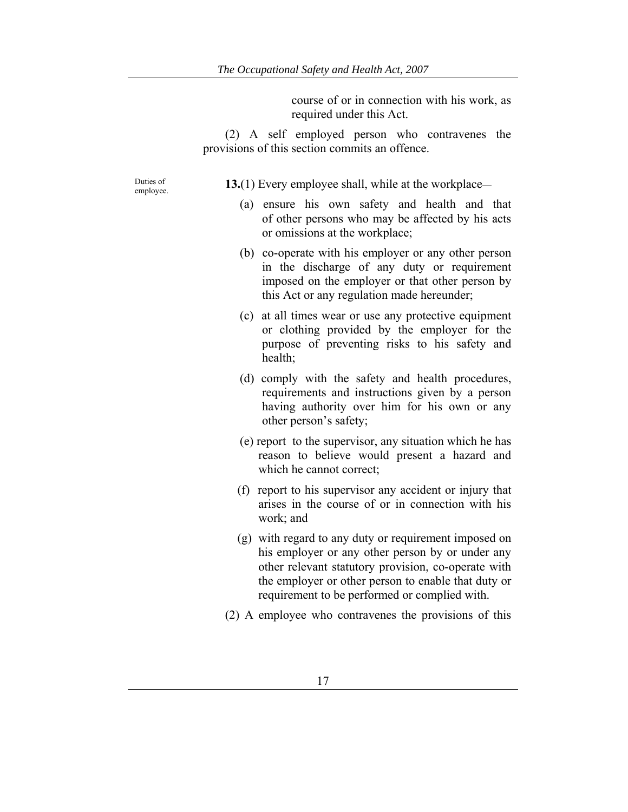course of or in connection with his work, as required under this Act.

(2) A self employed person who contravenes the provisions of this section commits an offence.

Duties of

employee. **13.**(1) Every employee shall, while at the workplace—

- (a) ensure his own safety and health and that of other persons who may be affected by his acts or omissions at the workplace;
- (b) co-operate with his employer or any other person in the discharge of any duty or requirement imposed on the employer or that other person by this Act or any regulation made hereunder;
- (c) at all times wear or use any protective equipment or clothing provided by the employer for the purpose of preventing risks to his safety and health;
- (d) comply with the safety and health procedures, requirements and instructions given by a person having authority over him for his own or any other person's safety;
- (e) report to the supervisor, any situation which he has reason to believe would present a hazard and which he cannot correct;
- (f) report to his supervisor any accident or injury that arises in the course of or in connection with his work; and
- (g) with regard to any duty or requirement imposed on his employer or any other person by or under any other relevant statutory provision, co-operate with the employer or other person to enable that duty or requirement to be performed or complied with.
- (2) A employee who contravenes the provisions of this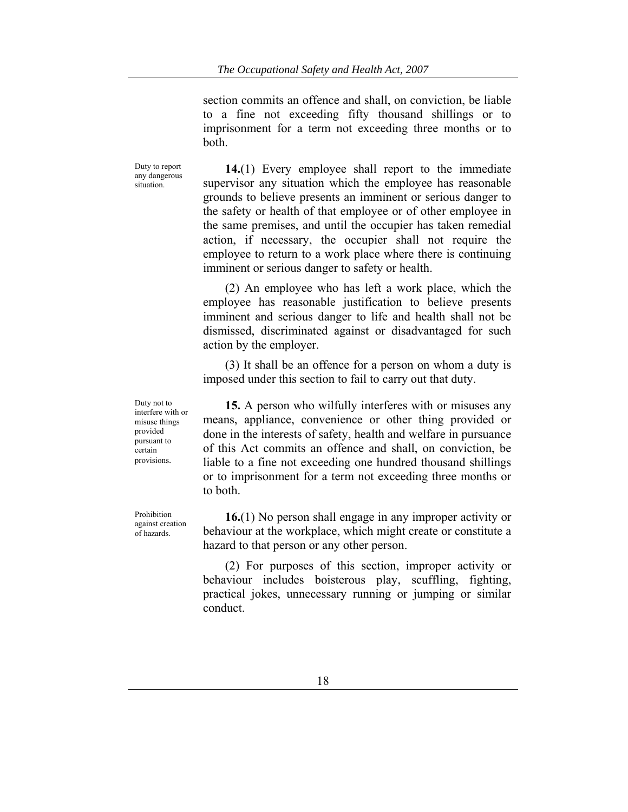section commits an offence and shall, on conviction, be liable to a fine not exceeding fifty thousand shillings or to imprisonment for a term not exceeding three months or to both.

Duty to report any dangerous situation.

**14.**(1) Every employee shall report to the immediate supervisor any situation which the employee has reasonable grounds to believe presents an imminent or serious danger to the safety or health of that employee or of other employee in the same premises, and until the occupier has taken remedial action, if necessary, the occupier shall not require the employee to return to a work place where there is continuing imminent or serious danger to safety or health.

(2) An employee who has left a work place, which the employee has reasonable justification to believe presents imminent and serious danger to life and health shall not be dismissed, discriminated against or disadvantaged for such action by the employer.

(3) It shall be an offence for a person on whom a duty is imposed under this section to fail to carry out that duty.

**15.** A person who wilfully interferes with or misuses any means, appliance, convenience or other thing provided or done in the interests of safety, health and welfare in pursuance of this Act commits an offence and shall, on conviction, be liable to a fine not exceeding one hundred thousand shillings or to imprisonment for a term not exceeding three months or to both.

**16.**(1) No person shall engage in any improper activity or behaviour at the workplace, which might create or constitute a hazard to that person or any other person.

(2) For purposes of this section, improper activity or behaviour includes boisterous play, scuffling, fighting, practical jokes, unnecessary running or jumping or similar conduct.

Duty not to interfere with or misuse things provided pursuant to certain provisions.

Prohibition against creation of hazards.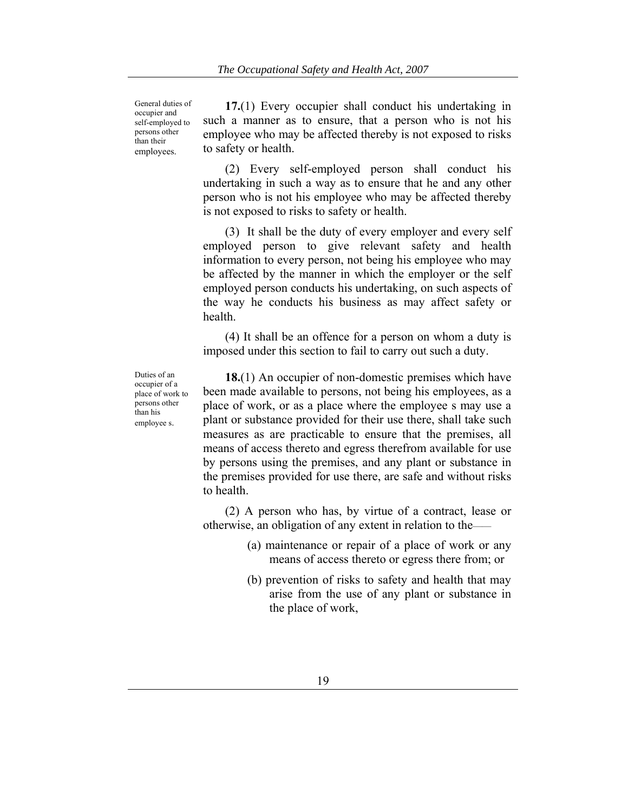General duties of occupier and self-employed to persons other than their employees.

**17.**(1) Every occupier shall conduct his undertaking in such a manner as to ensure, that a person who is not his employee who may be affected thereby is not exposed to risks to safety or health.

(2) Every self-employed person shall conduct his undertaking in such a way as to ensure that he and any other person who is not his employee who may be affected thereby is not exposed to risks to safety or health.

(3) It shall be the duty of every employer and every self employed person to give relevant safety and health information to every person, not being his employee who may be affected by the manner in which the employer or the self employed person conducts his undertaking, on such aspects of the way he conducts his business as may affect safety or health.

(4) It shall be an offence for a person on whom a duty is imposed under this section to fail to carry out such a duty.

Duties of an occupier of a place of work to persons other than his employee s.

**18.**(1) An occupier of non-domestic premises which have been made available to persons, not being his employees, as a place of work, or as a place where the employee s may use a plant or substance provided for their use there, shall take such measures as are practicable to ensure that the premises, all means of access thereto and egress therefrom available for use by persons using the premises, and any plant or substance in the premises provided for use there, are safe and without risks to health.

(2) A person who has, by virtue of a contract, lease or otherwise, an obligation of any extent in relation to the——

- (a) maintenance or repair of a place of work or any means of access thereto or egress there from; or
- (b) prevention of risks to safety and health that may arise from the use of any plant or substance in the place of work,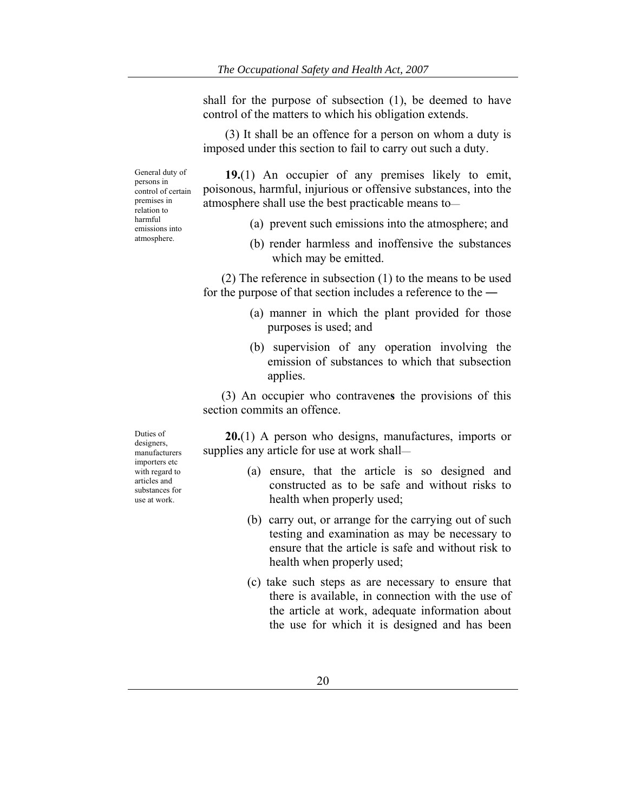shall for the purpose of subsection (1), be deemed to have control of the matters to which his obligation extends.

(3) It shall be an offence for a person on whom a duty is imposed under this section to fail to carry out such a duty.

General duty of persons in control of certain premises in relation to harmful emissions into atmosphere.

**19.**(1) An occupier of any premises likely to emit, poisonous, harmful, injurious or offensive substances, into the atmosphere shall use the best practicable means to—

- (a) prevent such emissions into the atmosphere; and
- (b) render harmless and inoffensive the substances which may be emitted.

(2) The reference in subsection (1) to the means to be used for the purpose of that section includes a reference to the ―

- (a) manner in which the plant provided for those purposes is used; and
- (b) supervision of any operation involving the emission of substances to which that subsection applies.

(3) An occupier who contravene**s** the provisions of this section commits an offence

**20.**(1) A person who designs, manufactures, imports or supplies any article for use at work shall—

- (a) ensure, that the article is so designed and constructed as to be safe and without risks to health when properly used;
- (b) carry out, or arrange for the carrying out of such testing and examination as may be necessary to ensure that the article is safe and without risk to health when properly used;
- (c) take such steps as are necessary to ensure that there is available, in connection with the use of the article at work, adequate information about the use for which it is designed and has been

Duties of designers, manufacturers importers etc with regard to articles and substances for use at work.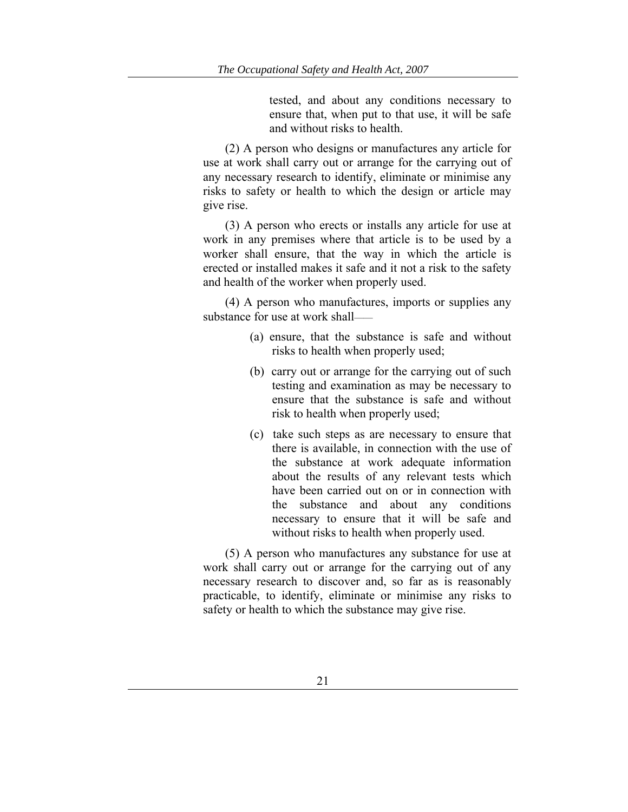tested, and about any conditions necessary to ensure that, when put to that use, it will be safe and without risks to health.

(2) A person who designs or manufactures any article for use at work shall carry out or arrange for the carrying out of any necessary research to identify, eliminate or minimise any risks to safety or health to which the design or article may give rise.

(3) A person who erects or installs any article for use at work in any premises where that article is to be used by a worker shall ensure, that the way in which the article is erected or installed makes it safe and it not a risk to the safety and health of the worker when properly used.

(4) A person who manufactures, imports or supplies any substance for use at work shall——

- (a) ensure, that the substance is safe and without risks to health when properly used;
- (b) carry out or arrange for the carrying out of such testing and examination as may be necessary to ensure that the substance is safe and without risk to health when properly used;
- (c) take such steps as are necessary to ensure that there is available, in connection with the use of the substance at work adequate information about the results of any relevant tests which have been carried out on or in connection with the substance and about any conditions necessary to ensure that it will be safe and without risks to health when properly used.

(5) A person who manufactures any substance for use at work shall carry out or arrange for the carrying out of any necessary research to discover and, so far as is reasonably practicable, to identify, eliminate or minimise any risks to safety or health to which the substance may give rise.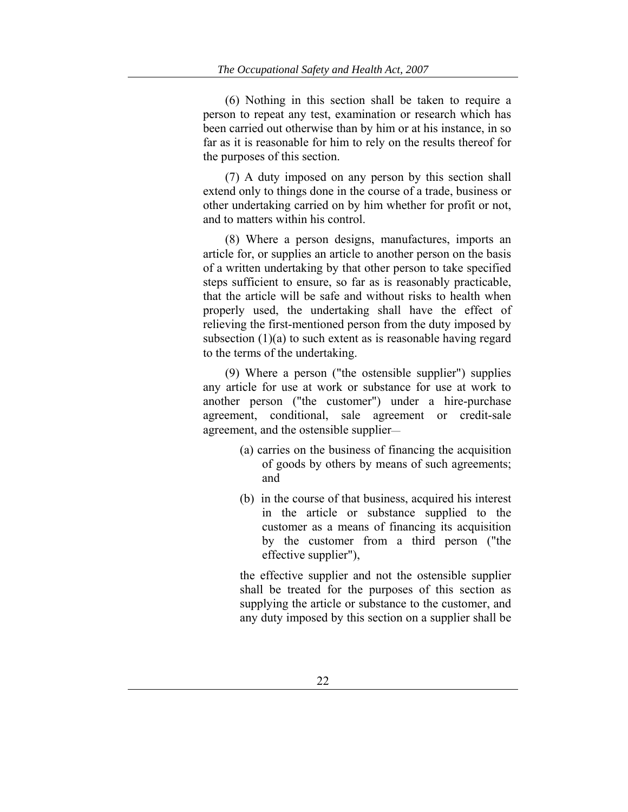(6) Nothing in this section shall be taken to require a person to repeat any test, examination or research which has been carried out otherwise than by him or at his instance, in so far as it is reasonable for him to rely on the results thereof for the purposes of this section.

(7) A duty imposed on any person by this section shall extend only to things done in the course of a trade, business or other undertaking carried on by him whether for profit or not, and to matters within his control.

(8) Where a person designs, manufactures, imports an article for, or supplies an article to another person on the basis of a written undertaking by that other person to take specified steps sufficient to ensure, so far as is reasonably practicable, that the article will be safe and without risks to health when properly used, the undertaking shall have the effect of relieving the first-mentioned person from the duty imposed by subsection (1)(a) to such extent as is reasonable having regard to the terms of the undertaking.

(9) Where a person ("the ostensible supplier") supplies any article for use at work or substance for use at work to another person ("the customer") under a hire-purchase agreement, conditional, sale agreement or credit-sale agreement, and the ostensible supplier—

- (a) carries on the business of financing the acquisition of goods by others by means of such agreements; and
- (b) in the course of that business, acquired his interest in the article or substance supplied to the customer as a means of financing its acquisition by the customer from a third person ("the effective supplier"),

the effective supplier and not the ostensible supplier shall be treated for the purposes of this section as supplying the article or substance to the customer, and any duty imposed by this section on a supplier shall be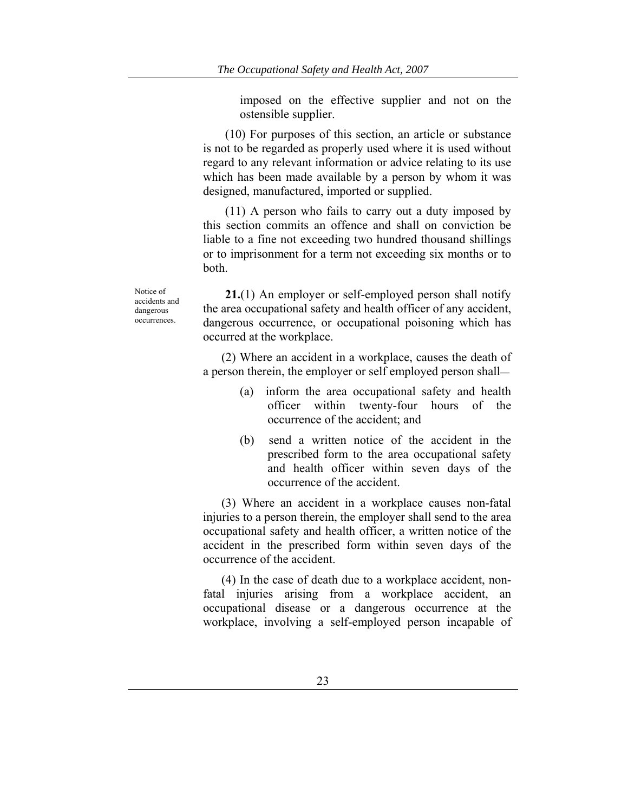imposed on the effective supplier and not on the ostensible supplier.

(10) For purposes of this section, an article or substance is not to be regarded as properly used where it is used without regard to any relevant information or advice relating to its use which has been made available by a person by whom it was designed, manufactured, imported or supplied.

(11) A person who fails to carry out a duty imposed by this section commits an offence and shall on conviction be liable to a fine not exceeding two hundred thousand shillings or to imprisonment for a term not exceeding six months or to both.

Notice of accidents and dangerous occurrences.

**21.**(1) An employer or self-employed person shall notify the area occupational safety and health officer of any accident, dangerous occurrence, or occupational poisoning which has occurred at the workplace.

(2) Where an accident in a workplace, causes the death of a person therein, the employer or self employed person shall—

- (a) inform the area occupational safety and health officer within twenty-four hours of the occurrence of the accident; and
- (b) send a written notice of the accident in the prescribed form to the area occupational safety and health officer within seven days of the occurrence of the accident.

(3) Where an accident in a workplace causes non-fatal injuries to a person therein, the employer shall send to the area occupational safety and health officer, a written notice of the accident in the prescribed form within seven days of the occurrence of the accident.

(4) In the case of death due to a workplace accident, nonfatal injuries arising from a workplace accident, an occupational disease or a dangerous occurrence at the workplace, involving a self-employed person incapable of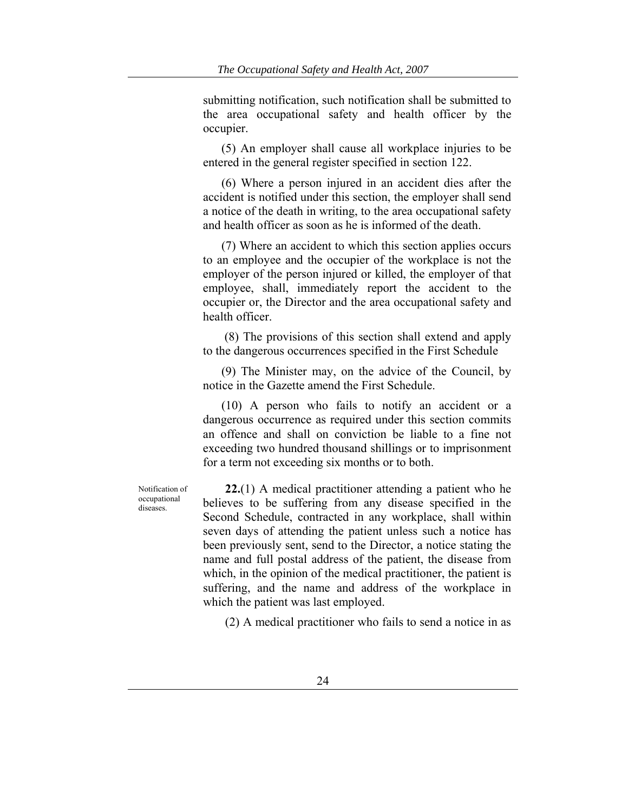submitting notification, such notification shall be submitted to the area occupational safety and health officer by the occupier.

(5) An employer shall cause all workplace injuries to be entered in the general register specified in section 122.

(6) Where a person injured in an accident dies after the accident is notified under this section, the employer shall send a notice of the death in writing, to the area occupational safety and health officer as soon as he is informed of the death.

(7) Where an accident to which this section applies occurs to an employee and the occupier of the workplace is not the employer of the person injured or killed, the employer of that employee, shall, immediately report the accident to the occupier or, the Director and the area occupational safety and health officer.

 (8) The provisions of this section shall extend and apply to the dangerous occurrences specified in the First Schedule

(9) The Minister may, on the advice of the Council, by notice in the Gazette amend the First Schedule.

(10) A person who fails to notify an accident or a dangerous occurrence as required under this section commits an offence and shall on conviction be liable to a fine not exceeding two hundred thousand shillings or to imprisonment for a term not exceeding six months or to both.

Notification of occupational diseases.

**22.**(1) A medical practitioner attending a patient who he believes to be suffering from any disease specified in the Second Schedule, contracted in any workplace, shall within seven days of attending the patient unless such a notice has been previously sent, send to the Director, a notice stating the name and full postal address of the patient, the disease from which, in the opinion of the medical practitioner, the patient is suffering, and the name and address of the workplace in which the patient was last employed.

(2) A medical practitioner who fails to send a notice in as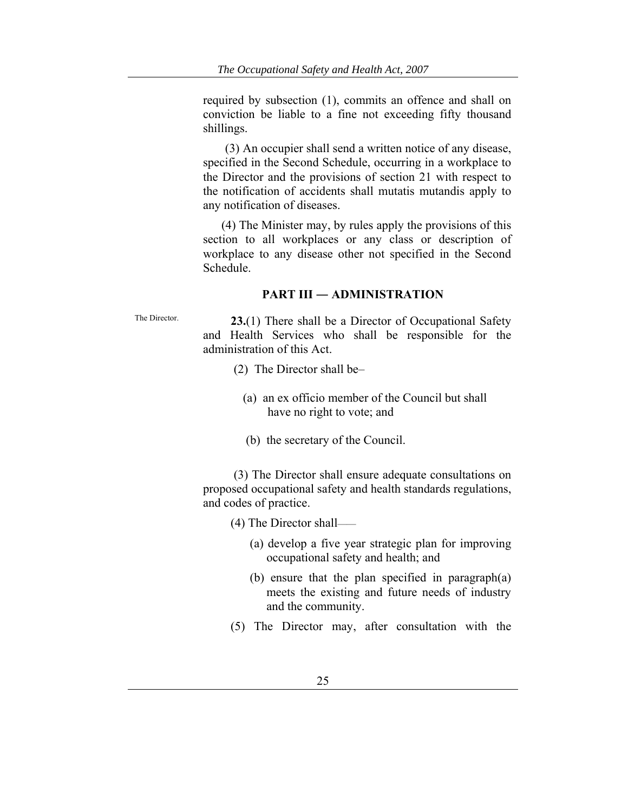required by subsection (1), commits an offence and shall on conviction be liable to a fine not exceeding fifty thousand shillings.

(3) An occupier shall send a written notice of any disease, specified in the Second Schedule, occurring in a workplace to the Director and the provisions of section 21 with respect to the notification of accidents shall mutatis mutandis apply to any notification of diseases.

(4) The Minister may, by rules apply the provisions of this section to all workplaces or any class or description of workplace to any disease other not specified in the Second Schedule.

#### **PART III ― ADMINISTRATION**

The Director. **23.**(1) There shall be a Director of Occupational Safety and Health Services who shall be responsible for the administration of this Act.

- (2) The Director shall be–
	- (a) an ex officio member of the Council but shall have no right to vote; and
	- (b) the secretary of the Council.

 (3) The Director shall ensure adequate consultations on proposed occupational safety and health standards regulations, and codes of practice.

(4) The Director shall——

- (a) develop a five year strategic plan for improving occupational safety and health; and
- (b) ensure that the plan specified in paragraph(a) meets the existing and future needs of industry and the community.
- (5) The Director may, after consultation with the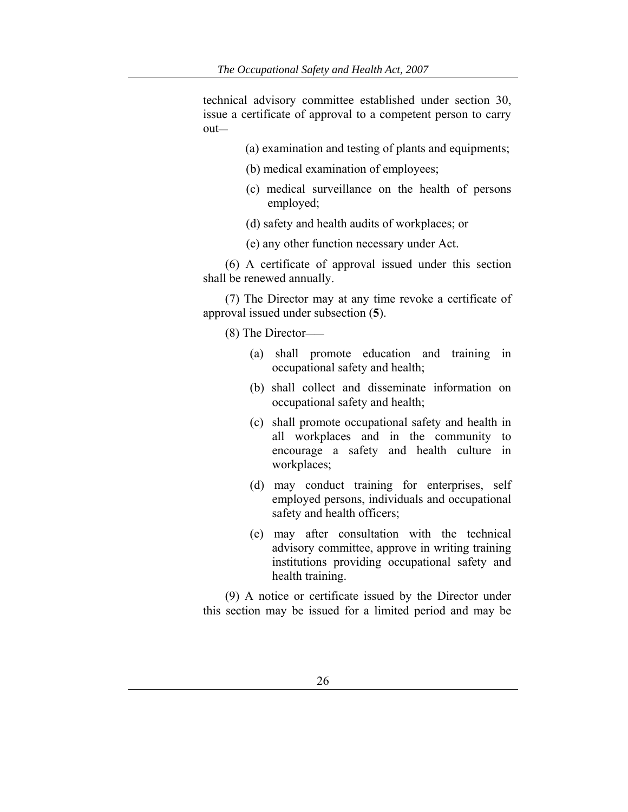technical advisory committee established under section 30, issue a certificate of approval to a competent person to carry out—

- (a) examination and testing of plants and equipments;
- (b) medical examination of employees;
- (c) medical surveillance on the health of persons employed;
- (d) safety and health audits of workplaces; or
- (e) any other function necessary under Act.

(6) A certificate of approval issued under this section shall be renewed annually.

(7) The Director may at any time revoke a certificate of approval issued under subsection (**5**).

(8) The Director——

- (a) shall promote education and training in occupational safety and health;
- (b) shall collect and disseminate information on occupational safety and health;
- (c) shall promote occupational safety and health in all workplaces and in the community to encourage a safety and health culture in workplaces;
- (d) may conduct training for enterprises, self employed persons, individuals and occupational safety and health officers;
- (e) may after consultation with the technical advisory committee, approve in writing training institutions providing occupational safety and health training.

(9) A notice or certificate issued by the Director under this section may be issued for a limited period and may be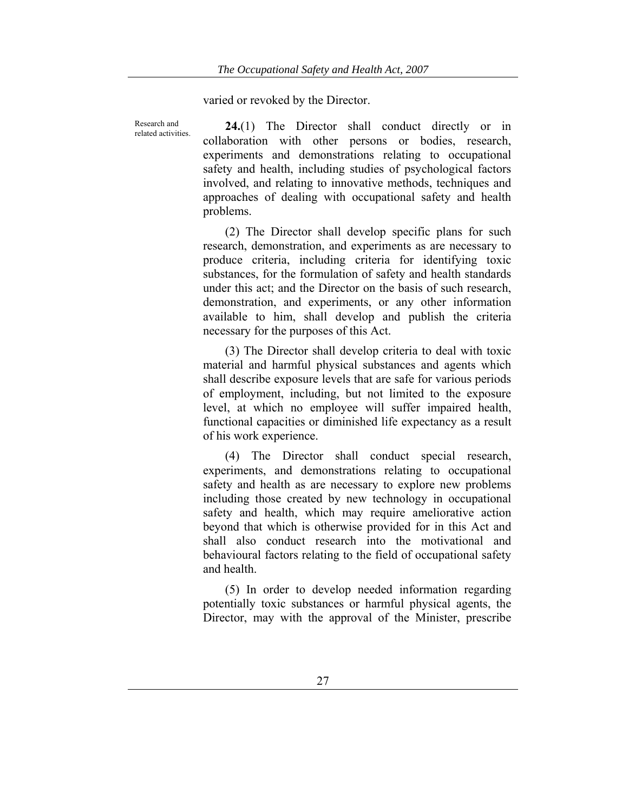varied or revoked by the Director.

Research and

Research and **24.**(1) The Director shall conduct directly or in related activities. collaboration with other persons or bodies, research, experiments and demonstrations relating to occupational safety and health, including studies of psychological factors involved, and relating to innovative methods, techniques and approaches of dealing with occupational safety and health problems.

> (2) The Director shall develop specific plans for such research, demonstration, and experiments as are necessary to produce criteria, including criteria for identifying toxic substances, for the formulation of safety and health standards under this act; and the Director on the basis of such research, demonstration, and experiments, or any other information available to him, shall develop and publish the criteria necessary for the purposes of this Act.

> (3) The Director shall develop criteria to deal with toxic material and harmful physical substances and agents which shall describe exposure levels that are safe for various periods of employment, including, but not limited to the exposure level, at which no employee will suffer impaired health, functional capacities or diminished life expectancy as a result of his work experience.

> (4) The Director shall conduct special research, experiments, and demonstrations relating to occupational safety and health as are necessary to explore new problems including those created by new technology in occupational safety and health, which may require ameliorative action beyond that which is otherwise provided for in this Act and shall also conduct research into the motivational and behavioural factors relating to the field of occupational safety and health.

> (5) In order to develop needed information regarding potentially toxic substances or harmful physical agents, the Director, may with the approval of the Minister, prescribe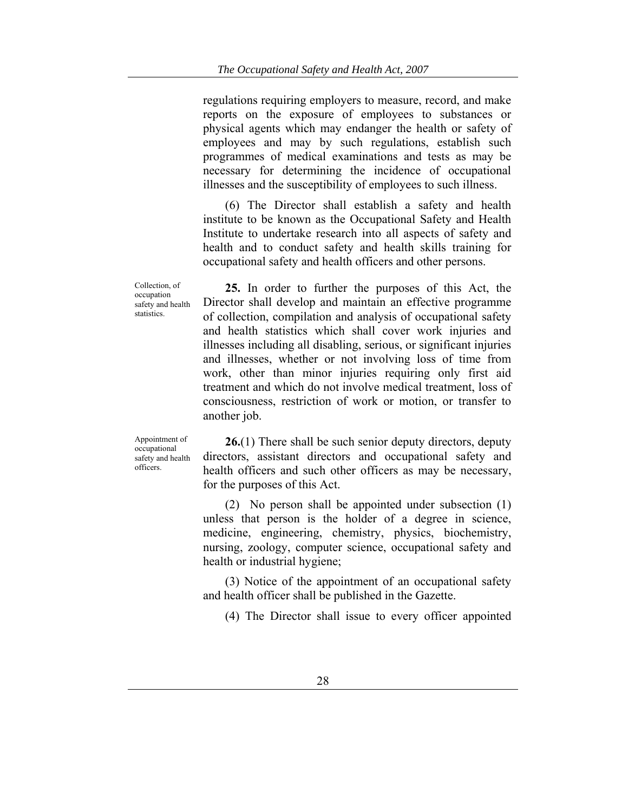regulations requiring employers to measure, record, and make reports on the exposure of employees to substances or physical agents which may endanger the health or safety of employees and may by such regulations, establish such programmes of medical examinations and tests as may be necessary for determining the incidence of occupational illnesses and the susceptibility of employees to such illness.

(6) The Director shall establish a safety and health institute to be known as the Occupational Safety and Health Institute to undertake research into all aspects of safety and health and to conduct safety and health skills training for occupational safety and health officers and other persons.

Collection, of occupation safety and health statistics.

**25.** In order to further the purposes of this Act, the Director shall develop and maintain an effective programme of collection, compilation and analysis of occupational safety and health statistics which shall cover work injuries and illnesses including all disabling, serious, or significant injuries and illnesses, whether or not involving loss of time from work, other than minor injuries requiring only first aid treatment and which do not involve medical treatment, loss of consciousness, restriction of work or motion, or transfer to another job.

Appointment of occupational safety and health officers.

**26.**(1) There shall be such senior deputy directors, deputy directors, assistant directors and occupational safety and health officers and such other officers as may be necessary, for the purposes of this Act.

(2) No person shall be appointed under subsection (1) unless that person is the holder of a degree in science, medicine, engineering, chemistry, physics, biochemistry, nursing, zoology, computer science, occupational safety and health or industrial hygiene;

(3) Notice of the appointment of an occupational safety and health officer shall be published in the Gazette.

(4) The Director shall issue to every officer appointed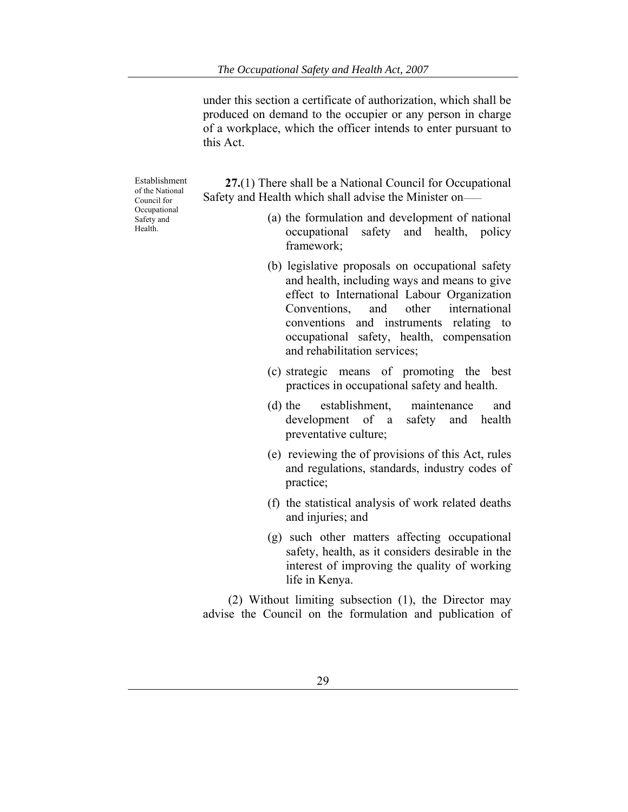under this section a certificate of authorization, which shall be produced on demand to the occupier or any person in charge of a workplace, which the officer intends to enter pursuant to this Act.

Establishment of the National Council for Occupational Safety and Health.

**27.**(1) There shall be a National Council for Occupational Safety and Health which shall advise the Minister on——

- (a) the formulation and development of national occupational safety and health, policy framework;
- (b) legislative proposals on occupational safety and health, including ways and means to give effect to International Labour Organization Conventions, and other international conventions and instruments relating to occupational safety, health, compensation and rehabilitation services;
- (c) strategic means of promoting the best practices in occupational safety and health.
- (d) the establishment, maintenance and development of a safety and health preventative culture;
- (e) reviewing the of provisions of this Act, rules and regulations, standards, industry codes of practice;
- (f) the statistical analysis of work related deaths and injuries; and
- (g) such other matters affecting occupational safety, health, as it considers desirable in the interest of improving the quality of working life in Kenya.

 (2) Without limiting subsection (1), the Director may advise the Council on the formulation and publication of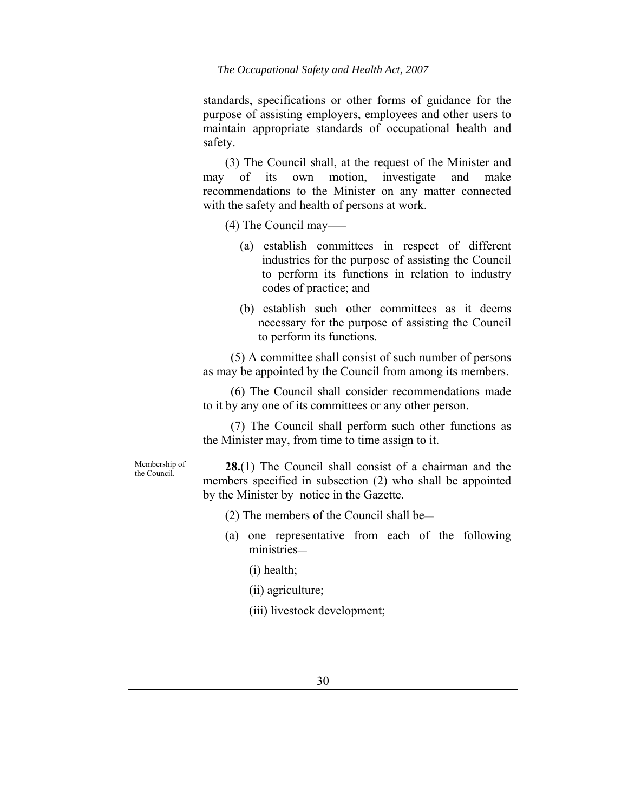standards, specifications or other forms of guidance for the purpose of assisting employers, employees and other users to maintain appropriate standards of occupational health and safety.

(3) The Council shall, at the request of the Minister and may of its own motion, investigate and make recommendations to the Minister on any matter connected with the safety and health of persons at work.

(4) The Council may——

- (a) establish committees in respect of different industries for the purpose of assisting the Council to perform its functions in relation to industry codes of practice; and
- (b) establish such other committees as it deems necessary for the purpose of assisting the Council to perform its functions.

(5) A committee shall consist of such number of persons as may be appointed by the Council from among its members.

(6) The Council shall consider recommendations made to it by any one of its committees or any other person.

(7) The Council shall perform such other functions as the Minister may, from time to time assign to it.

Membership of

the Council. **28.**(1) The Council shall consist of a chairman and the members specified in subsection (2) who shall be appointed by the Minister by notice in the Gazette.

- (2) The members of the Council shall be—
- (a) one representative from each of the following ministries—
	- (i) health;
	- (ii) agriculture;
	- (iii) livestock development;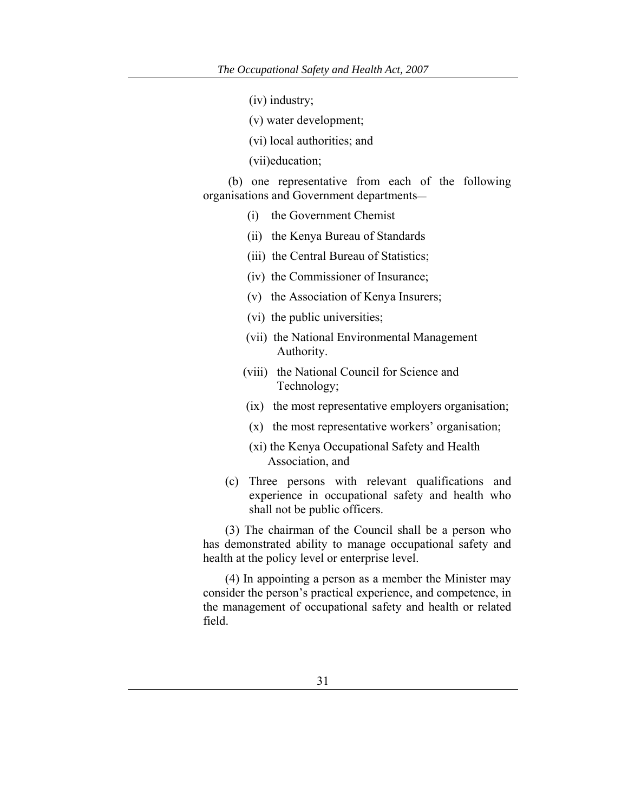- (iv) industry;
- (v) water development;
- (vi) local authorities; and
- (vii)education;

 (b) one representative from each of the following organisations and Government departments—

- (i) the Government Chemist
- (ii) the Kenya Bureau of Standards
- (iii) the Central Bureau of Statistics;
- (iv) the Commissioner of Insurance;
- (v) the Association of Kenya Insurers;
- (vi) the public universities;
- (vii) the National Environmental Management Authority.
- (viii) the National Council for Science and Technology;
- (ix) the most representative employers organisation;
- (x) the most representative workers' organisation;
- (xi) the Kenya Occupational Safety and Health Association, and
- (c) Three persons with relevant qualifications and experience in occupational safety and health who shall not be public officers.

(3) The chairman of the Council shall be a person who has demonstrated ability to manage occupational safety and health at the policy level or enterprise level.

(4) In appointing a person as a member the Minister may consider the person's practical experience, and competence, in the management of occupational safety and health or related field.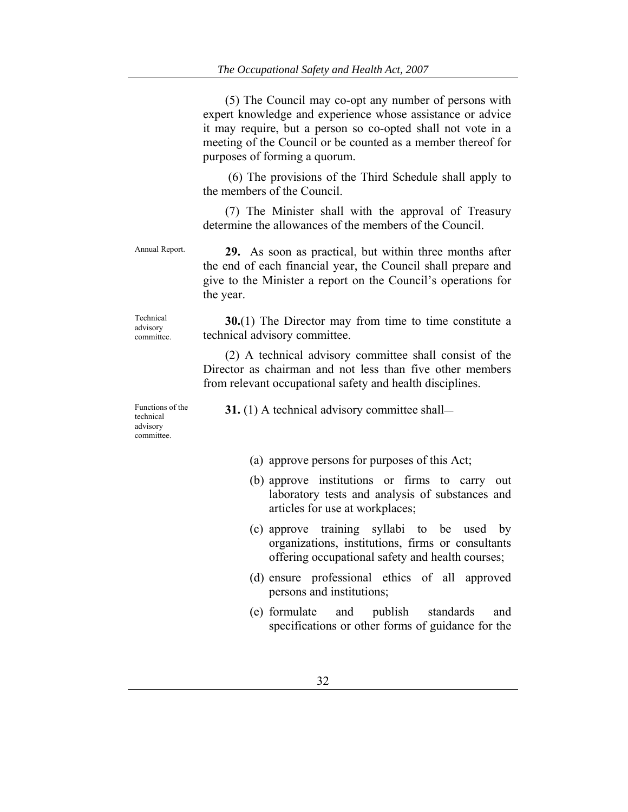(5) The Council may co-opt any number of persons with expert knowledge and experience whose assistance or advice it may require, but a person so co-opted shall not vote in a meeting of the Council or be counted as a member thereof for purposes of forming a quorum.

 (6) The provisions of the Third Schedule shall apply to the members of the Council.

(7) The Minister shall with the approval of Treasury determine the allowances of the members of the Council.

Technical advisory committee.

Annual Report. **29.** As soon as practical, but within three months after the end of each financial year, the Council shall prepare and give to the Minister a report on the Council's operations for the year.

> **30.**(1) The Director may from time to time constitute a technical advisory committee.

(2) A technical advisory committee shall consist of the Director as chairman and not less than five other members from relevant occupational safety and health disciplines.

Functions of the technical advisory committee.

**31.** (1) A technical advisory committee shall—

- (a) approve persons for purposes of this Act;
- (b) approve institutions or firms to carry out laboratory tests and analysis of substances and articles for use at workplaces;
- (c) approve training syllabi to be used by organizations, institutions, firms or consultants offering occupational safety and health courses;
- (d) ensure professional ethics of all approved persons and institutions;
- (e) formulate and publish standards and specifications or other forms of guidance for the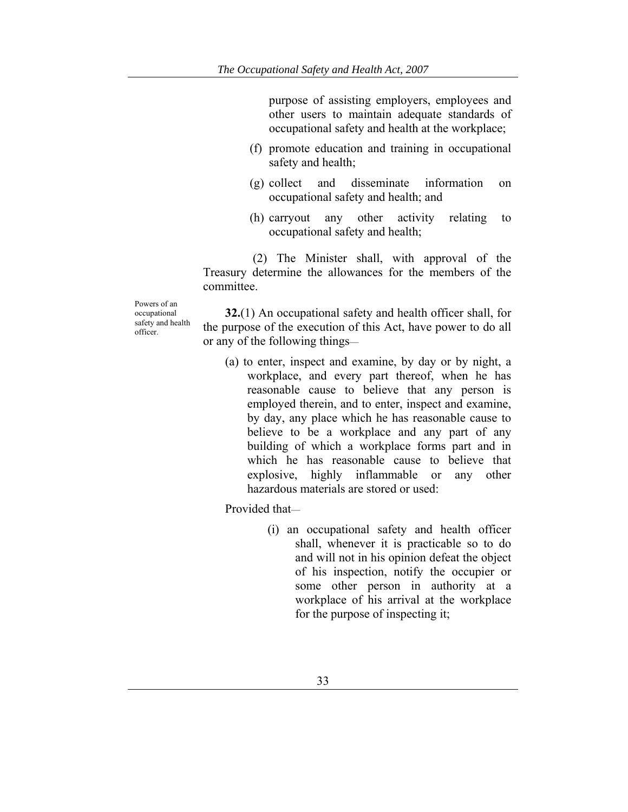purpose of assisting employers, employees and other users to maintain adequate standards of occupational safety and health at the workplace;

- (f) promote education and training in occupational safety and health;
- (g) collect and disseminate information on occupational safety and health; and
- (h) carryout any other activity relating to occupational safety and health;

 (2) The Minister shall, with approval of the Treasury determine the allowances for the members of the committee.

Powers of an occupational safety and health officer.

**32.**(1) An occupational safety and health officer shall, for the purpose of the execution of this Act, have power to do all or any of the following things—

(a) to enter, inspect and examine, by day or by night, a workplace, and every part thereof, when he has reasonable cause to believe that any person is employed therein, and to enter, inspect and examine, by day, any place which he has reasonable cause to believe to be a workplace and any part of any building of which a workplace forms part and in which he has reasonable cause to believe that explosive, highly inflammable or any other hazardous materials are stored or used:

Provided that—

(i) an occupational safety and health officer shall, whenever it is practicable so to do and will not in his opinion defeat the object of his inspection, notify the occupier or some other person in authority at a workplace of his arrival at the workplace for the purpose of inspecting it;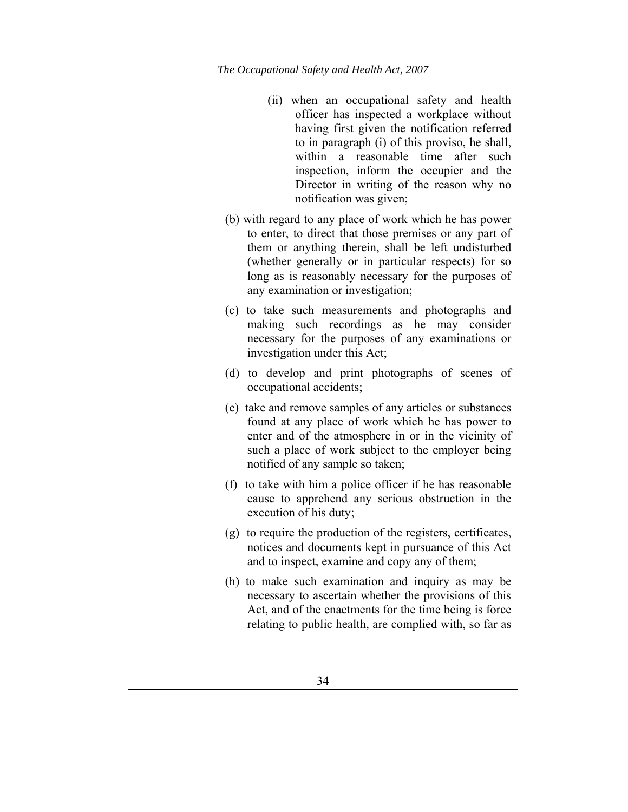- (ii) when an occupational safety and health officer has inspected a workplace without having first given the notification referred to in paragraph (i) of this proviso, he shall, within a reasonable time after such inspection, inform the occupier and the Director in writing of the reason why no notification was given;
- (b) with regard to any place of work which he has power to enter, to direct that those premises or any part of them or anything therein, shall be left undisturbed (whether generally or in particular respects) for so long as is reasonably necessary for the purposes of any examination or investigation;
- (c) to take such measurements and photographs and making such recordings as he may consider necessary for the purposes of any examinations or investigation under this Act;
- (d) to develop and print photographs of scenes of occupational accidents;
- (e) take and remove samples of any articles or substances found at any place of work which he has power to enter and of the atmosphere in or in the vicinity of such a place of work subject to the employer being notified of any sample so taken;
- (f) to take with him a police officer if he has reasonable cause to apprehend any serious obstruction in the execution of his duty;
- (g) to require the production of the registers, certificates, notices and documents kept in pursuance of this Act and to inspect, examine and copy any of them;
- (h) to make such examination and inquiry as may be necessary to ascertain whether the provisions of this Act, and of the enactments for the time being is force relating to public health, are complied with, so far as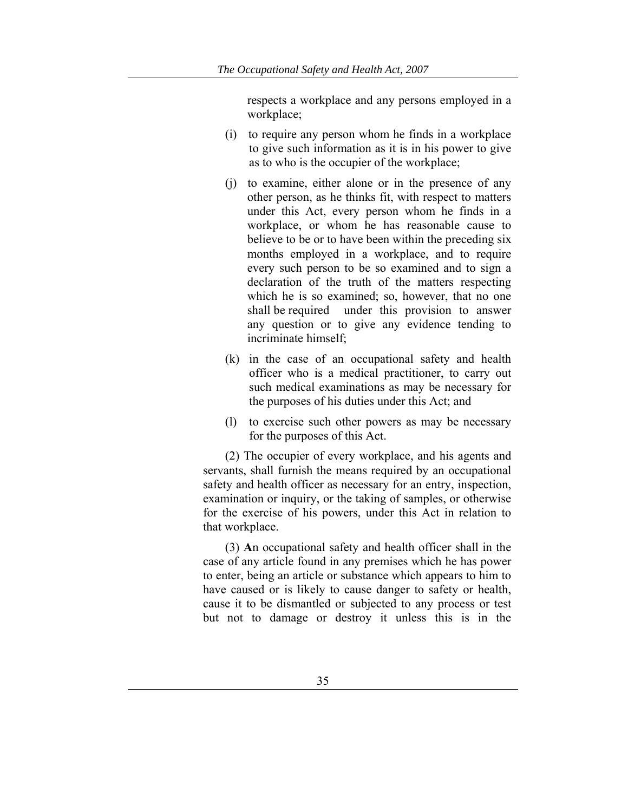respects a workplace and any persons employed in a workplace;

- (i) to require any person whom he finds in a workplace to give such information as it is in his power to give as to who is the occupier of the workplace;
- (j) to examine, either alone or in the presence of any other person, as he thinks fit, with respect to matters under this Act, every person whom he finds in a workplace, or whom he has reasonable cause to believe to be or to have been within the preceding six months employed in a workplace, and to require every such person to be so examined and to sign a declaration of the truth of the matters respecting which he is so examined; so, however, that no one shall be required under this provision to answer any question or to give any evidence tending to incriminate himself;
- (k) in the case of an occupational safety and health officer who is a medical practitioner, to carry out such medical examinations as may be necessary for the purposes of his duties under this Act; and
- (l) to exercise such other powers as may be necessary for the purposes of this Act.

(2) The occupier of every workplace, and his agents and servants, shall furnish the means required by an occupational safety and health officer as necessary for an entry, inspection, examination or inquiry, or the taking of samples, or otherwise for the exercise of his powers, under this Act in relation to that workplace.

(3) **A**n occupational safety and health officer shall in the case of any article found in any premises which he has power to enter, being an article or substance which appears to him to have caused or is likely to cause danger to safety or health, cause it to be dismantled or subjected to any process or test but not to damage or destroy it unless this is in the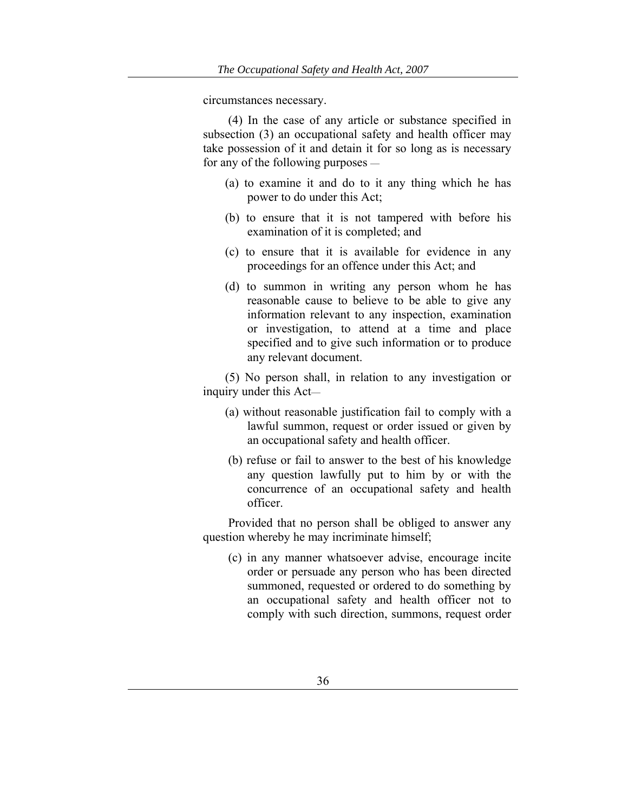circumstances necessary.

 (4) In the case of any article or substance specified in subsection (3) an occupational safety and health officer may take possession of it and detain it for so long as is necessary for any of the following purposes —

- (a) to examine it and do to it any thing which he has power to do under this Act;
- (b) to ensure that it is not tampered with before his examination of it is completed; and
- (c) to ensure that it is available for evidence in any proceedings for an offence under this Act; and
- (d) to summon in writing any person whom he has reasonable cause to believe to be able to give any information relevant to any inspection, examination or investigation, to attend at a time and place specified and to give such information or to produce any relevant document.

(5) No person shall, in relation to any investigation or inquiry under this Act—

- (a) without reasonable justification fail to comply with a lawful summon, request or order issued or given by an occupational safety and health officer.
- (b) refuse or fail to answer to the best of his knowledge any question lawfully put to him by or with the concurrence of an occupational safety and health officer.

 Provided that no person shall be obliged to answer any question whereby he may incriminate himself;

 (c) in any manner whatsoever advise, encourage incite order or persuade any person who has been directed summoned, requested or ordered to do something by an occupational safety and health officer not to comply with such direction, summons, request order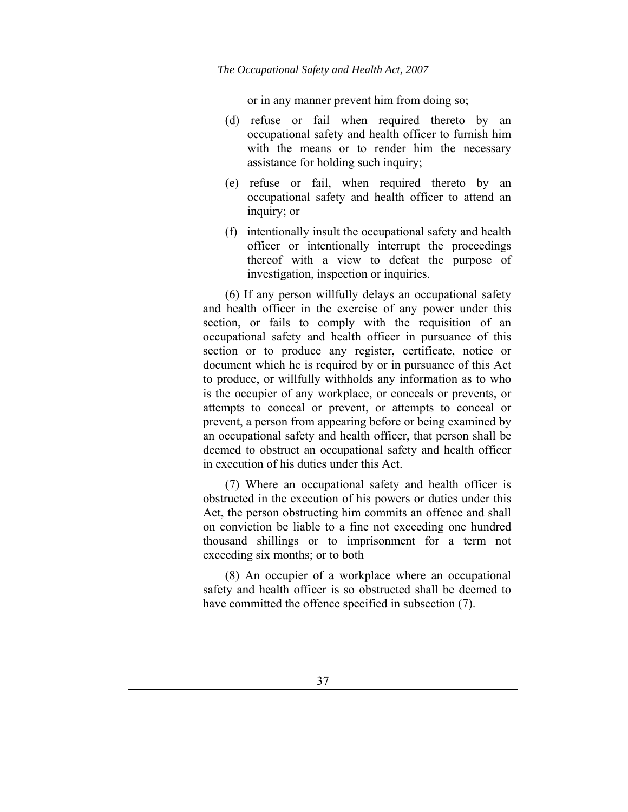or in any manner prevent him from doing so;

- (d) refuse or fail when required thereto by an occupational safety and health officer to furnish him with the means or to render him the necessary assistance for holding such inquiry;
- (e) refuse or fail, when required thereto by an occupational safety and health officer to attend an inquiry; or
- (f) intentionally insult the occupational safety and health officer or intentionally interrupt the proceedings thereof with a view to defeat the purpose of investigation, inspection or inquiries.

(6) If any person willfully delays an occupational safety and health officer in the exercise of any power under this section, or fails to comply with the requisition of an occupational safety and health officer in pursuance of this section or to produce any register, certificate, notice or document which he is required by or in pursuance of this Act to produce, or willfully withholds any information as to who is the occupier of any workplace, or conceals or prevents, or attempts to conceal or prevent, or attempts to conceal or prevent, a person from appearing before or being examined by an occupational safety and health officer, that person shall be deemed to obstruct an occupational safety and health officer in execution of his duties under this Act.

(7) Where an occupational safety and health officer is obstructed in the execution of his powers or duties under this Act, the person obstructing him commits an offence and shall on conviction be liable to a fine not exceeding one hundred thousand shillings or to imprisonment for a term not exceeding six months; or to both

(8) An occupier of a workplace where an occupational safety and health officer is so obstructed shall be deemed to have committed the offence specified in subsection (7).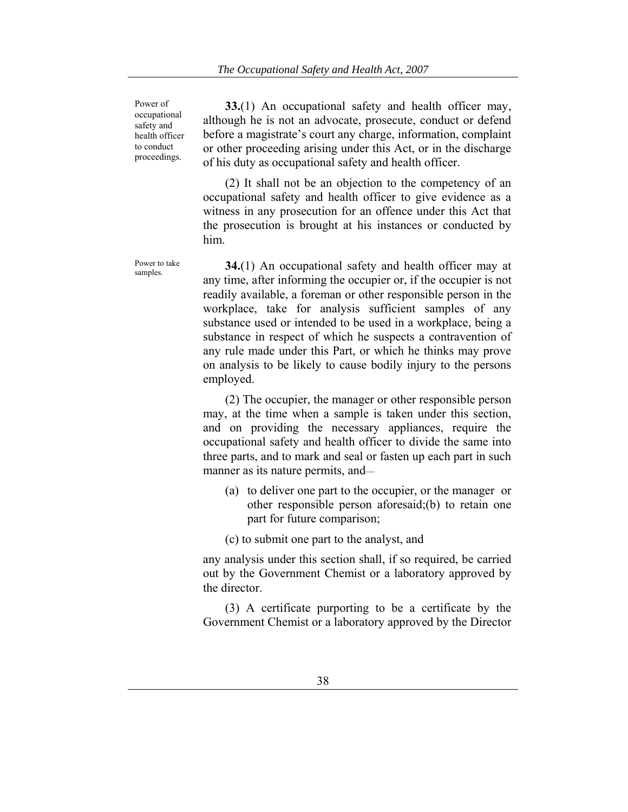Power of occupational safety and health officer to conduct proceedings.

**33.**(1) An occupational safety and health officer may, although he is not an advocate, prosecute, conduct or defend before a magistrate's court any charge, information, complaint or other proceeding arising under this Act, or in the discharge of his duty as occupational safety and health officer.

(2) It shall not be an objection to the competency of an occupational safety and health officer to give evidence as a witness in any prosecution for an offence under this Act that the prosecution is brought at his instances or conducted by him.

Power to take **34.**(1) An occupational safety and health officer may at samples. any time, after informing the occupier or, if the occupier is not readily available, a foreman or other responsible person in the workplace, take for analysis sufficient samples of any substance used or intended to be used in a workplace, being a substance in respect of which he suspects a contravention of any rule made under this Part, or which he thinks may prove on analysis to be likely to cause bodily injury to the persons employed.

> (2) The occupier, the manager or other responsible person may, at the time when a sample is taken under this section, and on providing the necessary appliances, require the occupational safety and health officer to divide the same into three parts, and to mark and seal or fasten up each part in such manner as its nature permits, and—

- (a) to deliver one part to the occupier, or the manager or other responsible person aforesaid;(b) to retain one part for future comparison;
- (c) to submit one part to the analyst, and

any analysis under this section shall, if so required, be carried out by the Government Chemist or a laboratory approved by the director.

(3) A certificate purporting to be a certificate by the Government Chemist or a laboratory approved by the Director

Power to take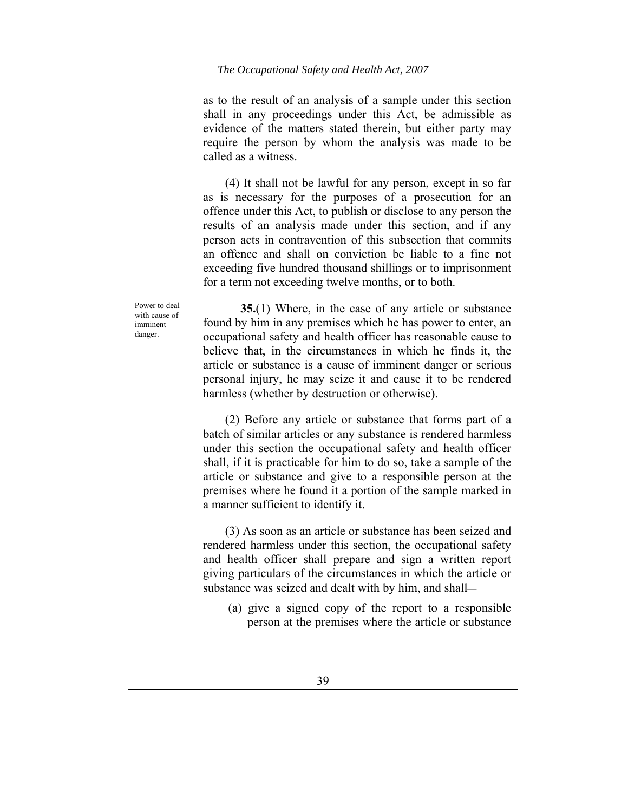as to the result of an analysis of a sample under this section shall in any proceedings under this Act, be admissible as evidence of the matters stated therein, but either party may require the person by whom the analysis was made to be called as a witness.

(4) It shall not be lawful for any person, except in so far as is necessary for the purposes of a prosecution for an offence under this Act, to publish or disclose to any person the results of an analysis made under this section, and if any person acts in contravention of this subsection that commits an offence and shall on conviction be liable to a fine not exceeding five hundred thousand shillings or to imprisonment for a term not exceeding twelve months, or to both.

Power to deal with cause of imminent danger.

 **35.**(1) Where, in the case of any article or substance found by him in any premises which he has power to enter, an occupational safety and health officer has reasonable cause to believe that, in the circumstances in which he finds it, the article or substance is a cause of imminent danger or serious personal injury, he may seize it and cause it to be rendered harmless (whether by destruction or otherwise).

(2) Before any article or substance that forms part of a batch of similar articles or any substance is rendered harmless under this section the occupational safety and health officer shall, if it is practicable for him to do so, take a sample of the article or substance and give to a responsible person at the premises where he found it a portion of the sample marked in a manner sufficient to identify it.

(3) As soon as an article or substance has been seized and rendered harmless under this section, the occupational safety and health officer shall prepare and sign a written report giving particulars of the circumstances in which the article or substance was seized and dealt with by him, and shall—

 (a) give a signed copy of the report to a responsible person at the premises where the article or substance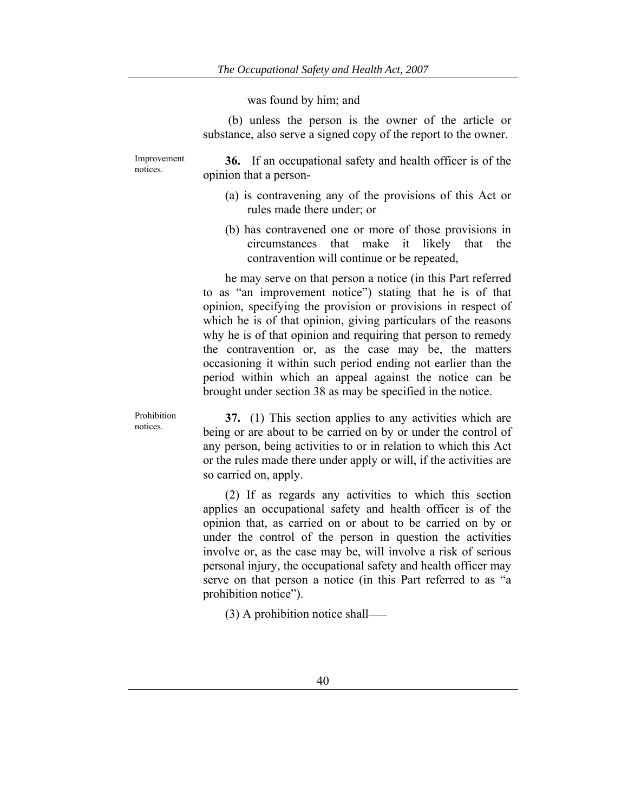## was found by him; and

 (b) unless the person is the owner of the article or substance, also serve a signed copy of the report to the owner.

Improvement notices.

Prohibition notices.

**36.** If an occupational safety and health officer is of the opinion that a person-

- (a) is contravening any of the provisions of this Act or rules made there under; or
- (b) has contravened one or more of those provisions in circumstances that make it likely that the contravention will continue or be repeated,

he may serve on that person a notice (in this Part referred to as "an improvement notice") stating that he is of that opinion, specifying the provision or provisions in respect of which he is of that opinion, giving particulars of the reasons why he is of that opinion and requiring that person to remedy the contravention or, as the case may be, the matters occasioning it within such period ending not earlier than the period within which an appeal against the notice can be brought under section 38 as may be specified in the notice.

**37.** (1) This section applies to any activities which are being or are about to be carried on by or under the control of any person, being activities to or in relation to which this Act or the rules made there under apply or will, if the activities are so carried on, apply.

(2) If as regards any activities to which this section applies an occupational safety and health officer is of the opinion that, as carried on or about to be carried on by or under the control of the person in question the activities involve or, as the case may be, will involve a risk of serious personal injury, the occupational safety and health officer may serve on that person a notice (in this Part referred to as "a prohibition notice").

(3) A prohibition notice shall——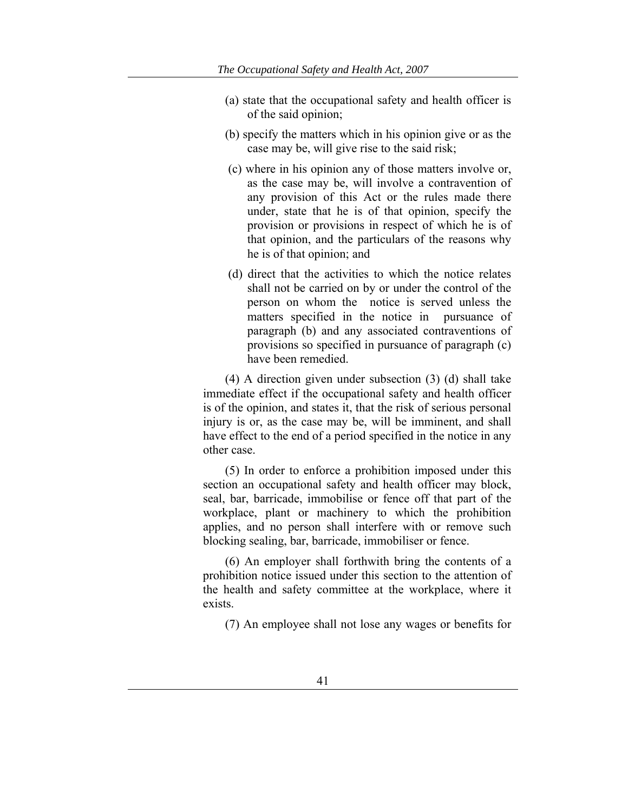- (a) state that the occupational safety and health officer is of the said opinion;
- (b) specify the matters which in his opinion give or as the case may be, will give rise to the said risk;
- (c) where in his opinion any of those matters involve or, as the case may be, will involve a contravention of any provision of this Act or the rules made there under, state that he is of that opinion, specify the provision or provisions in respect of which he is of that opinion, and the particulars of the reasons why he is of that opinion; and
- (d) direct that the activities to which the notice relates shall not be carried on by or under the control of the person on whom the notice is served unless the matters specified in the notice in pursuance of paragraph (b) and any associated contraventions of provisions so specified in pursuance of paragraph (c) have been remedied.

(4) A direction given under subsection (3) (d) shall take immediate effect if the occupational safety and health officer is of the opinion, and states it, that the risk of serious personal injury is or, as the case may be, will be imminent, and shall have effect to the end of a period specified in the notice in any other case.

(5) In order to enforce a prohibition imposed under this section an occupational safety and health officer may block, seal, bar, barricade, immobilise or fence off that part of the workplace, plant or machinery to which the prohibition applies, and no person shall interfere with or remove such blocking sealing, bar, barricade, immobiliser or fence.

(6) An employer shall forthwith bring the contents of a prohibition notice issued under this section to the attention of the health and safety committee at the workplace, where it exists.

(7) An employee shall not lose any wages or benefits for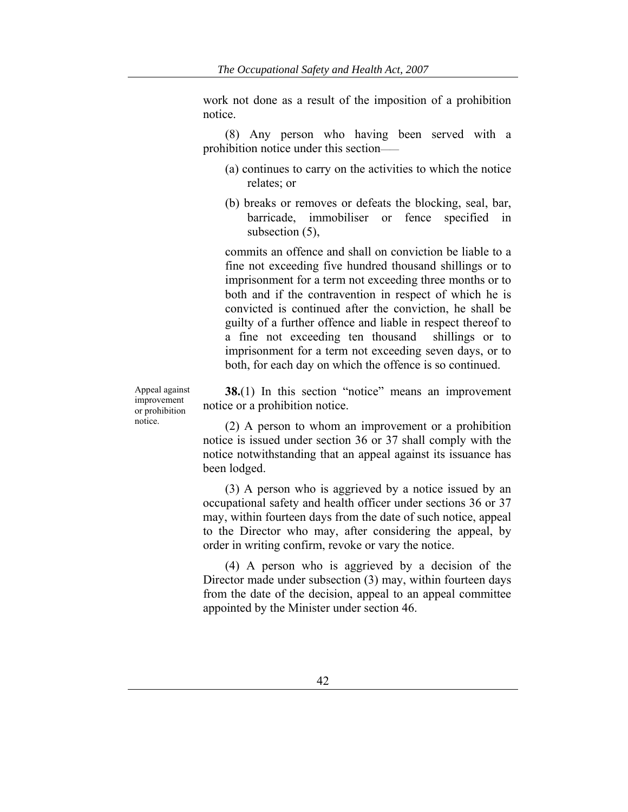work not done as a result of the imposition of a prohibition notice.

(8) Any person who having been served with a prohibition notice under this section——

- (a) continues to carry on the activities to which the notice relates; or
- (b) breaks or removes or defeats the blocking, seal, bar, barricade, immobiliser or fence specified in subsection (5),

commits an offence and shall on conviction be liable to a fine not exceeding five hundred thousand shillings or to imprisonment for a term not exceeding three months or to both and if the contravention in respect of which he is convicted is continued after the conviction, he shall be guilty of a further offence and liable in respect thereof to a fine not exceeding ten thousand shillings or to imprisonment for a term not exceeding seven days, or to both, for each day on which the offence is so continued.

Appeal against improvement or prohibition notice.

**38.**(1) In this section "notice" means an improvement notice or a prohibition notice.

(2) A person to whom an improvement or a prohibition notice is issued under section 36 or 37 shall comply with the notice notwithstanding that an appeal against its issuance has been lodged.

(3) A person who is aggrieved by a notice issued by an occupational safety and health officer under sections 36 or 37 may, within fourteen days from the date of such notice, appeal to the Director who may, after considering the appeal, by order in writing confirm, revoke or vary the notice.

(4) A person who is aggrieved by a decision of the Director made under subsection (3) may, within fourteen days from the date of the decision, appeal to an appeal committee appointed by the Minister under section 46.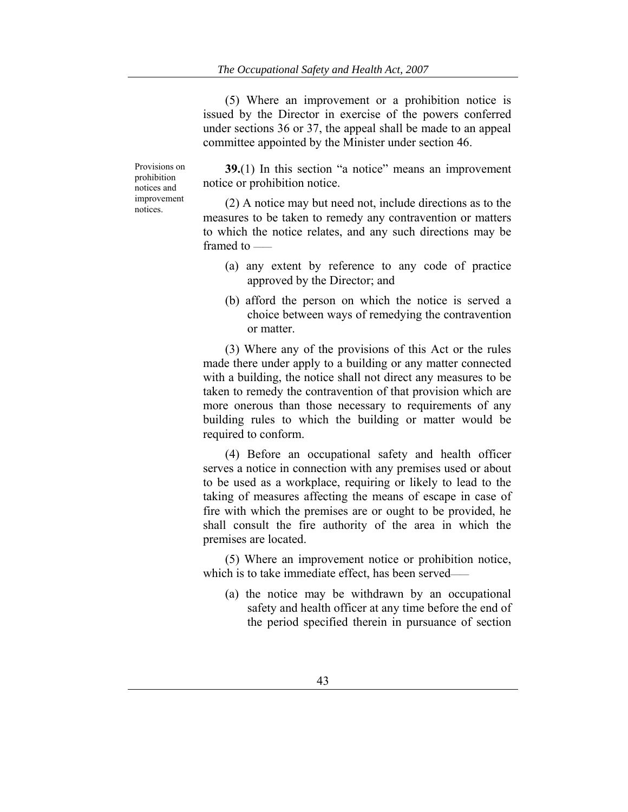(5) Where an improvement or a prohibition notice is issued by the Director in exercise of the powers conferred under sections 36 or 37, the appeal shall be made to an appeal committee appointed by the Minister under section 46.

Provisions on prohibition notices and improvement notices.

**39.**(1) In this section "a notice" means an improvement notice or prohibition notice.

(2) A notice may but need not, include directions as to the measures to be taken to remedy any contravention or matters to which the notice relates, and any such directions may be framed to ——

- (a) any extent by reference to any code of practice approved by the Director; and
- (b) afford the person on which the notice is served a choice between ways of remedying the contravention or matter.

(3) Where any of the provisions of this Act or the rules made there under apply to a building or any matter connected with a building, the notice shall not direct any measures to be taken to remedy the contravention of that provision which are more onerous than those necessary to requirements of any building rules to which the building or matter would be required to conform.

(4) Before an occupational safety and health officer serves a notice in connection with any premises used or about to be used as a workplace, requiring or likely to lead to the taking of measures affecting the means of escape in case of fire with which the premises are or ought to be provided, he shall consult the fire authority of the area in which the premises are located.

(5) Where an improvement notice or prohibition notice, which is to take immediate effect, has been served–

(a) the notice may be withdrawn by an occupational safety and health officer at any time before the end of the period specified therein in pursuance of section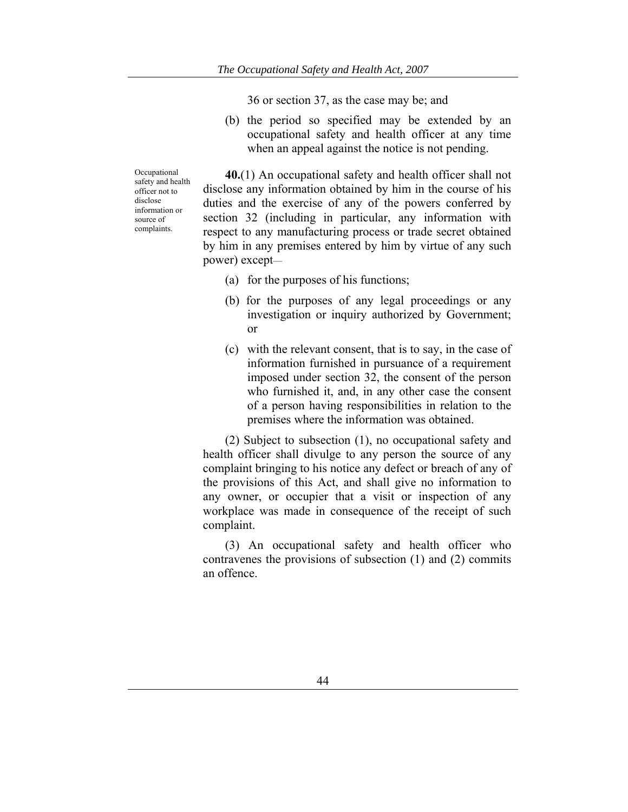36 or section 37, as the case may be; and

(b) the period so specified may be extended by an occupational safety and health officer at any time when an appeal against the notice is not pending.

Occupational safety and health officer not to disclose information or source of complaints.

**40.**(1) An occupational safety and health officer shall not disclose any information obtained by him in the course of his duties and the exercise of any of the powers conferred by section 32 (including in particular, any information with respect to any manufacturing process or trade secret obtained by him in any premises entered by him by virtue of any such power) except—

- (a) for the purposes of his functions;
- (b) for the purposes of any legal proceedings or any investigation or inquiry authorized by Government; or
- (c) with the relevant consent, that is to say, in the case of information furnished in pursuance of a requirement imposed under section 32, the consent of the person who furnished it, and, in any other case the consent of a person having responsibilities in relation to the premises where the information was obtained.

(2) Subject to subsection (1), no occupational safety and health officer shall divulge to any person the source of any complaint bringing to his notice any defect or breach of any of the provisions of this Act, and shall give no information to any owner, or occupier that a visit or inspection of any workplace was made in consequence of the receipt of such complaint.

(3) An occupational safety and health officer who contravenes the provisions of subsection (1) and (2) commits an offence.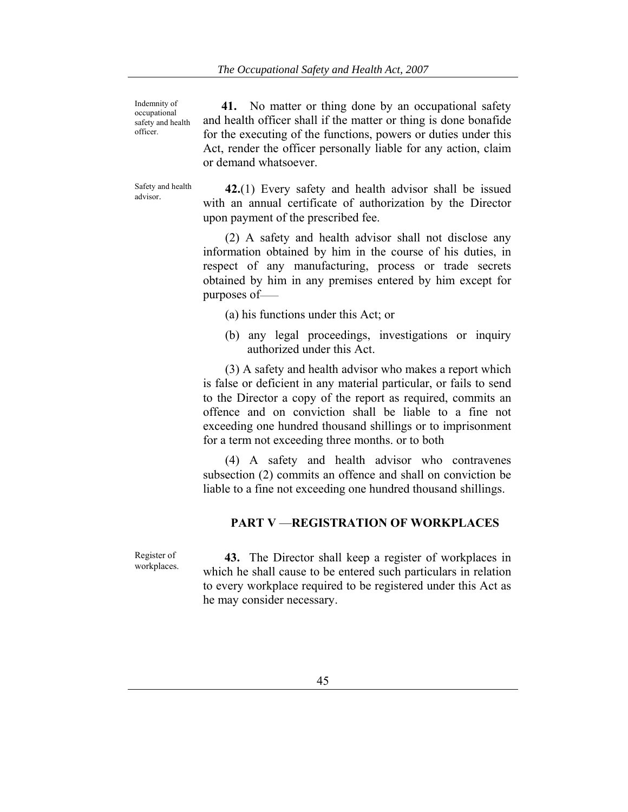Indemnity of occupational safety and health officer.

 **41.** No matter or thing done by an occupational safety and health officer shall if the matter or thing is done bonafide for the executing of the functions, powers or duties under this Act, render the officer personally liable for any action, claim or demand whatsoever.

Safety and health

Safety and health  $\frac{42.1}{1}$  Every safety and health advisor shall be issued with an annual certificate of authorization by the Director upon payment of the prescribed fee.

> (2) A safety and health advisor shall not disclose any information obtained by him in the course of his duties, in respect of any manufacturing, process or trade secrets obtained by him in any premises entered by him except for purposes of——

- (a) his functions under this Act; or
- (b) any legal proceedings, investigations or inquiry authorized under this Act.

(3) A safety and health advisor who makes a report which is false or deficient in any material particular, or fails to send to the Director a copy of the report as required, commits an offence and on conviction shall be liable to a fine not exceeding one hundred thousand shillings or to imprisonment for a term not exceeding three months. or to both

(4) A safety and health advisor who contravenes subsection (2) commits an offence and shall on conviction be liable to a fine not exceeding one hundred thousand shillings.

## **PART V** —**REGISTRATION OF WORKPLACES**

Register of workplaces.

 **43.** The Director shall keep a register of workplaces in which he shall cause to be entered such particulars in relation to every workplace required to be registered under this Act as he may consider necessary.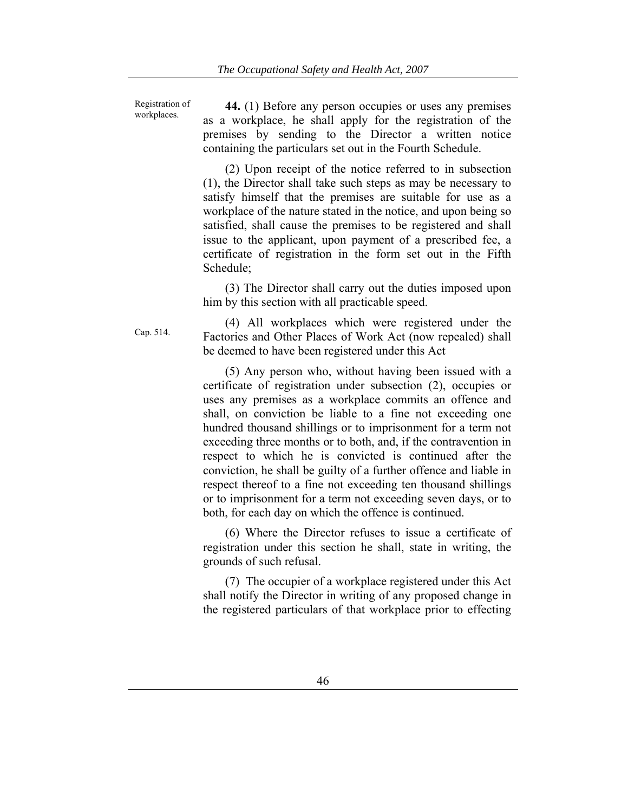Registration of workplaces.

**44.** (1) Before any person occupies or uses any premises as a workplace, he shall apply for the registration of the premises by sending to the Director a written notice containing the particulars set out in the Fourth Schedule.

(2) Upon receipt of the notice referred to in subsection (1), the Director shall take such steps as may be necessary to satisfy himself that the premises are suitable for use as a workplace of the nature stated in the notice, and upon being so satisfied, shall cause the premises to be registered and shall issue to the applicant, upon payment of a prescribed fee, a certificate of registration in the form set out in the Fifth Schedule;

(3) The Director shall carry out the duties imposed upon him by this section with all practicable speed.

(4) All workplaces which were registered under the Factories and Other Places of Work Act (now repealed) shall be deemed to have been registered under this Act

(5) Any person who, without having been issued with a certificate of registration under subsection (2), occupies or uses any premises as a workplace commits an offence and shall, on conviction be liable to a fine not exceeding one hundred thousand shillings or to imprisonment for a term not exceeding three months or to both, and, if the contravention in respect to which he is convicted is continued after the conviction, he shall be guilty of a further offence and liable in respect thereof to a fine not exceeding ten thousand shillings or to imprisonment for a term not exceeding seven days, or to both, for each day on which the offence is continued.

(6) Where the Director refuses to issue a certificate of registration under this section he shall, state in writing, the grounds of such refusal.

(7) The occupier of a workplace registered under this Act shall notify the Director in writing of any proposed change in the registered particulars of that workplace prior to effecting

Cap. 514.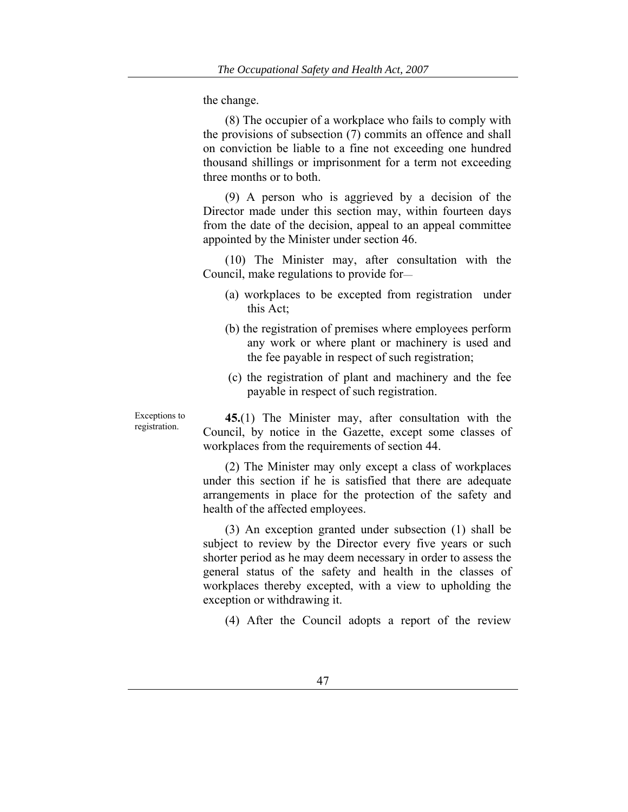the change.

(8) The occupier of a workplace who fails to comply with the provisions of subsection (7) commits an offence and shall on conviction be liable to a fine not exceeding one hundred thousand shillings or imprisonment for a term not exceeding three months or to both.

(9) A person who is aggrieved by a decision of the Director made under this section may, within fourteen days from the date of the decision, appeal to an appeal committee appointed by the Minister under section 46.

(10) The Minister may, after consultation with the Council, make regulations to provide for—

- (a) workplaces to be excepted from registration under this Act;
- (b) the registration of premises where employees perform any work or where plant or machinery is used and the fee payable in respect of such registration;
- (c) the registration of plant and machinery and the fee payable in respect of such registration.

**45.**(1) The Minister may, after consultation with the Council, by notice in the Gazette, except some classes of workplaces from the requirements of section 44.

(2) The Minister may only except a class of workplaces under this section if he is satisfied that there are adequate arrangements in place for the protection of the safety and health of the affected employees.

(3) An exception granted under subsection (1) shall be subject to review by the Director every five years or such shorter period as he may deem necessary in order to assess the general status of the safety and health in the classes of workplaces thereby excepted, with a view to upholding the exception or withdrawing it.

(4) After the Council adopts a report of the review

Exceptions to registration.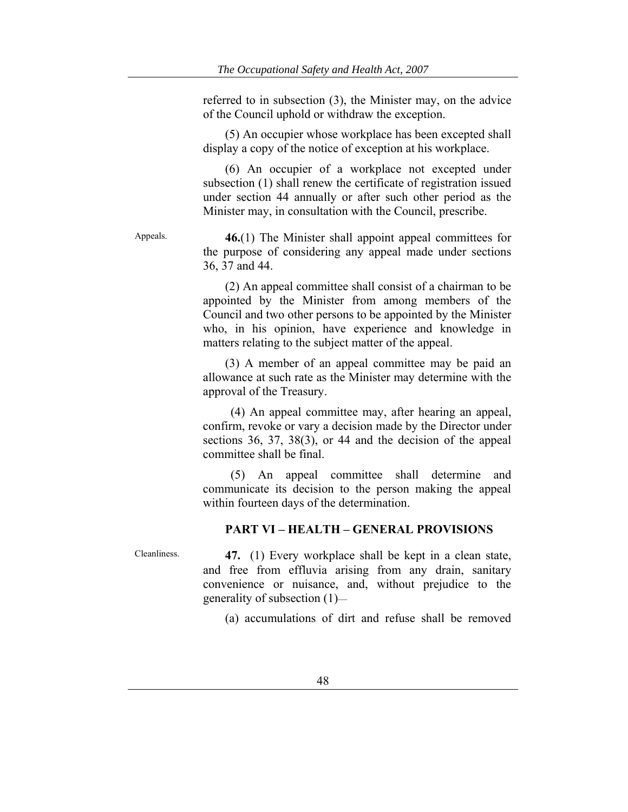referred to in subsection (3), the Minister may, on the advice of the Council uphold or withdraw the exception.

(5) An occupier whose workplace has been excepted shall display a copy of the notice of exception at his workplace.

(6) An occupier of a workplace not excepted under subsection (1) shall renew the certificate of registration issued under section 44 annually or after such other period as the Minister may, in consultation with the Council, prescribe.

Appeals. **46.**(1) The Minister shall appoint appeal committees for the purpose of considering any appeal made under sections 36, 37 and 44.

> (2) An appeal committee shall consist of a chairman to be appointed by the Minister from among members of the Council and two other persons to be appointed by the Minister who, in his opinion, have experience and knowledge in matters relating to the subject matter of the appeal.

> (3) A member of an appeal committee may be paid an allowance at such rate as the Minister may determine with the approval of the Treasury.

> (4) An appeal committee may, after hearing an appeal, confirm, revoke or vary a decision made by the Director under sections 36, 37, 38(3), or 44 and the decision of the appeal committee shall be final.

> (5) An appeal committee shall determine and communicate its decision to the person making the appeal within fourteen days of the determination.

## **PART VI – HEALTH – GENERAL PROVISIONS**

Cleanliness. **47.** (1) Every workplace shall be kept in a clean state, and free from effluvia arising from any drain, sanitary convenience or nuisance, and, without prejudice to the generality of subsection (1)—

(a) accumulations of dirt and refuse shall be removed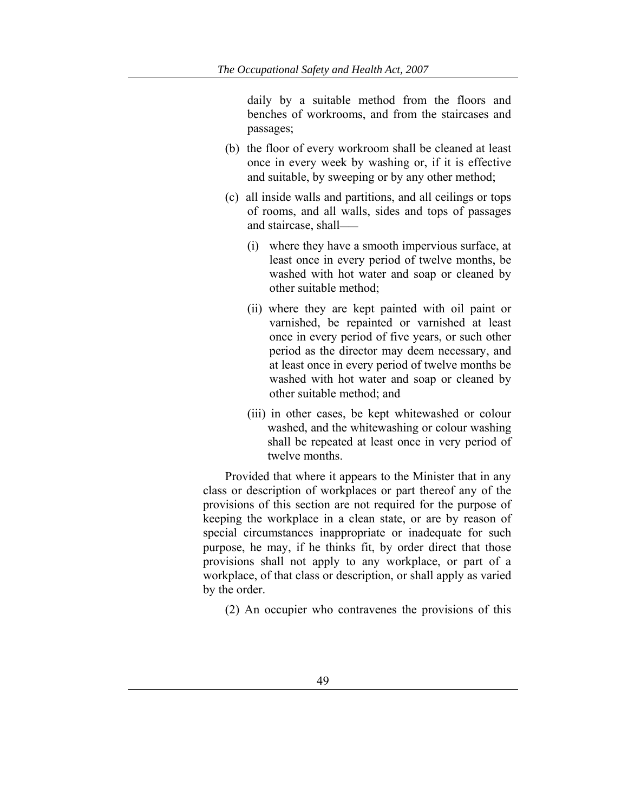daily by a suitable method from the floors and benches of workrooms, and from the staircases and passages;

- (b) the floor of every workroom shall be cleaned at least once in every week by washing or, if it is effective and suitable, by sweeping or by any other method;
- (c) all inside walls and partitions, and all ceilings or tops of rooms, and all walls, sides and tops of passages and staircase, shall——
	- (i) where they have a smooth impervious surface, at least once in every period of twelve months, be washed with hot water and soap or cleaned by other suitable method;
	- (ii) where they are kept painted with oil paint or varnished, be repainted or varnished at least once in every period of five years, or such other period as the director may deem necessary, and at least once in every period of twelve months be washed with hot water and soap or cleaned by other suitable method; and
	- (iii) in other cases, be kept whitewashed or colour washed, and the whitewashing or colour washing shall be repeated at least once in very period of twelve months.

Provided that where it appears to the Minister that in any class or description of workplaces or part thereof any of the provisions of this section are not required for the purpose of keeping the workplace in a clean state, or are by reason of special circumstances inappropriate or inadequate for such purpose, he may, if he thinks fit, by order direct that those provisions shall not apply to any workplace, or part of a workplace, of that class or description, or shall apply as varied by the order.

(2) An occupier who contravenes the provisions of this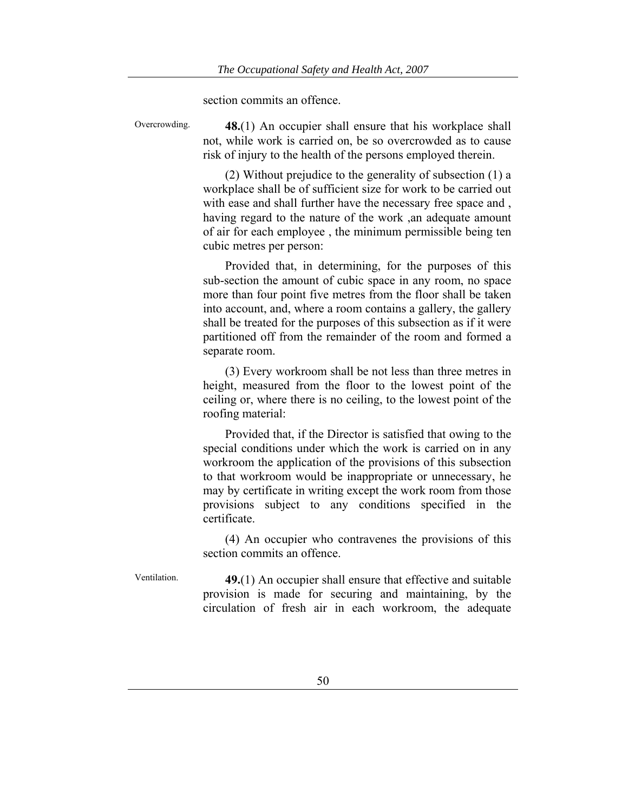section commits an offence.

Overcrowding. **48.**(1) An occupier shall ensure that his workplace shall not, while work is carried on, be so overcrowded as to cause risk of injury to the health of the persons employed therein.

> (2) Without prejudice to the generality of subsection (1) a workplace shall be of sufficient size for work to be carried out with ease and shall further have the necessary free space and , having regard to the nature of the work ,an adequate amount of air for each employee , the minimum permissible being ten cubic metres per person:

> Provided that, in determining, for the purposes of this sub-section the amount of cubic space in any room, no space more than four point five metres from the floor shall be taken into account, and, where a room contains a gallery, the gallery shall be treated for the purposes of this subsection as if it were partitioned off from the remainder of the room and formed a separate room.

> (3) Every workroom shall be not less than three metres in height, measured from the floor to the lowest point of the ceiling or, where there is no ceiling, to the lowest point of the roofing material:

> Provided that, if the Director is satisfied that owing to the special conditions under which the work is carried on in any workroom the application of the provisions of this subsection to that workroom would be inappropriate or unnecessary, he may by certificate in writing except the work room from those provisions subject to any conditions specified in the certificate.

> (4) An occupier who contravenes the provisions of this section commits an offence.

Ventilation. **49.**(1) An occupier shall ensure that effective and suitable provision is made for securing and maintaining, by the circulation of fresh air in each workroom, the adequate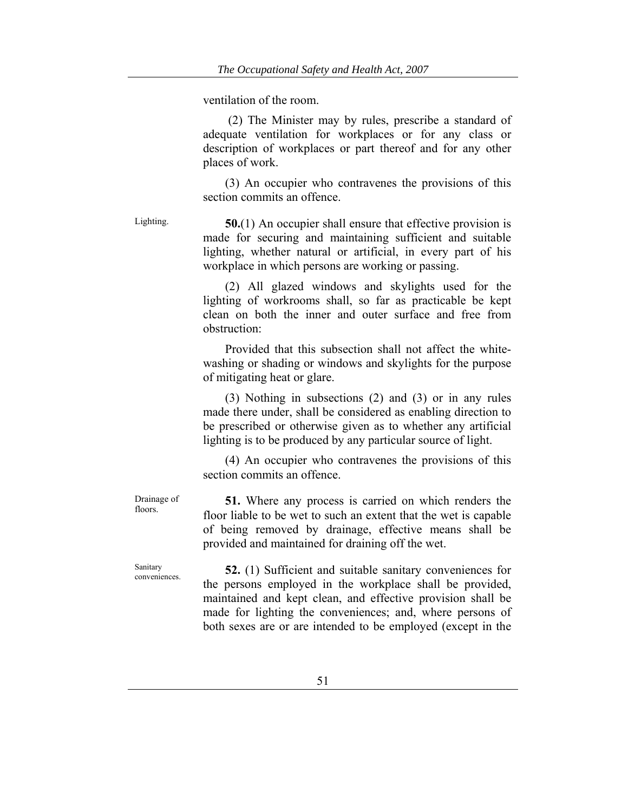ventilation of the room.

 (2) The Minister may by rules, prescribe a standard of adequate ventilation for workplaces or for any class or description of workplaces or part thereof and for any other places of work.

(3) An occupier who contravenes the provisions of this section commits an offence.

Lighting. **50.**(1) An occupier shall ensure that effective provision is made for securing and maintaining sufficient and suitable lighting, whether natural or artificial, in every part of his workplace in which persons are working or passing.

> (2) All glazed windows and skylights used for the lighting of workrooms shall, so far as practicable be kept clean on both the inner and outer surface and free from obstruction:

> Provided that this subsection shall not affect the whitewashing or shading or windows and skylights for the purpose of mitigating heat or glare.

> (3) Nothing in subsections (2) and (3) or in any rules made there under, shall be considered as enabling direction to be prescribed or otherwise given as to whether any artificial lighting is to be produced by any particular source of light.

> (4) An occupier who contravenes the provisions of this section commits an offence.

> **51.** Where any process is carried on which renders the floor liable to be wet to such an extent that the wet is capable of being removed by drainage, effective means shall be provided and maintained for draining off the wet.

Sanitary

Drainage of floors.

Sanitary conveniences. **52.** (1) Sufficient and suitable sanitary conveniences for the persons employed in the workplace shall be provided, maintained and kept clean, and effective provision shall be made for lighting the conveniences; and, where persons of both sexes are or are intended to be employed (except in the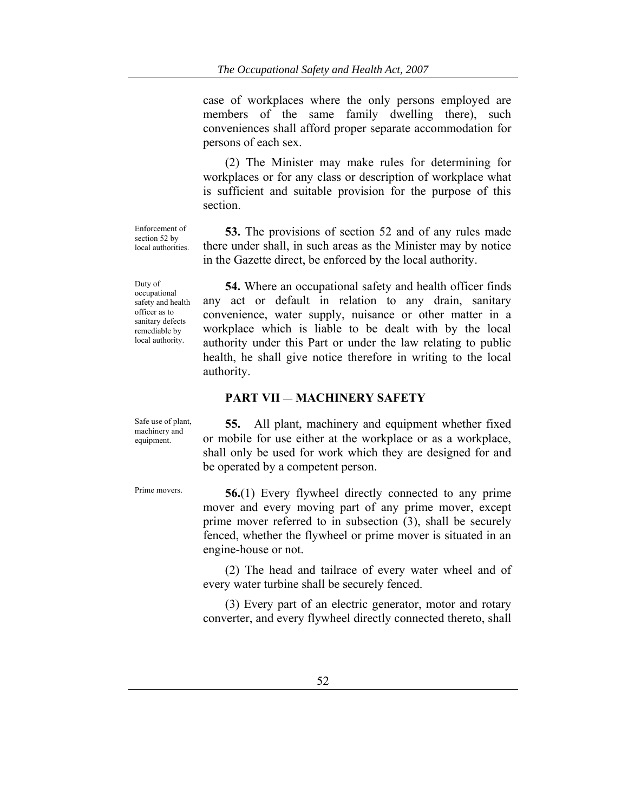case of workplaces where the only persons employed are members of the same family dwelling there), such conveniences shall afford proper separate accommodation for persons of each sex.

(2) The Minister may make rules for determining for workplaces or for any class or description of workplace what is sufficient and suitable provision for the purpose of this section.

**53.** The provisions of section 52 and of any rules made there under shall, in such areas as the Minister may by notice in the Gazette direct, be enforced by the local authority.

**54.** Where an occupational safety and health officer finds any act or default in relation to any drain, sanitary convenience, water supply, nuisance or other matter in a workplace which is liable to be dealt with by the local authority under this Part or under the law relating to public health, he shall give notice therefore in writing to the local authority.

## **PART VII** — **MACHINERY SAFETY**

Safe use of plant, machinery and equipment.

Enforcement of section 52 by local authorities.

Duty of occupational safety and health officer as to sanitary defects remediable by local authority.

**55.** All plant, machinery and equipment whether fixed or mobile for use either at the workplace or as a workplace, shall only be used for work which they are designed for and be operated by a competent person.

Prime movers. **56.**(1) Every flywheel directly connected to any prime mover and every moving part of any prime mover, except prime mover referred to in subsection (3), shall be securely fenced, whether the flywheel or prime mover is situated in an engine-house or not.

> (2) The head and tailrace of every water wheel and of every water turbine shall be securely fenced.

> (3) Every part of an electric generator, motor and rotary converter, and every flywheel directly connected thereto, shall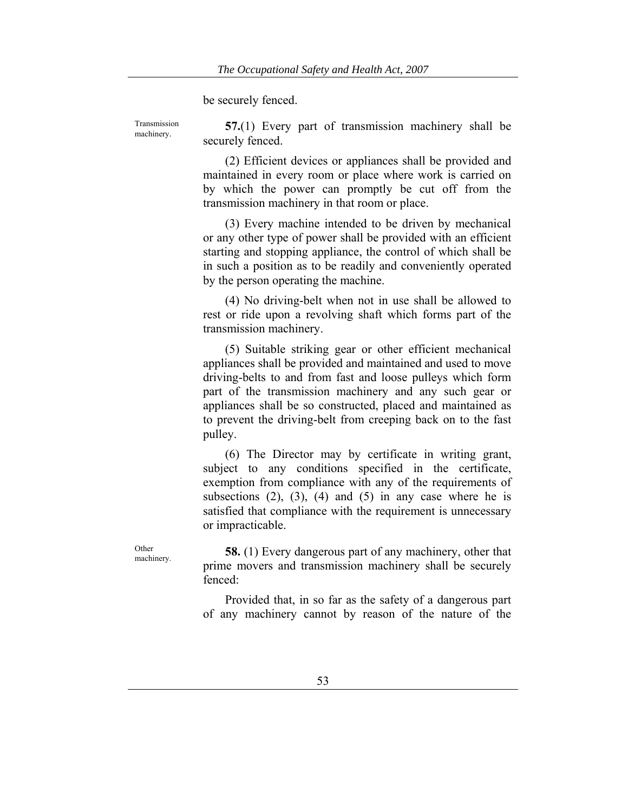be securely fenced.

Transmission

machinery. **57.**(1) Every part of transmission machinery shall be securely fenced.

> (2) Efficient devices or appliances shall be provided and maintained in every room or place where work is carried on by which the power can promptly be cut off from the transmission machinery in that room or place.

> (3) Every machine intended to be driven by mechanical or any other type of power shall be provided with an efficient starting and stopping appliance, the control of which shall be in such a position as to be readily and conveniently operated by the person operating the machine.

> (4) No driving-belt when not in use shall be allowed to rest or ride upon a revolving shaft which forms part of the transmission machinery.

> (5) Suitable striking gear or other efficient mechanical appliances shall be provided and maintained and used to move driving-belts to and from fast and loose pulleys which form part of the transmission machinery and any such gear or appliances shall be so constructed, placed and maintained as to prevent the driving-belt from creeping back on to the fast pulley.

> (6) The Director may by certificate in writing grant, subject to any conditions specified in the certificate, exemption from compliance with any of the requirements of subsections  $(2)$ ,  $(3)$ ,  $(4)$  and  $(5)$  in any case where he is satisfied that compliance with the requirement is unnecessary or impracticable.

<sup>Other</sup> 58. (1) Every dangerous part of any machinery, other that prime movers and transmission machinery shall be securely fenced:

> Provided that, in so far as the safety of a dangerous part of any machinery cannot by reason of the nature of the

**Other**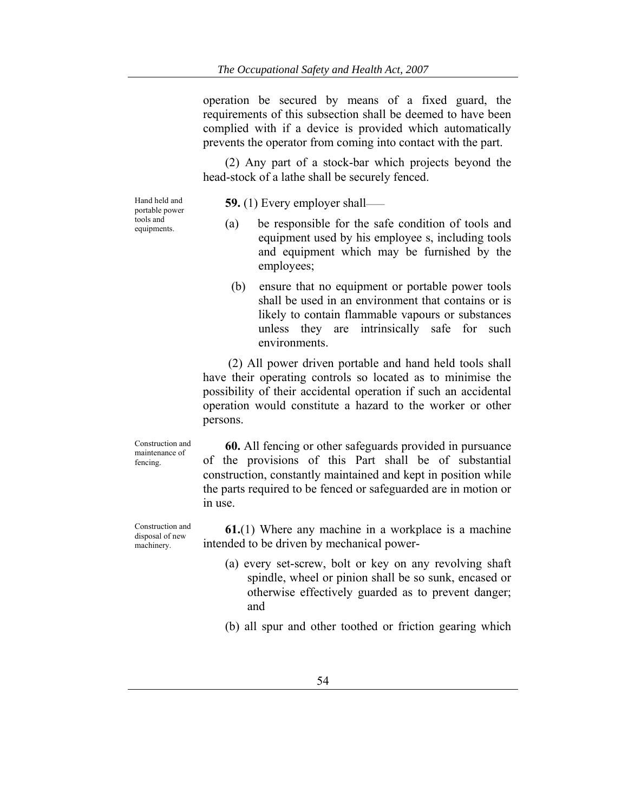operation be secured by means of a fixed guard, the requirements of this subsection shall be deemed to have been complied with if a device is provided which automatically prevents the operator from coming into contact with the part.

(2) Any part of a stock-bar which projects beyond the head-stock of a lathe shall be securely fenced.

Hand held and portable power tools and equipments.

**59.** (1) Every employer shall——

- (a) be responsible for the safe condition of tools and equipment used by his employee s, including tools and equipment which may be furnished by the employees;
- (b) ensure that no equipment or portable power tools shall be used in an environment that contains or is likely to contain flammable vapours or substances unless they are intrinsically safe for such environments.

 (2) All power driven portable and hand held tools shall have their operating controls so located as to minimise the possibility of their accidental operation if such an accidental operation would constitute a hazard to the worker or other persons.

Construction and maintenance of fencing.

**60.** All fencing or other safeguards provided in pursuance of the provisions of this Part shall be of substantial construction, constantly maintained and kept in position while the parts required to be fenced or safeguarded are in motion or in use.

Construction and disposal of new machinery.

**61.**(1) Where any machine in a workplace is a machine intended to be driven by mechanical power-

- (a) every set-screw, bolt or key on any revolving shaft spindle, wheel or pinion shall be so sunk, encased or otherwise effectively guarded as to prevent danger; and
- (b) all spur and other toothed or friction gearing which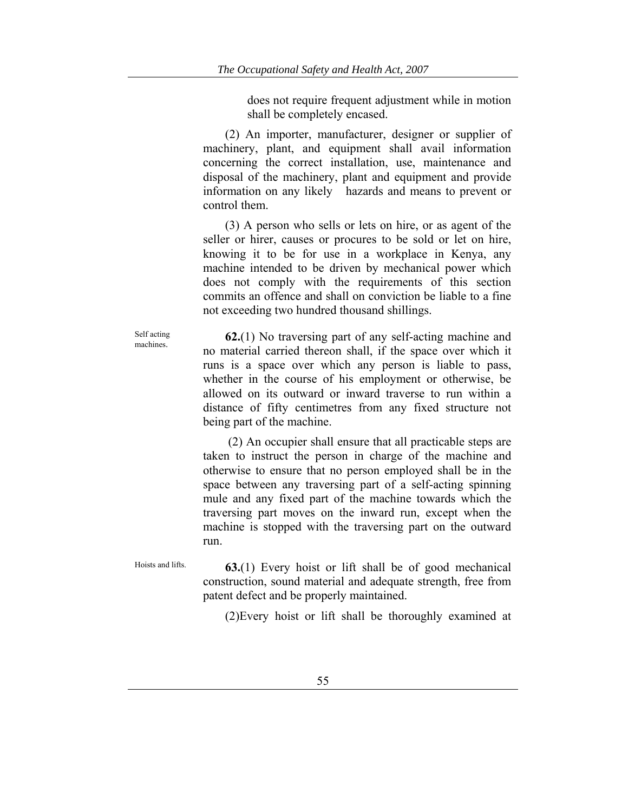does not require frequent adjustment while in motion shall be completely encased.

(2) An importer, manufacturer, designer or supplier of machinery, plant, and equipment shall avail information concerning the correct installation, use, maintenance and disposal of the machinery, plant and equipment and provide information on any likely hazards and means to prevent or control them.

(3) A person who sells or lets on hire, or as agent of the seller or hirer, causes or procures to be sold or let on hire, knowing it to be for use in a workplace in Kenya, any machine intended to be driven by mechanical power which does not comply with the requirements of this section commits an offence and shall on conviction be liable to a fine not exceeding two hundred thousand shillings.

Self acting

Self acting  $\frac{62.1}{1}$  No traversing part of any self-acting machine and no material carried thereon shall, if the space over which it runs is a space over which any person is liable to pass, whether in the course of his employment or otherwise, be allowed on its outward or inward traverse to run within a distance of fifty centimetres from any fixed structure not being part of the machine.

> (2) An occupier shall ensure that all practicable steps are taken to instruct the person in charge of the machine and otherwise to ensure that no person employed shall be in the space between any traversing part of a self-acting spinning mule and any fixed part of the machine towards which the traversing part moves on the inward run, except when the machine is stopped with the traversing part on the outward run.

Hoists and lifts. **63.**(1) Every hoist or lift shall be of good mechanical construction, sound material and adequate strength, free from patent defect and be properly maintained.

(2)Every hoist or lift shall be thoroughly examined at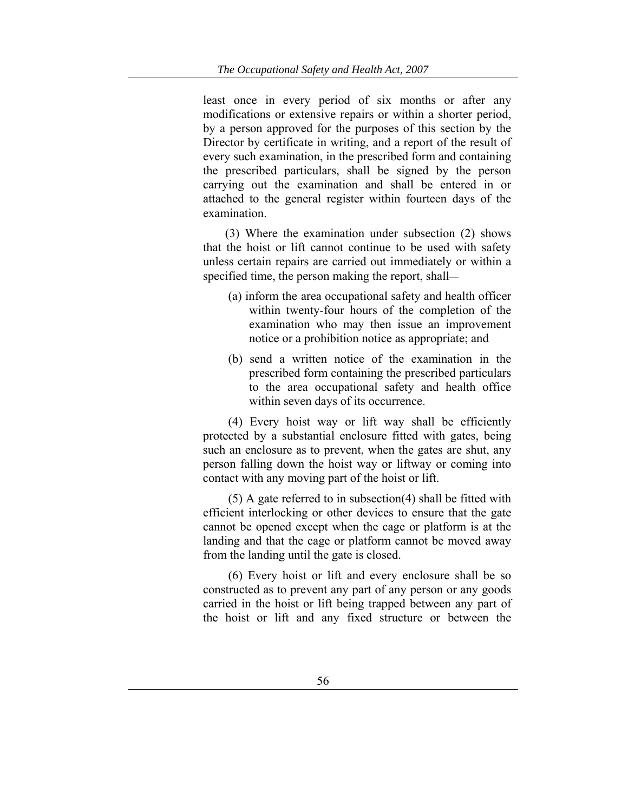least once in every period of six months or after any modifications or extensive repairs or within a shorter period, by a person approved for the purposes of this section by the Director by certificate in writing, and a report of the result of every such examination, in the prescribed form and containing the prescribed particulars, shall be signed by the person carrying out the examination and shall be entered in or attached to the general register within fourteen days of the examination.

(3) Where the examination under subsection (2) shows that the hoist or lift cannot continue to be used with safety unless certain repairs are carried out immediately or within a specified time, the person making the report, shall—

- (a) inform the area occupational safety and health officer within twenty-four hours of the completion of the examination who may then issue an improvement notice or a prohibition notice as appropriate; and
- (b) send a written notice of the examination in the prescribed form containing the prescribed particulars to the area occupational safety and health office within seven days of its occurrence.

 (4) Every hoist way or lift way shall be efficiently protected by a substantial enclosure fitted with gates, being such an enclosure as to prevent, when the gates are shut, any person falling down the hoist way or liftway or coming into contact with any moving part of the hoist or lift.

 (5) A gate referred to in subsection(4) shall be fitted with efficient interlocking or other devices to ensure that the gate cannot be opened except when the cage or platform is at the landing and that the cage or platform cannot be moved away from the landing until the gate is closed.

 (6) Every hoist or lift and every enclosure shall be so constructed as to prevent any part of any person or any goods carried in the hoist or lift being trapped between any part of the hoist or lift and any fixed structure or between the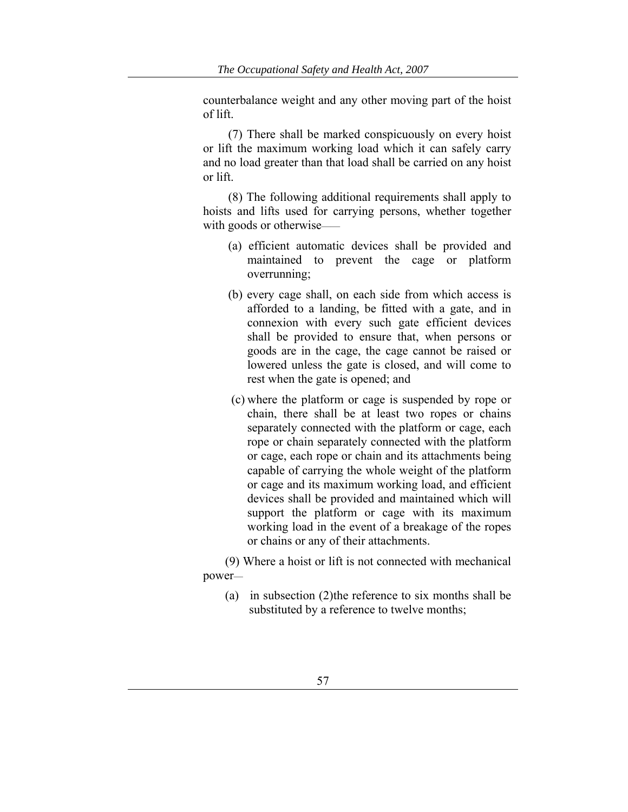counterbalance weight and any other moving part of the hoist of lift.

 (7) There shall be marked conspicuously on every hoist or lift the maximum working load which it can safely carry and no load greater than that load shall be carried on any hoist or lift.

 (8) The following additional requirements shall apply to hoists and lifts used for carrying persons, whether together with goods or otherwise—

- (a) efficient automatic devices shall be provided and maintained to prevent the cage or platform overrunning;
- (b) every cage shall, on each side from which access is afforded to a landing, be fitted with a gate, and in connexion with every such gate efficient devices shall be provided to ensure that, when persons or goods are in the cage, the cage cannot be raised or lowered unless the gate is closed, and will come to rest when the gate is opened; and
- (c) where the platform or cage is suspended by rope or chain, there shall be at least two ropes or chains separately connected with the platform or cage, each rope or chain separately connected with the platform or cage, each rope or chain and its attachments being capable of carrying the whole weight of the platform or cage and its maximum working load, and efficient devices shall be provided and maintained which will support the platform or cage with its maximum working load in the event of a breakage of the ropes or chains or any of their attachments.

(9) Where a hoist or lift is not connected with mechanical power—

(a) in subsection (2)the reference to six months shall be substituted by a reference to twelve months;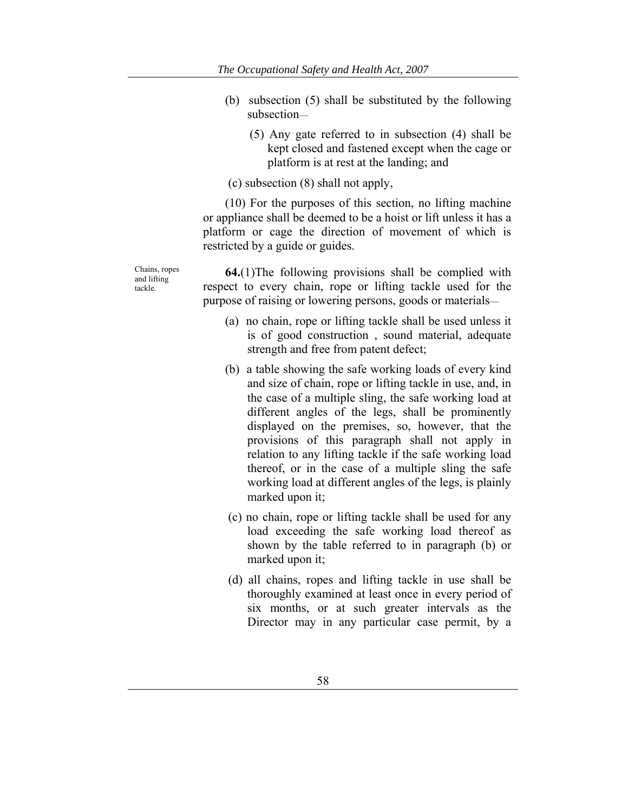- (b) subsection (5) shall be substituted by the following subsection—
	- (5) Any gate referred to in subsection (4) shall be kept closed and fastened except when the cage or platform is at rest at the landing; and

(c) subsection (8) shall not apply,

(10) For the purposes of this section, no lifting machine or appliance shall be deemed to be a hoist or lift unless it has a platform or cage the direction of movement of which is restricted by a guide or guides.

Chains, ropes and lifting tackle.

**64.**(1)The following provisions shall be complied with respect to every chain, rope or lifting tackle used for the purpose of raising or lowering persons, goods or materials—

- (a) no chain, rope or lifting tackle shall be used unless it is of good construction , sound material, adequate strength and free from patent defect;
- (b) a table showing the safe working loads of every kind and size of chain, rope or lifting tackle in use, and, in the case of a multiple sling, the safe working load at different angles of the legs, shall be prominently displayed on the premises, so, however, that the provisions of this paragraph shall not apply in relation to any lifting tackle if the safe working load thereof, or in the case of a multiple sling the safe working load at different angles of the legs, is plainly marked upon it;
- (c) no chain, rope or lifting tackle shall be used for any load exceeding the safe working load thereof as shown by the table referred to in paragraph (b) or marked upon it;
- (d) all chains, ropes and lifting tackle in use shall be thoroughly examined at least once in every period of six months, or at such greater intervals as the Director may in any particular case permit, by a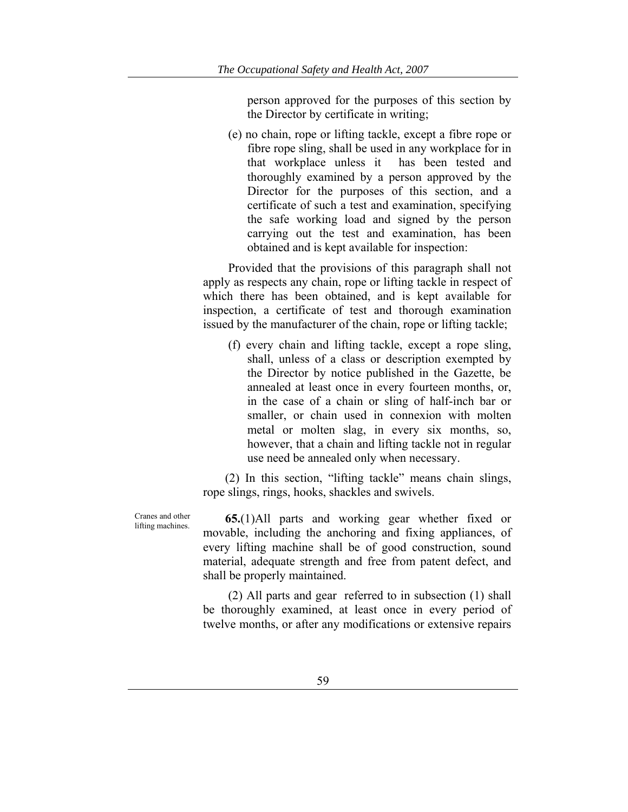person approved for the purposes of this section by the Director by certificate in writing;

 (e) no chain, rope or lifting tackle, except a fibre rope or fibre rope sling, shall be used in any workplace for in that workplace unless it has been tested and thoroughly examined by a person approved by the Director for the purposes of this section, and a certificate of such a test and examination, specifying the safe working load and signed by the person carrying out the test and examination, has been obtained and is kept available for inspection:

 Provided that the provisions of this paragraph shall not apply as respects any chain, rope or lifting tackle in respect of which there has been obtained, and is kept available for inspection, a certificate of test and thorough examination issued by the manufacturer of the chain, rope or lifting tackle;

 (f) every chain and lifting tackle, except a rope sling, shall, unless of a class or description exempted by the Director by notice published in the Gazette, be annealed at least once in every fourteen months, or, in the case of a chain or sling of half-inch bar or smaller, or chain used in connexion with molten metal or molten slag, in every six months, so, however, that a chain and lifting tackle not in regular use need be annealed only when necessary.

(2) In this section, "lifting tackle" means chain slings, rope slings, rings, hooks, shackles and swivels.

lifting machines. **65.**(1)All parts and working gear whether fixed or movable, including the anchoring and fixing appliances, of every lifting machine shall be of good construction, sound material, adequate strength and free from patent defect, and shall be properly maintained.

> (2) All parts and gear referred to in subsection (1) shall be thoroughly examined, at least once in every period of twelve months, or after any modifications or extensive repairs

Cranes and other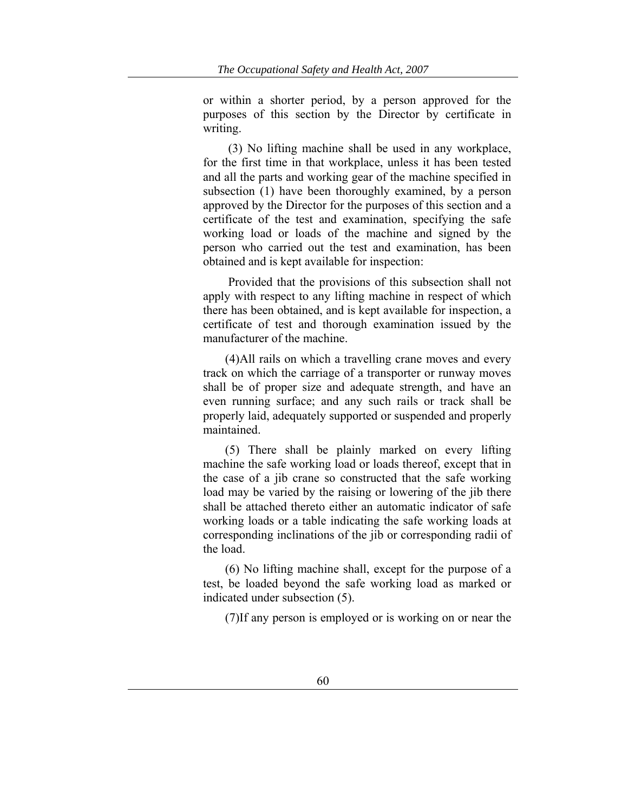or within a shorter period, by a person approved for the purposes of this section by the Director by certificate in writing.

 (3) No lifting machine shall be used in any workplace, for the first time in that workplace, unless it has been tested and all the parts and working gear of the machine specified in subsection (1) have been thoroughly examined, by a person approved by the Director for the purposes of this section and a certificate of the test and examination, specifying the safe working load or loads of the machine and signed by the person who carried out the test and examination, has been obtained and is kept available for inspection:

 Provided that the provisions of this subsection shall not apply with respect to any lifting machine in respect of which there has been obtained, and is kept available for inspection, a certificate of test and thorough examination issued by the manufacturer of the machine.

(4)All rails on which a travelling crane moves and every track on which the carriage of a transporter or runway moves shall be of proper size and adequate strength, and have an even running surface; and any such rails or track shall be properly laid, adequately supported or suspended and properly maintained.

(5) There shall be plainly marked on every lifting machine the safe working load or loads thereof, except that in the case of a jib crane so constructed that the safe working load may be varied by the raising or lowering of the jib there shall be attached thereto either an automatic indicator of safe working loads or a table indicating the safe working loads at corresponding inclinations of the jib or corresponding radii of the load.

(6) No lifting machine shall, except for the purpose of a test, be loaded beyond the safe working load as marked or indicated under subsection (5).

(7)If any person is employed or is working on or near the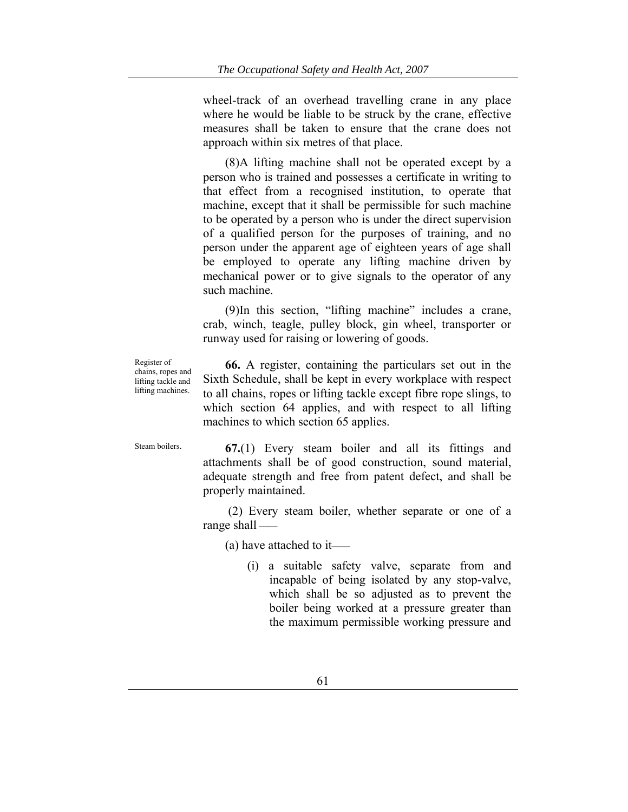wheel-track of an overhead travelling crane in any place where he would be liable to be struck by the crane, effective measures shall be taken to ensure that the crane does not approach within six metres of that place.

(8)A lifting machine shall not be operated except by a person who is trained and possesses a certificate in writing to that effect from a recognised institution, to operate that machine, except that it shall be permissible for such machine to be operated by a person who is under the direct supervision of a qualified person for the purposes of training, and no person under the apparent age of eighteen years of age shall be employed to operate any lifting machine driven by mechanical power or to give signals to the operator of any such machine.

(9)In this section, "lifting machine" includes a crane, crab, winch, teagle, pulley block, gin wheel, transporter or runway used for raising or lowering of goods.

Register of chains, ropes and lifting tackle and lifting machines.

**66.** A register, containing the particulars set out in the Sixth Schedule, shall be kept in every workplace with respect to all chains, ropes or lifting tackle except fibre rope slings, to which section 64 applies, and with respect to all lifting machines to which section 65 applies.

Steam boilers. **67.**(1) Every steam boiler and all its fittings and attachments shall be of good construction, sound material, adequate strength and free from patent defect, and shall be properly maintained.

> (2) Every steam boiler, whether separate or one of a range shall ——

(a) have attached to it——

(i) a suitable safety valve, separate from and incapable of being isolated by any stop-valve, which shall be so adjusted as to prevent the boiler being worked at a pressure greater than the maximum permissible working pressure and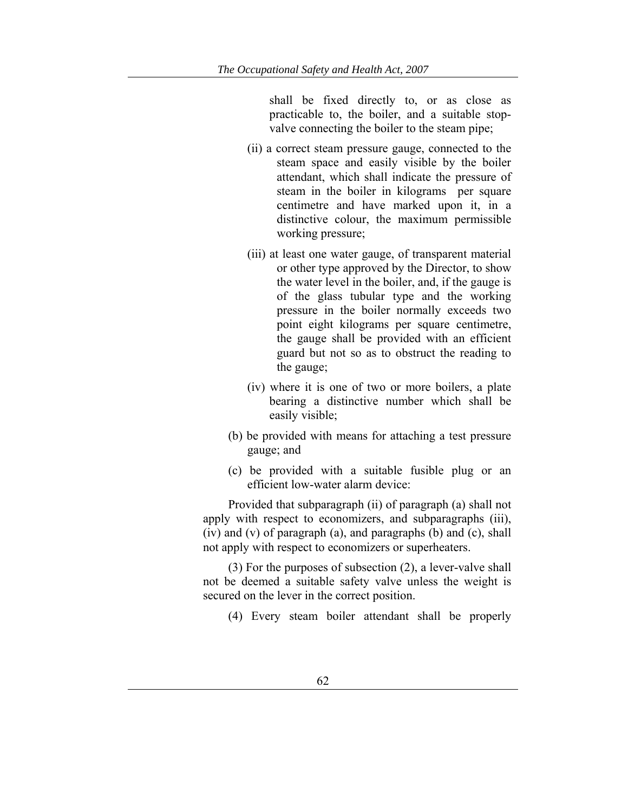shall be fixed directly to, or as close as practicable to, the boiler, and a suitable stopvalve connecting the boiler to the steam pipe;

- (ii) a correct steam pressure gauge, connected to the steam space and easily visible by the boiler attendant, which shall indicate the pressure of steam in the boiler in kilograms per square centimetre and have marked upon it, in a distinctive colour, the maximum permissible working pressure;
- (iii) at least one water gauge, of transparent material or other type approved by the Director, to show the water level in the boiler, and, if the gauge is of the glass tubular type and the working pressure in the boiler normally exceeds two point eight kilograms per square centimetre, the gauge shall be provided with an efficient guard but not so as to obstruct the reading to the gauge;
- (iv) where it is one of two or more boilers, a plate bearing a distinctive number which shall be easily visible;
- (b) be provided with means for attaching a test pressure gauge; and
- (c) be provided with a suitable fusible plug or an efficient low-water alarm device:

 Provided that subparagraph (ii) of paragraph (a) shall not apply with respect to economizers, and subparagraphs (iii), (iv) and (v) of paragraph (a), and paragraphs (b) and (c), shall not apply with respect to economizers or superheaters.

 (3) For the purposes of subsection (2), a lever-valve shall not be deemed a suitable safety valve unless the weight is secured on the lever in the correct position.

(4) Every steam boiler attendant shall be properly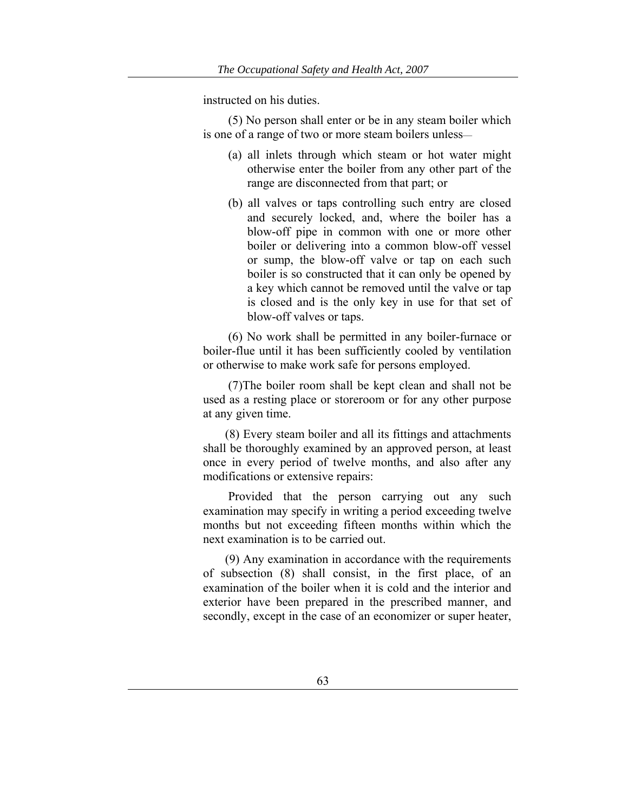instructed on his duties.

 (5) No person shall enter or be in any steam boiler which is one of a range of two or more steam boilers unless—

- (a) all inlets through which steam or hot water might otherwise enter the boiler from any other part of the range are disconnected from that part; or
- (b) all valves or taps controlling such entry are closed and securely locked, and, where the boiler has a blow-off pipe in common with one or more other boiler or delivering into a common blow-off vessel or sump, the blow-off valve or tap on each such boiler is so constructed that it can only be opened by a key which cannot be removed until the valve or tap is closed and is the only key in use for that set of blow-off valves or taps.

 (6) No work shall be permitted in any boiler-furnace or boiler-flue until it has been sufficiently cooled by ventilation or otherwise to make work safe for persons employed.

 (7)The boiler room shall be kept clean and shall not be used as a resting place or storeroom or for any other purpose at any given time.

(8) Every steam boiler and all its fittings and attachments shall be thoroughly examined by an approved person, at least once in every period of twelve months, and also after any modifications or extensive repairs:

 Provided that the person carrying out any such examination may specify in writing a period exceeding twelve months but not exceeding fifteen months within which the next examination is to be carried out.

(9) Any examination in accordance with the requirements of subsection (8) shall consist, in the first place, of an examination of the boiler when it is cold and the interior and exterior have been prepared in the prescribed manner, and secondly, except in the case of an economizer or super heater,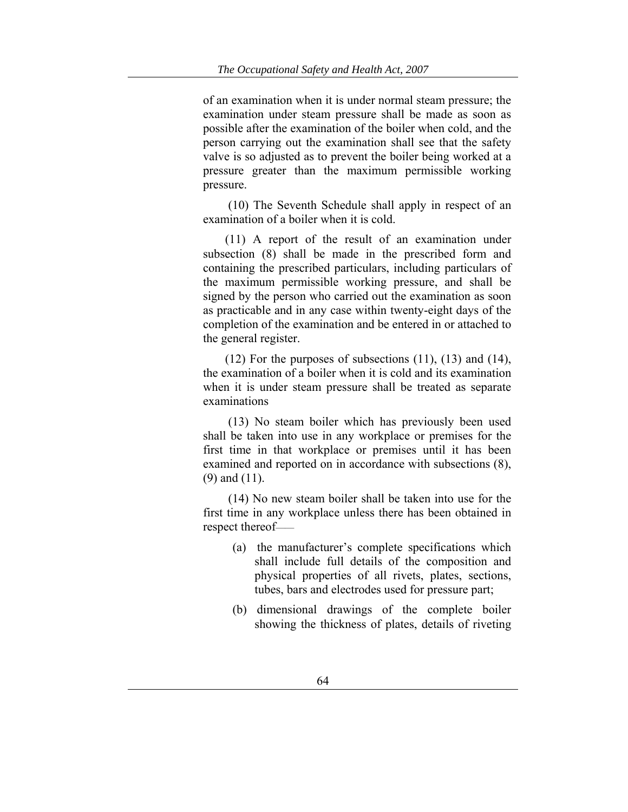of an examination when it is under normal steam pressure; the examination under steam pressure shall be made as soon as possible after the examination of the boiler when cold, and the person carrying out the examination shall see that the safety valve is so adjusted as to prevent the boiler being worked at a pressure greater than the maximum permissible working pressure.

 (10) The Seventh Schedule shall apply in respect of an examination of a boiler when it is cold.

(11) A report of the result of an examination under subsection (8) shall be made in the prescribed form and containing the prescribed particulars, including particulars of the maximum permissible working pressure, and shall be signed by the person who carried out the examination as soon as practicable and in any case within twenty-eight days of the completion of the examination and be entered in or attached to the general register.

 $(12)$  For the purposes of subsections  $(11)$ ,  $(13)$  and  $(14)$ , the examination of a boiler when it is cold and its examination when it is under steam pressure shall be treated as separate examinations

 (13) No steam boiler which has previously been used shall be taken into use in any workplace or premises for the first time in that workplace or premises until it has been examined and reported on in accordance with subsections (8), (9) and (11).

 (14) No new steam boiler shall be taken into use for the first time in any workplace unless there has been obtained in respect thereof——

- (a) the manufacturer's complete specifications which shall include full details of the composition and physical properties of all rivets, plates, sections, tubes, bars and electrodes used for pressure part;
- (b) dimensional drawings of the complete boiler showing the thickness of plates, details of riveting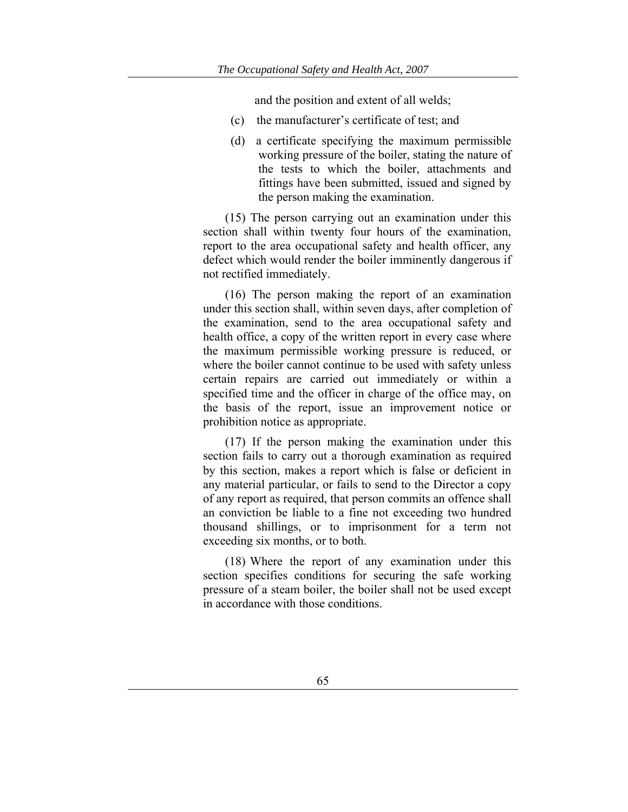and the position and extent of all welds;

- (c) the manufacturer's certificate of test; and
- (d) a certificate specifying the maximum permissible working pressure of the boiler, stating the nature of the tests to which the boiler, attachments and fittings have been submitted, issued and signed by the person making the examination.

(15) The person carrying out an examination under this section shall within twenty four hours of the examination, report to the area occupational safety and health officer, any defect which would render the boiler imminently dangerous if not rectified immediately.

(16) The person making the report of an examination under this section shall, within seven days, after completion of the examination, send to the area occupational safety and health office, a copy of the written report in every case where the maximum permissible working pressure is reduced, or where the boiler cannot continue to be used with safety unless certain repairs are carried out immediately or within a specified time and the officer in charge of the office may, on the basis of the report, issue an improvement notice or prohibition notice as appropriate.

(17) If the person making the examination under this section fails to carry out a thorough examination as required by this section, makes a report which is false or deficient in any material particular, or fails to send to the Director a copy of any report as required, that person commits an offence shall an conviction be liable to a fine not exceeding two hundred thousand shillings, or to imprisonment for a term not exceeding six months, or to both.

(18) Where the report of any examination under this section specifies conditions for securing the safe working pressure of a steam boiler, the boiler shall not be used except in accordance with those conditions.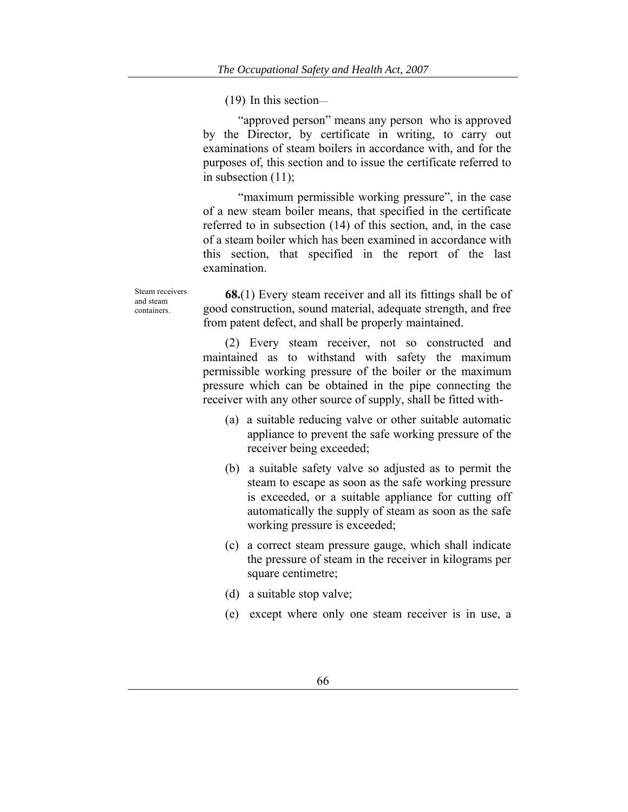(19) In this section—

"approved person" means any person who is approved by the Director, by certificate in writing, to carry out examinations of steam boilers in accordance with, and for the purposes of, this section and to issue the certificate referred to in subsection (11);

"maximum permissible working pressure", in the case of a new steam boiler means, that specified in the certificate referred to in subsection (14) of this section, and, in the case of a steam boiler which has been examined in accordance with this section, that specified in the report of the last examination.

Steam receivers and steam containers.

**68.**(1) Every steam receiver and all its fittings shall be of good construction, sound material, adequate strength, and free from patent defect, and shall be properly maintained.

(2) Every steam receiver, not so constructed and maintained as to withstand with safety the maximum permissible working pressure of the boiler or the maximum pressure which can be obtained in the pipe connecting the receiver with any other source of supply, shall be fitted with-

- (a) a suitable reducing valve or other suitable automatic appliance to prevent the safe working pressure of the receiver being exceeded;
- (b) a suitable safety valve so adjusted as to permit the steam to escape as soon as the safe working pressure is exceeded, or a suitable appliance for cutting off automatically the supply of steam as soon as the safe working pressure is exceeded;
- (c) a correct steam pressure gauge, which shall indicate the pressure of steam in the receiver in kilograms per square centimetre;
- (d) a suitable stop valve;
- (e) except where only one steam receiver is in use, a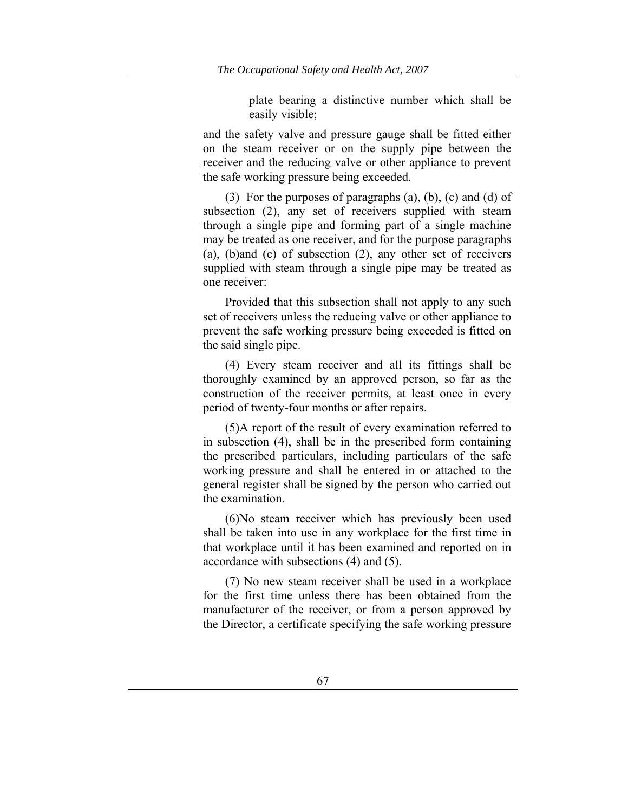plate bearing a distinctive number which shall be easily visible;

and the safety valve and pressure gauge shall be fitted either on the steam receiver or on the supply pipe between the receiver and the reducing valve or other appliance to prevent the safe working pressure being exceeded.

(3) For the purposes of paragraphs (a), (b), (c) and (d) of subsection (2), any set of receivers supplied with steam through a single pipe and forming part of a single machine may be treated as one receiver, and for the purpose paragraphs (a), (b)and (c) of subsection (2), any other set of receivers supplied with steam through a single pipe may be treated as one receiver:

Provided that this subsection shall not apply to any such set of receivers unless the reducing valve or other appliance to prevent the safe working pressure being exceeded is fitted on the said single pipe.

(4) Every steam receiver and all its fittings shall be thoroughly examined by an approved person, so far as the construction of the receiver permits, at least once in every period of twenty-four months or after repairs.

(5)A report of the result of every examination referred to in subsection (4), shall be in the prescribed form containing the prescribed particulars, including particulars of the safe working pressure and shall be entered in or attached to the general register shall be signed by the person who carried out the examination.

(6)No steam receiver which has previously been used shall be taken into use in any workplace for the first time in that workplace until it has been examined and reported on in accordance with subsections (4) and (5).

(7) No new steam receiver shall be used in a workplace for the first time unless there has been obtained from the manufacturer of the receiver, or from a person approved by the Director, a certificate specifying the safe working pressure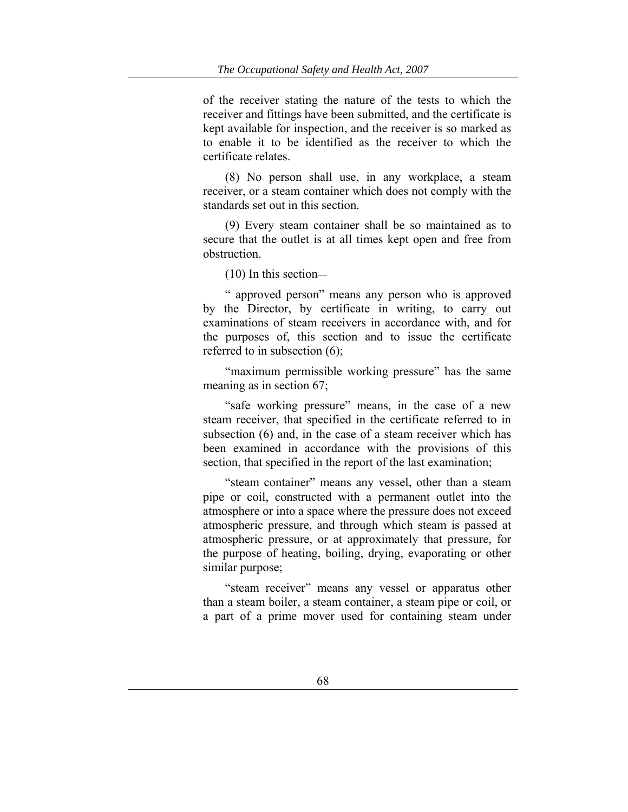of the receiver stating the nature of the tests to which the receiver and fittings have been submitted, and the certificate is kept available for inspection, and the receiver is so marked as to enable it to be identified as the receiver to which the certificate relates.

(8) No person shall use, in any workplace, a steam receiver, or a steam container which does not comply with the standards set out in this section.

(9) Every steam container shall be so maintained as to secure that the outlet is at all times kept open and free from obstruction.

(10) In this section—

" approved person" means any person who is approved by the Director, by certificate in writing, to carry out examinations of steam receivers in accordance with, and for the purposes of, this section and to issue the certificate referred to in subsection (6);

"maximum permissible working pressure" has the same meaning as in section 67;

"safe working pressure" means, in the case of a new steam receiver, that specified in the certificate referred to in subsection (6) and, in the case of a steam receiver which has been examined in accordance with the provisions of this section, that specified in the report of the last examination;

"steam container" means any vessel, other than a steam pipe or coil, constructed with a permanent outlet into the atmosphere or into a space where the pressure does not exceed atmospheric pressure, and through which steam is passed at atmospheric pressure, or at approximately that pressure, for the purpose of heating, boiling, drying, evaporating or other similar purpose;

"steam receiver" means any vessel or apparatus other than a steam boiler, a steam container, a steam pipe or coil, or a part of a prime mover used for containing steam under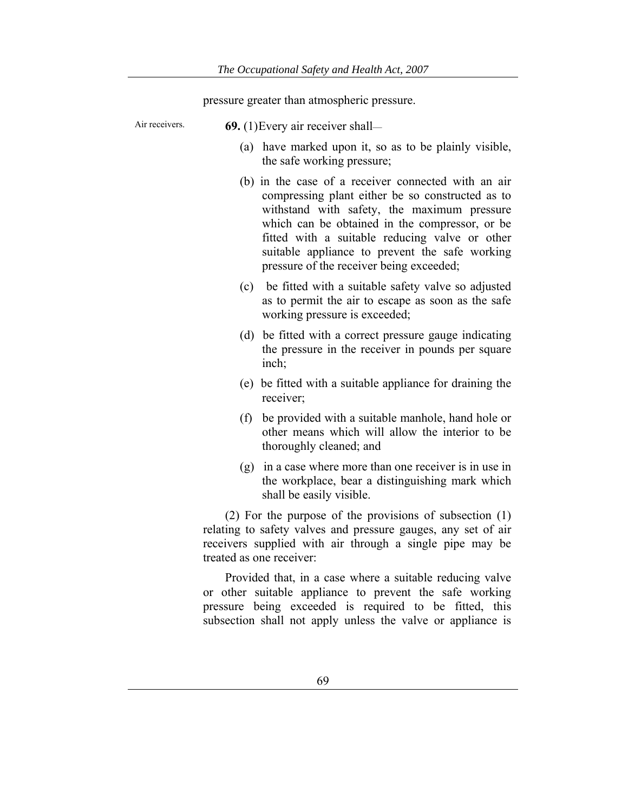pressure greater than atmospheric pressure.

| Air receivers.                                                                                                                                                                                                     |     | <b>69.</b> (1) Every air receiver shall—                                                                                                                                                                                                                                                                                                                 |  |
|--------------------------------------------------------------------------------------------------------------------------------------------------------------------------------------------------------------------|-----|----------------------------------------------------------------------------------------------------------------------------------------------------------------------------------------------------------------------------------------------------------------------------------------------------------------------------------------------------------|--|
|                                                                                                                                                                                                                    |     | (a) have marked upon it, so as to be plainly visible,<br>the safe working pressure;                                                                                                                                                                                                                                                                      |  |
|                                                                                                                                                                                                                    |     | (b) in the case of a receiver connected with an air<br>compressing plant either be so constructed as to<br>withstand with safety, the maximum pressure<br>which can be obtained in the compressor, or be<br>fitted with a suitable reducing valve or other<br>suitable appliance to prevent the safe working<br>pressure of the receiver being exceeded; |  |
|                                                                                                                                                                                                                    | (c) | be fitted with a suitable safety valve so adjusted<br>as to permit the air to escape as soon as the safe<br>working pressure is exceeded;                                                                                                                                                                                                                |  |
|                                                                                                                                                                                                                    |     | (d) be fitted with a correct pressure gauge indicating<br>the pressure in the receiver in pounds per square<br>inch;                                                                                                                                                                                                                                     |  |
|                                                                                                                                                                                                                    |     | (e) be fitted with a suitable appliance for draining the<br>receiver;                                                                                                                                                                                                                                                                                    |  |
|                                                                                                                                                                                                                    | (f) | be provided with a suitable manhole, hand hole or<br>other means which will allow the interior to be<br>thoroughly cleaned; and                                                                                                                                                                                                                          |  |
|                                                                                                                                                                                                                    |     | (g) in a case where more than one receiver is in use in<br>the workplace, bear a distinguishing mark which<br>shall be easily visible.                                                                                                                                                                                                                   |  |
| (2) For the purpose of the provisions of subsection $(1)$<br>relating to safety valves and pressure gauges, any set of air<br>receivers supplied with air through a single pipe may be<br>treated as one receiver: |     |                                                                                                                                                                                                                                                                                                                                                          |  |
| Provided that, in a case where a suitable reducing valve<br>or other suitable appliance to prevent the safe working                                                                                                |     |                                                                                                                                                                                                                                                                                                                                                          |  |

pressure being exceeded is required to be fitted, this subsection shall not apply unless the valve or appliance is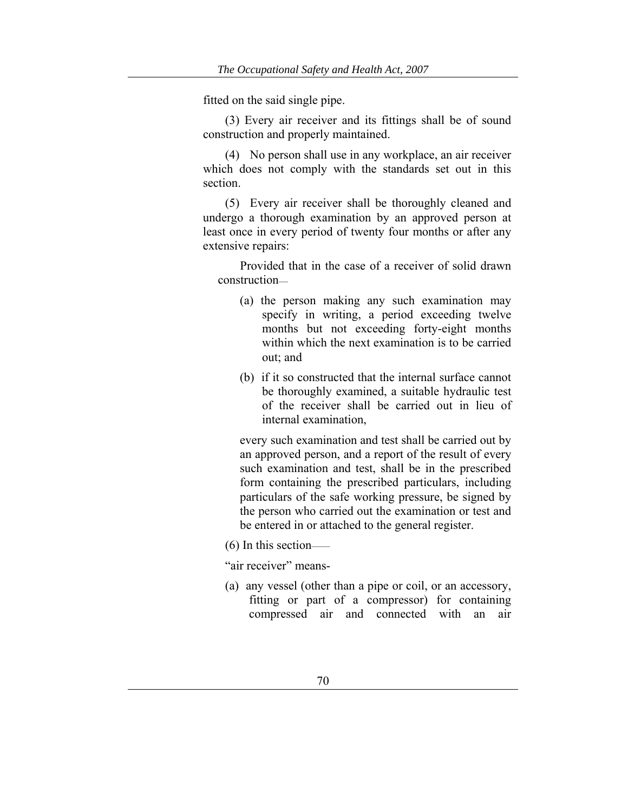fitted on the said single pipe.

(3) Every air receiver and its fittings shall be of sound construction and properly maintained.

(4) No person shall use in any workplace, an air receiver which does not comply with the standards set out in this section.

(5) Every air receiver shall be thoroughly cleaned and undergo a thorough examination by an approved person at least once in every period of twenty four months or after any extensive repairs:

Provided that in the case of a receiver of solid drawn construction—

- (a) the person making any such examination may specify in writing, a period exceeding twelve months but not exceeding forty-eight months within which the next examination is to be carried out; and
- (b) if it so constructed that the internal surface cannot be thoroughly examined, a suitable hydraulic test of the receiver shall be carried out in lieu of internal examination,

every such examination and test shall be carried out by an approved person, and a report of the result of every such examination and test, shall be in the prescribed form containing the prescribed particulars, including particulars of the safe working pressure, be signed by the person who carried out the examination or test and be entered in or attached to the general register.

(6) In this section——

"air receiver" means-

(a) any vessel (other than a pipe or coil, or an accessory, fitting or part of a compressor) for containing compressed air and connected with an air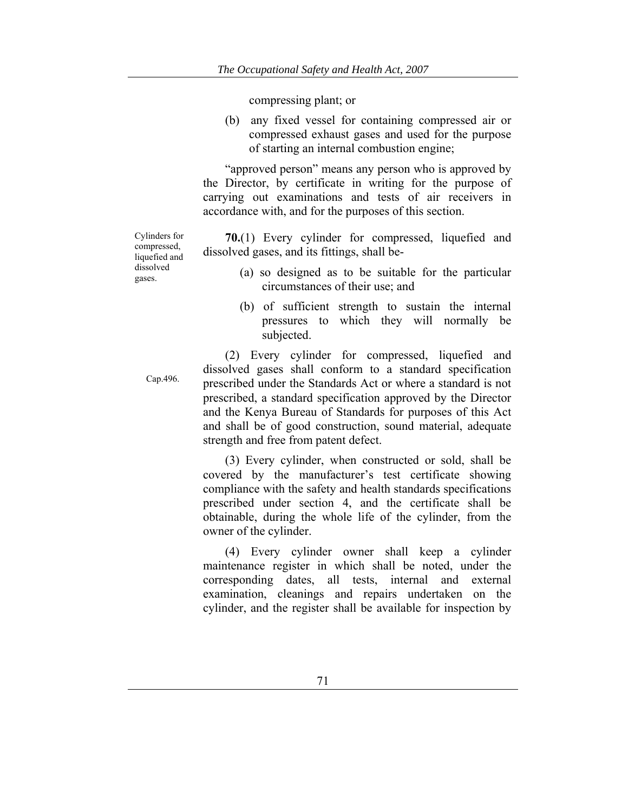compressing plant; or

(b) any fixed vessel for containing compressed air or compressed exhaust gases and used for the purpose of starting an internal combustion engine;

"approved person" means any person who is approved by the Director, by certificate in writing for the purpose of carrying out examinations and tests of air receivers in accordance with, and for the purposes of this section.

**70.**(1) Every cylinder for compressed, liquefied and dissolved gases, and its fittings, shall be-

- (a) so designed as to be suitable for the particular circumstances of their use; and
- (b) of sufficient strength to sustain the internal pressures to which they will normally be subjected.

(2) Every cylinder for compressed, liquefied and dissolved gases shall conform to a standard specification prescribed under the Standards Act or where a standard is not prescribed, a standard specification approved by the Director and the Kenya Bureau of Standards for purposes of this Act and shall be of good construction, sound material, adequate strength and free from patent defect.

(3) Every cylinder, when constructed or sold, shall be covered by the manufacturer's test certificate showing compliance with the safety and health standards specifications prescribed under section 4, and the certificate shall be obtainable, during the whole life of the cylinder, from the owner of the cylinder.

(4) Every cylinder owner shall keep a cylinder maintenance register in which shall be noted, under the corresponding dates, all tests, internal and external examination, cleanings and repairs undertaken on the cylinder, and the register shall be available for inspection by

Cylinders for compressed, liquefied and dissolved gases.

Cap.496.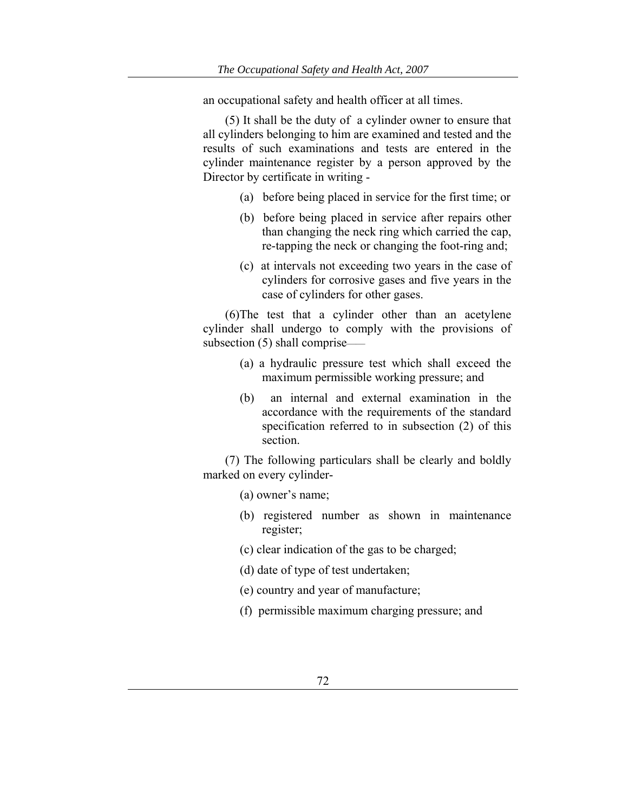an occupational safety and health officer at all times.

(5) It shall be the duty of a cylinder owner to ensure that all cylinders belonging to him are examined and tested and the results of such examinations and tests are entered in the cylinder maintenance register by a person approved by the Director by certificate in writing -

- (a) before being placed in service for the first time; or
- (b) before being placed in service after repairs other than changing the neck ring which carried the cap, re-tapping the neck or changing the foot-ring and;
- (c) at intervals not exceeding two years in the case of cylinders for corrosive gases and five years in the case of cylinders for other gases.

(6)The test that a cylinder other than an acetylene cylinder shall undergo to comply with the provisions of subsection (5) shall comprise——

- (a) a hydraulic pressure test which shall exceed the maximum permissible working pressure; and
- (b) an internal and external examination in the accordance with the requirements of the standard specification referred to in subsection (2) of this section.

(7) The following particulars shall be clearly and boldly marked on every cylinder-

(a) owner's name;

- (b) registered number as shown in maintenance register;
- (c) clear indication of the gas to be charged;
- (d) date of type of test undertaken;
- (e) country and year of manufacture;
- (f) permissible maximum charging pressure; and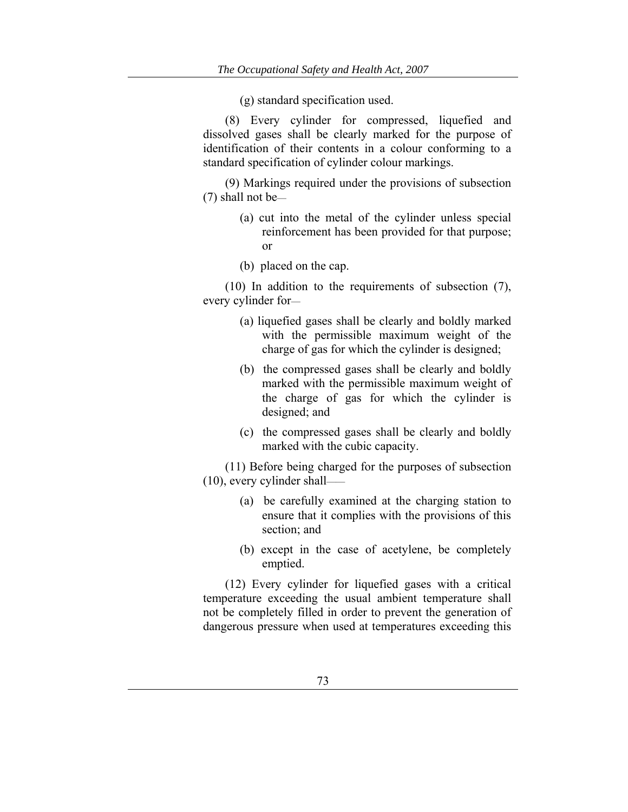(g) standard specification used.

(8) Every cylinder for compressed, liquefied and dissolved gases shall be clearly marked for the purpose of identification of their contents in a colour conforming to a standard specification of cylinder colour markings.

(9) Markings required under the provisions of subsection (7) shall not be—

- (a) cut into the metal of the cylinder unless special reinforcement has been provided for that purpose; or
- (b) placed on the cap.

(10) In addition to the requirements of subsection (7), every cylinder for—

- (a) liquefied gases shall be clearly and boldly marked with the permissible maximum weight of the charge of gas for which the cylinder is designed;
- (b) the compressed gases shall be clearly and boldly marked with the permissible maximum weight of the charge of gas for which the cylinder is designed; and
- (c) the compressed gases shall be clearly and boldly marked with the cubic capacity.

(11) Before being charged for the purposes of subsection (10), every cylinder shall——

- (a) be carefully examined at the charging station to ensure that it complies with the provisions of this section; and
- (b) except in the case of acetylene, be completely emptied.

(12) Every cylinder for liquefied gases with a critical temperature exceeding the usual ambient temperature shall not be completely filled in order to prevent the generation of dangerous pressure when used at temperatures exceeding this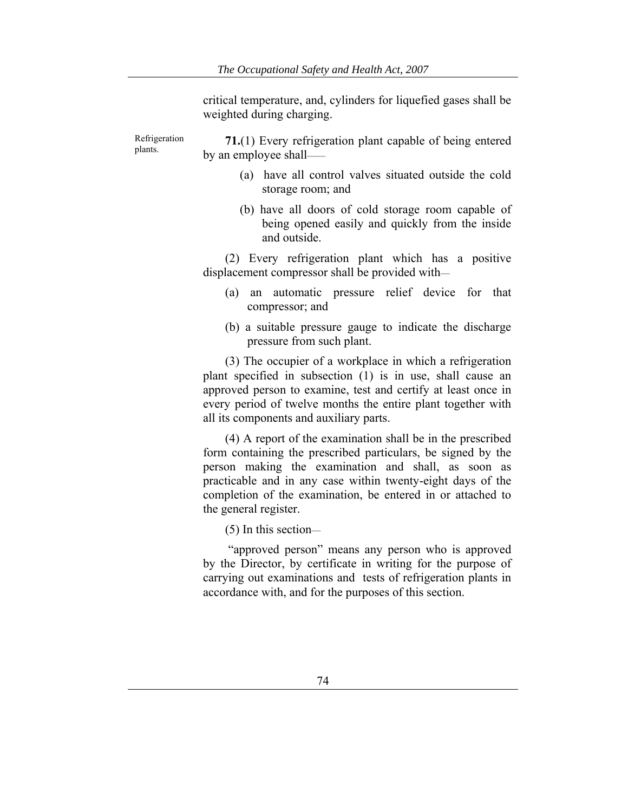critical temperature, and, cylinders for liquefied gases shall be weighted during charging.

Refrigeration plants. **71.**(1) Every refrigeration plant capable of being entered by an employee shall——

- (a) have all control valves situated outside the cold storage room; and
- (b) have all doors of cold storage room capable of being opened easily and quickly from the inside and outside.

(2) Every refrigeration plant which has a positive displacement compressor shall be provided with—

- (a) an automatic pressure relief device for that compressor; and
- (b) a suitable pressure gauge to indicate the discharge pressure from such plant.

(3) The occupier of a workplace in which a refrigeration plant specified in subsection (1) is in use, shall cause an approved person to examine, test and certify at least once in every period of twelve months the entire plant together with all its components and auxiliary parts.

(4) A report of the examination shall be in the prescribed form containing the prescribed particulars, be signed by the person making the examination and shall, as soon as practicable and in any case within twenty-eight days of the completion of the examination, be entered in or attached to the general register.

(5) In this section—

 "approved person" means any person who is approved by the Director, by certificate in writing for the purpose of carrying out examinations and tests of refrigeration plants in accordance with, and for the purposes of this section.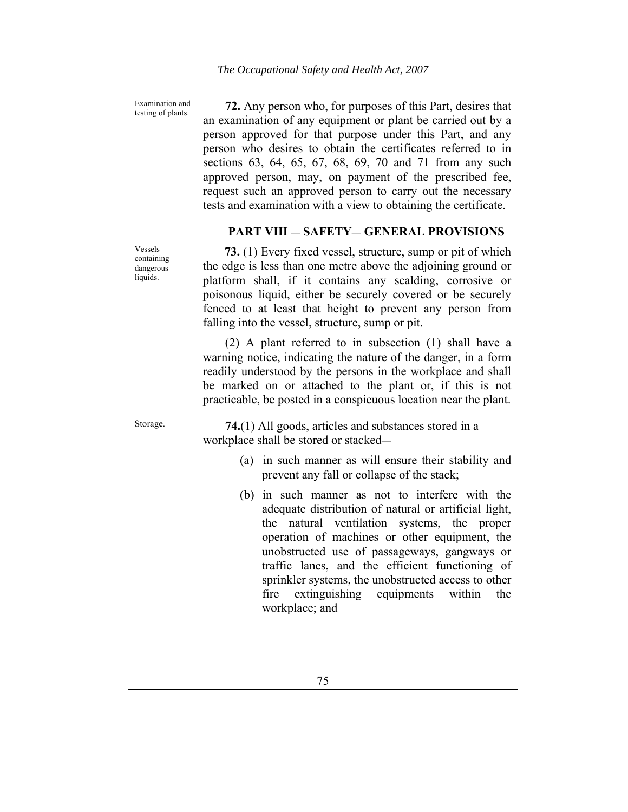Examination and

Examination and **72.** Any person who, for purposes of this Part, desires that testing of plants. an examination of any equipment or plant be carried out by a person approved for that purpose under this Part, and any person who desires to obtain the certificates referred to in sections 63, 64, 65, 67, 68, 69, 70 and 71 from any such approved person, may, on payment of the prescribed fee, request such an approved person to carry out the necessary tests and examination with a view to obtaining the certificate.

# **PART VIII** — **SAFETY**— **GENERAL PROVISIONS**

 **73.** (1) Every fixed vessel, structure, sump or pit of which the edge is less than one metre above the adjoining ground or platform shall, if it contains any scalding, corrosive or poisonous liquid, either be securely covered or be securely fenced to at least that height to prevent any person from falling into the vessel, structure, sump or pit.

(2) A plant referred to in subsection (1) shall have a warning notice, indicating the nature of the danger, in a form readily understood by the persons in the workplace and shall be marked on or attached to the plant or, if this is not practicable, be posted in a conspicuous location near the plant.

Vessels containing dangerous liquids.

Storage. **74.**(1) All goods, articles and substances stored in a workplace shall be stored or stacked—

- (a) in such manner as will ensure their stability and prevent any fall or collapse of the stack;
- (b) in such manner as not to interfere with the adequate distribution of natural or artificial light, the natural ventilation systems, the proper operation of machines or other equipment, the unobstructed use of passageways, gangways or traffic lanes, and the efficient functioning of sprinkler systems, the unobstructed access to other fire extinguishing equipments within the workplace; and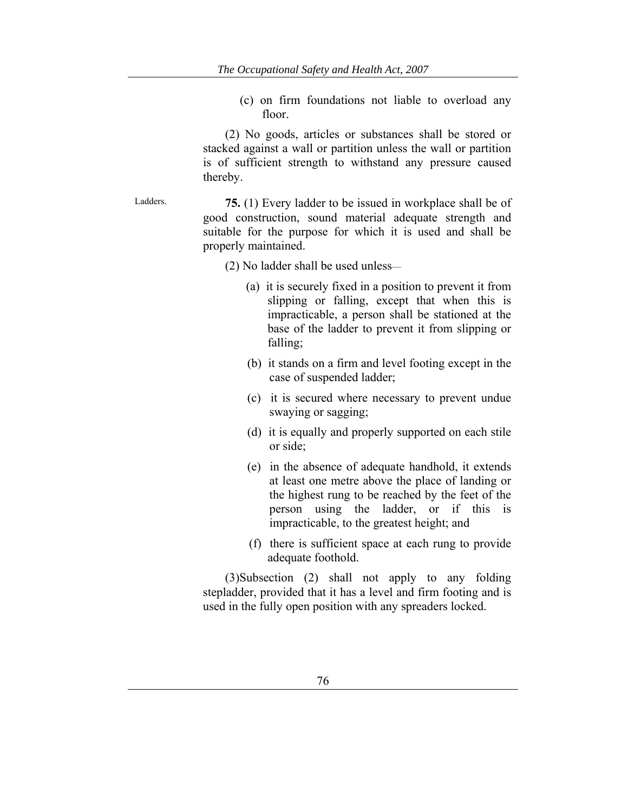(c) on firm foundations not liable to overload any floor.

(2) No goods, articles or substances shall be stored or stacked against a wall or partition unless the wall or partition is of sufficient strength to withstand any pressure caused thereby.

Ladders. **75.** (1) Every ladder to be issued in workplace shall be of good construction, sound material adequate strength and suitable for the purpose for which it is used and shall be properly maintained.

(2) No ladder shall be used unless—

- (a) it is securely fixed in a position to prevent it from slipping or falling, except that when this is impracticable, a person shall be stationed at the base of the ladder to prevent it from slipping or falling;
- (b) it stands on a firm and level footing except in the case of suspended ladder;
- (c) it is secured where necessary to prevent undue swaying or sagging;
- (d) it is equally and properly supported on each stile or side;
- (e) in the absence of adequate handhold, it extends at least one metre above the place of landing or the highest rung to be reached by the feet of the person using the ladder, or if this is impracticable, to the greatest height; and
- (f) there is sufficient space at each rung to provide adequate foothold.

(3)Subsection (2) shall not apply to any folding stepladder, provided that it has a level and firm footing and is used in the fully open position with any spreaders locked.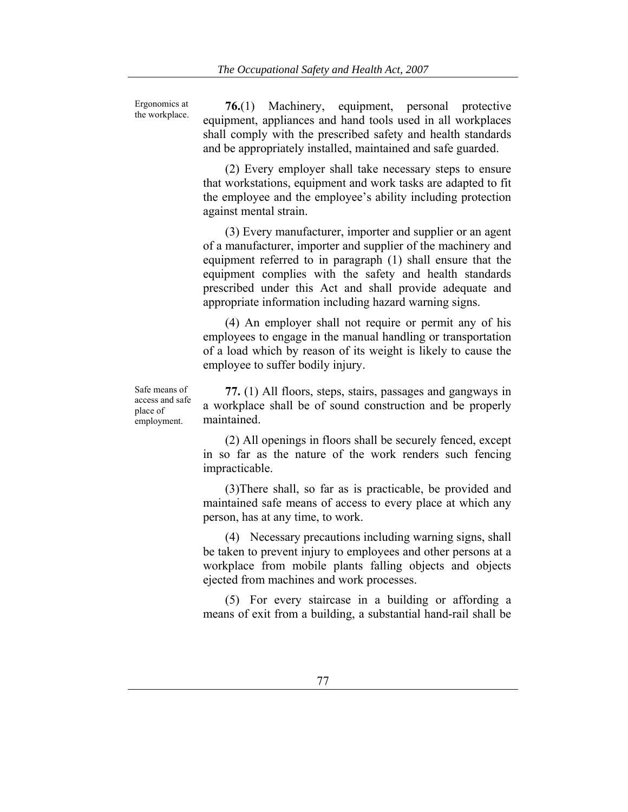Ergonomics at the workplace.

**76.**(1) Machinery, equipment, personal protective equipment, appliances and hand tools used in all workplaces shall comply with the prescribed safety and health standards and be appropriately installed, maintained and safe guarded.

(2) Every employer shall take necessary steps to ensure that workstations, equipment and work tasks are adapted to fit the employee and the employee's ability including protection against mental strain.

(3) Every manufacturer, importer and supplier or an agent of a manufacturer, importer and supplier of the machinery and equipment referred to in paragraph (1) shall ensure that the equipment complies with the safety and health standards prescribed under this Act and shall provide adequate and appropriate information including hazard warning signs.

(4) An employer shall not require or permit any of his employees to engage in the manual handling or transportation of a load which by reason of its weight is likely to cause the employee to suffer bodily injury.

Safe means of access and safe place of employment.

**77.** (1) All floors, steps, stairs, passages and gangways in a workplace shall be of sound construction and be properly maintained.

(2) All openings in floors shall be securely fenced, except in so far as the nature of the work renders such fencing impracticable.

(3)There shall, so far as is practicable, be provided and maintained safe means of access to every place at which any person, has at any time, to work.

(4) Necessary precautions including warning signs, shall be taken to prevent injury to employees and other persons at a workplace from mobile plants falling objects and objects ejected from machines and work processes.

(5) For every staircase in a building or affording a means of exit from a building, a substantial hand-rail shall be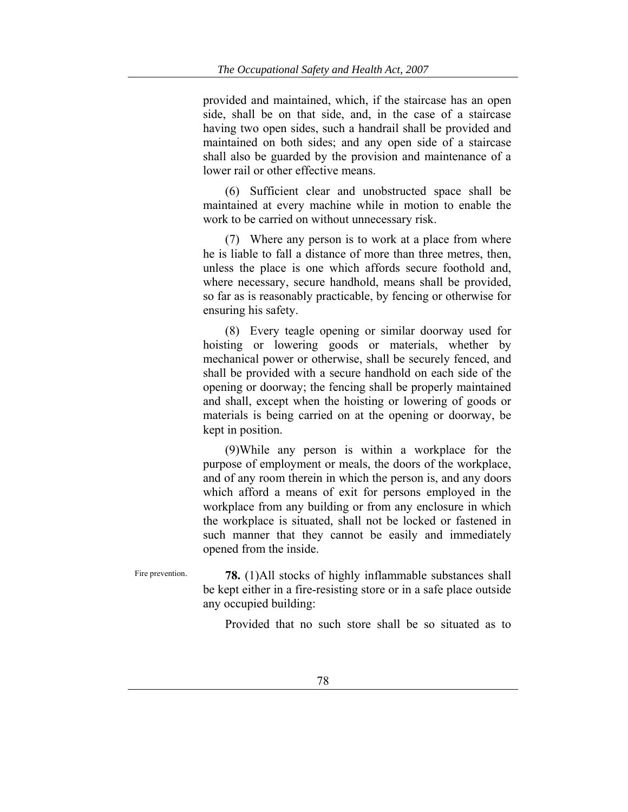provided and maintained, which, if the staircase has an open side, shall be on that side, and, in the case of a staircase having two open sides, such a handrail shall be provided and maintained on both sides; and any open side of a staircase shall also be guarded by the provision and maintenance of a lower rail or other effective means.

(6) Sufficient clear and unobstructed space shall be maintained at every machine while in motion to enable the work to be carried on without unnecessary risk.

(7) Where any person is to work at a place from where he is liable to fall a distance of more than three metres, then, unless the place is one which affords secure foothold and, where necessary, secure handhold, means shall be provided, so far as is reasonably practicable, by fencing or otherwise for ensuring his safety.

(8) Every teagle opening or similar doorway used for hoisting or lowering goods or materials, whether by mechanical power or otherwise, shall be securely fenced, and shall be provided with a secure handhold on each side of the opening or doorway; the fencing shall be properly maintained and shall, except when the hoisting or lowering of goods or materials is being carried on at the opening or doorway, be kept in position.

(9)While any person is within a workplace for the purpose of employment or meals, the doors of the workplace, and of any room therein in which the person is, and any doors which afford a means of exit for persons employed in the workplace from any building or from any enclosure in which the workplace is situated, shall not be locked or fastened in such manner that they cannot be easily and immediately opened from the inside.

Fire prevention. **78.** (1)All stocks of highly inflammable substances shall be kept either in a fire-resisting store or in a safe place outside any occupied building:

Provided that no such store shall be so situated as to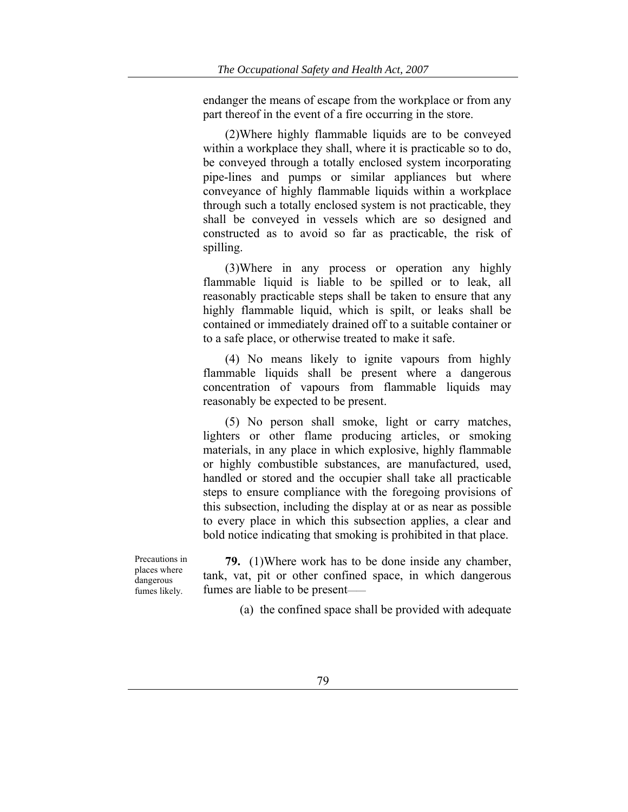endanger the means of escape from the workplace or from any part thereof in the event of a fire occurring in the store.

(2)Where highly flammable liquids are to be conveyed within a workplace they shall, where it is practicable so to do, be conveyed through a totally enclosed system incorporating pipe-lines and pumps or similar appliances but where conveyance of highly flammable liquids within a workplace through such a totally enclosed system is not practicable, they shall be conveyed in vessels which are so designed and constructed as to avoid so far as practicable, the risk of spilling.

(3)Where in any process or operation any highly flammable liquid is liable to be spilled or to leak, all reasonably practicable steps shall be taken to ensure that any highly flammable liquid, which is spilt, or leaks shall be contained or immediately drained off to a suitable container or to a safe place, or otherwise treated to make it safe.

(4) No means likely to ignite vapours from highly flammable liquids shall be present where a dangerous concentration of vapours from flammable liquids may reasonably be expected to be present.

(5) No person shall smoke, light or carry matches, lighters or other flame producing articles, or smoking materials, in any place in which explosive, highly flammable or highly combustible substances, are manufactured, used, handled or stored and the occupier shall take all practicable steps to ensure compliance with the foregoing provisions of this subsection, including the display at or as near as possible to every place in which this subsection applies, a clear and bold notice indicating that smoking is prohibited in that place.

Precautions in places where dangerous fumes likely.

**79.** (1)Where work has to be done inside any chamber, tank, vat, pit or other confined space, in which dangerous fumes are liable to be present——

(a) the confined space shall be provided with adequate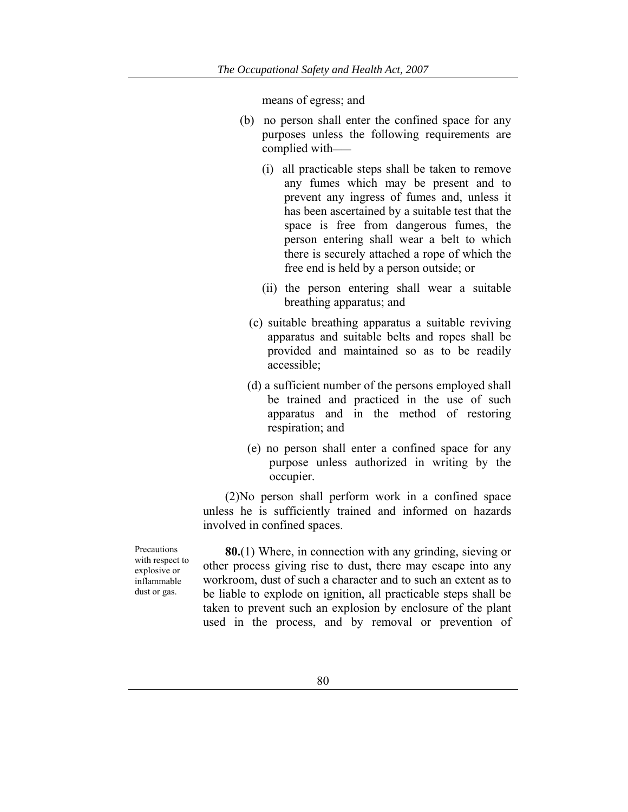means of egress; and

- (b) no person shall enter the confined space for any purposes unless the following requirements are complied with——
	- (i) all practicable steps shall be taken to remove any fumes which may be present and to prevent any ingress of fumes and, unless it has been ascertained by a suitable test that the space is free from dangerous fumes, the person entering shall wear a belt to which there is securely attached a rope of which the free end is held by a person outside; or
	- (ii) the person entering shall wear a suitable breathing apparatus; and
	- (c) suitable breathing apparatus a suitable reviving apparatus and suitable belts and ropes shall be provided and maintained so as to be readily accessible;
	- (d) a sufficient number of the persons employed shall be trained and practiced in the use of such apparatus and in the method of restoring respiration; and
	- (e) no person shall enter a confined space for any purpose unless authorized in writing by the occupier.

(2)No person shall perform work in a confined space unless he is sufficiently trained and informed on hazards involved in confined spaces.

Precautions with respect to explosive or inflammable dust or gas.

**80.**(1) Where, in connection with any grinding, sieving or other process giving rise to dust, there may escape into any workroom, dust of such a character and to such an extent as to be liable to explode on ignition, all practicable steps shall be taken to prevent such an explosion by enclosure of the plant used in the process, and by removal or prevention of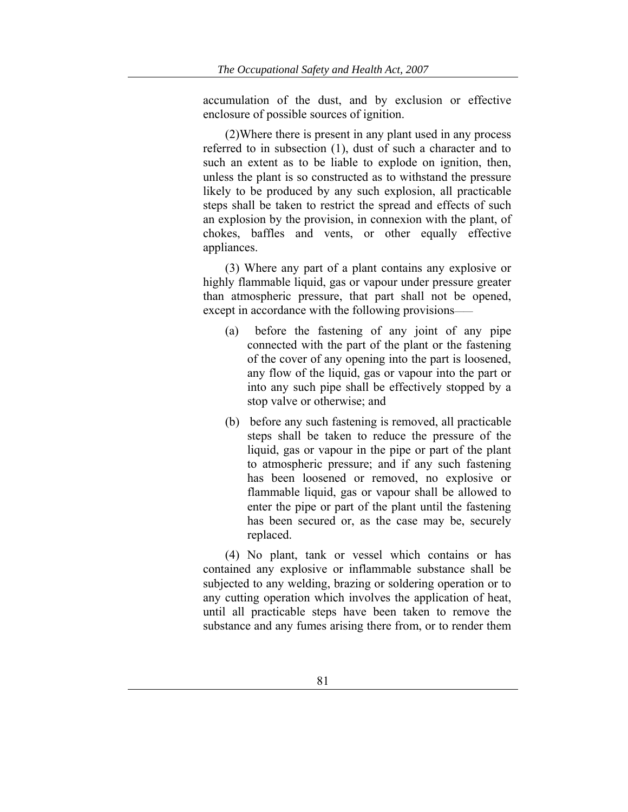accumulation of the dust, and by exclusion or effective enclosure of possible sources of ignition.

(2)Where there is present in any plant used in any process referred to in subsection (1), dust of such a character and to such an extent as to be liable to explode on ignition, then, unless the plant is so constructed as to withstand the pressure likely to be produced by any such explosion, all practicable steps shall be taken to restrict the spread and effects of such an explosion by the provision, in connexion with the plant, of chokes, baffles and vents, or other equally effective appliances.

(3) Where any part of a plant contains any explosive or highly flammable liquid, gas or vapour under pressure greater than atmospheric pressure, that part shall not be opened, except in accordance with the following provisions——

- (a) before the fastening of any joint of any pipe connected with the part of the plant or the fastening of the cover of any opening into the part is loosened, any flow of the liquid, gas or vapour into the part or into any such pipe shall be effectively stopped by a stop valve or otherwise; and
- (b) before any such fastening is removed, all practicable steps shall be taken to reduce the pressure of the liquid, gas or vapour in the pipe or part of the plant to atmospheric pressure; and if any such fastening has been loosened or removed, no explosive or flammable liquid, gas or vapour shall be allowed to enter the pipe or part of the plant until the fastening has been secured or, as the case may be, securely replaced.

(4) No plant, tank or vessel which contains or has contained any explosive or inflammable substance shall be subjected to any welding, brazing or soldering operation or to any cutting operation which involves the application of heat, until all practicable steps have been taken to remove the substance and any fumes arising there from, or to render them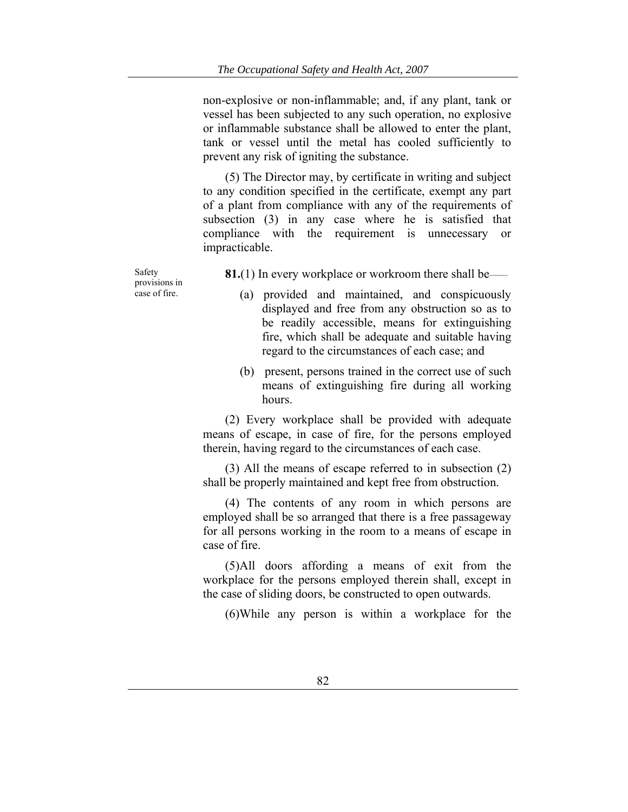non-explosive or non-inflammable; and, if any plant, tank or vessel has been subjected to any such operation, no explosive or inflammable substance shall be allowed to enter the plant, tank or vessel until the metal has cooled sufficiently to prevent any risk of igniting the substance.

(5) The Director may, by certificate in writing and subject to any condition specified in the certificate, exempt any part of a plant from compliance with any of the requirements of subsection (3) in any case where he is satisfied that compliance with the requirement is unnecessary or impracticable.

Safety provisions in case of fire.

**81.**(1) In every workplace or workroom there shall be——

- (a) provided and maintained, and conspicuously displayed and free from any obstruction so as to be readily accessible, means for extinguishing fire, which shall be adequate and suitable having regard to the circumstances of each case; and
- (b) present, persons trained in the correct use of such means of extinguishing fire during all working hours.

(2) Every workplace shall be provided with adequate means of escape, in case of fire, for the persons employed therein, having regard to the circumstances of each case.

(3) All the means of escape referred to in subsection (2) shall be properly maintained and kept free from obstruction.

(4) The contents of any room in which persons are employed shall be so arranged that there is a free passageway for all persons working in the room to a means of escape in case of fire.

(5)All doors affording a means of exit from the workplace for the persons employed therein shall, except in the case of sliding doors, be constructed to open outwards.

(6)While any person is within a workplace for the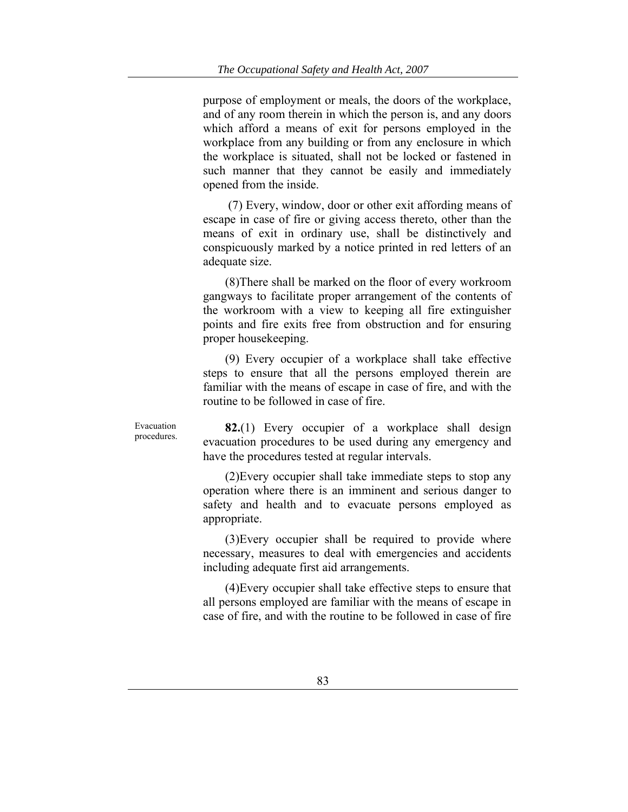purpose of employment or meals, the doors of the workplace, and of any room therein in which the person is, and any doors which afford a means of exit for persons employed in the workplace from any building or from any enclosure in which the workplace is situated, shall not be locked or fastened in such manner that they cannot be easily and immediately opened from the inside.

 (7) Every, window, door or other exit affording means of escape in case of fire or giving access thereto, other than the means of exit in ordinary use, shall be distinctively and conspicuously marked by a notice printed in red letters of an adequate size.

(8)There shall be marked on the floor of every workroom gangways to facilitate proper arrangement of the contents of the workroom with a view to keeping all fire extinguisher points and fire exits free from obstruction and for ensuring proper housekeeping.

(9) Every occupier of a workplace shall take effective steps to ensure that all the persons employed therein are familiar with the means of escape in case of fire, and with the routine to be followed in case of fire.

Evacuation procedures.

**82.**(1) Every occupier of a workplace shall design evacuation procedures to be used during any emergency and have the procedures tested at regular intervals.

(2)Every occupier shall take immediate steps to stop any operation where there is an imminent and serious danger to safety and health and to evacuate persons employed as appropriate.

(3)Every occupier shall be required to provide where necessary, measures to deal with emergencies and accidents including adequate first aid arrangements.

(4)Every occupier shall take effective steps to ensure that all persons employed are familiar with the means of escape in case of fire, and with the routine to be followed in case of fire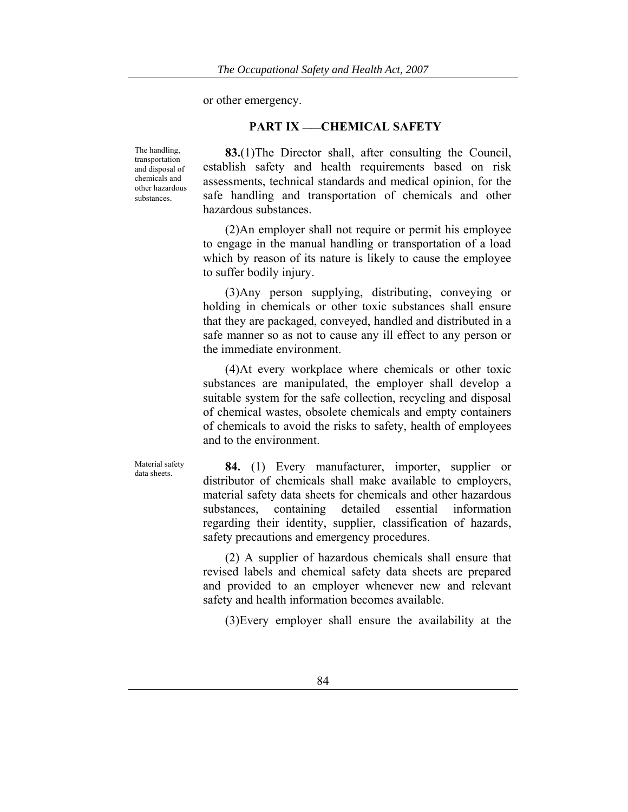or other emergency.

### **PART IX ——CHEMICAL SAFETY**

The handling, transportation and disposal of chemicals and other hazardous substances.

**83.**(1)The Director shall, after consulting the Council, establish safety and health requirements based on risk assessments, technical standards and medical opinion, for the safe handling and transportation of chemicals and other hazardous substances.

(2)An employer shall not require or permit his employee to engage in the manual handling or transportation of a load which by reason of its nature is likely to cause the employee to suffer bodily injury.

(3)Any person supplying, distributing, conveying or holding in chemicals or other toxic substances shall ensure that they are packaged, conveyed, handled and distributed in a safe manner so as not to cause any ill effect to any person or the immediate environment.

(4)At every workplace where chemicals or other toxic substances are manipulated, the employer shall develop a suitable system for the safe collection, recycling and disposal of chemical wastes, obsolete chemicals and empty containers of chemicals to avoid the risks to safety, health of employees and to the environment.

Material safety

Material safety **84.** (1) Every manufacturer, importer, supplier or distributor of chemicals shall make available to employers, material safety data sheets for chemicals and other hazardous substances, containing detailed essential information regarding their identity, supplier, classification of hazards, safety precautions and emergency procedures.

> (2) A supplier of hazardous chemicals shall ensure that revised labels and chemical safety data sheets are prepared and provided to an employer whenever new and relevant safety and health information becomes available.

(3)Every employer shall ensure the availability at the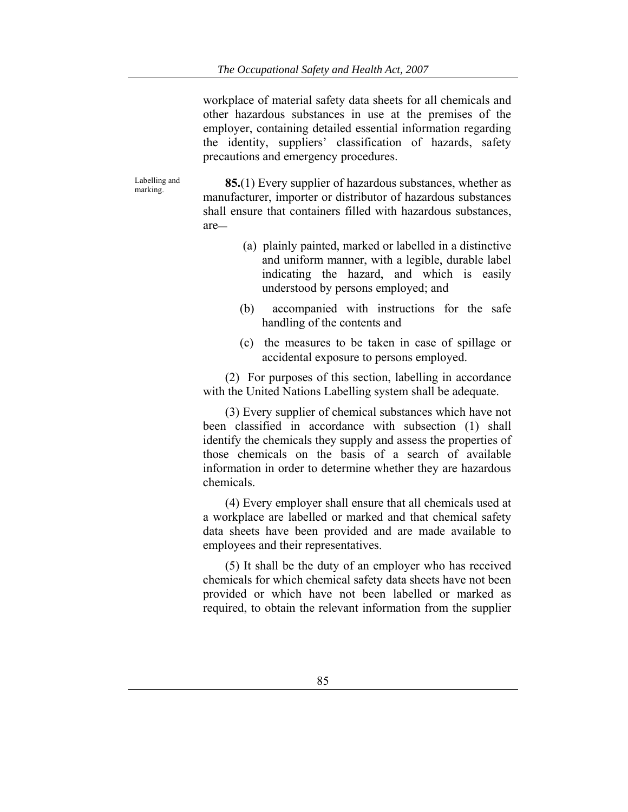workplace of material safety data sheets for all chemicals and other hazardous substances in use at the premises of the employer, containing detailed essential information regarding the identity, suppliers' classification of hazards, safety precautions and emergency procedures.

Labelling and<br>marking.

85.(1) Every supplier of hazardous substances, whether as manufacturer, importer or distributor of hazardous substances shall ensure that containers filled with hazardous substances, are**—**

- (a) plainly painted, marked or labelled in a distinctive and uniform manner, with a legible, durable label indicating the hazard, and which is easily understood by persons employed; and
- (b) accompanied with instructions for the safe handling of the contents and
- (c) the measures to be taken in case of spillage or accidental exposure to persons employed.

(2) For purposes of this section, labelling in accordance with the United Nations Labelling system shall be adequate.

(3) Every supplier of chemical substances which have not been classified in accordance with subsection (1) shall identify the chemicals they supply and assess the properties of those chemicals on the basis of a search of available information in order to determine whether they are hazardous chemicals.

(4) Every employer shall ensure that all chemicals used at a workplace are labelled or marked and that chemical safety data sheets have been provided and are made available to employees and their representatives.

(5) It shall be the duty of an employer who has received chemicals for which chemical safety data sheets have not been provided or which have not been labelled or marked as required, to obtain the relevant information from the supplier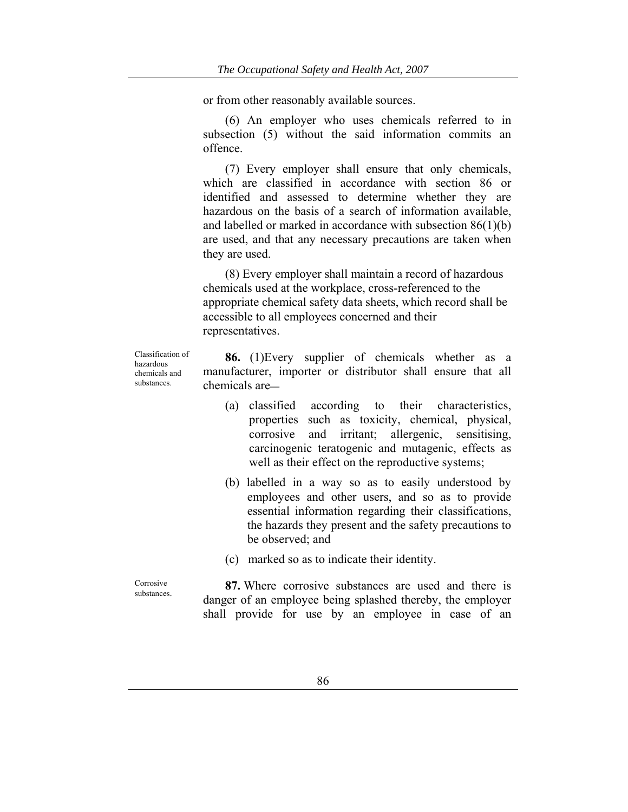or from other reasonably available sources.

(6) An employer who uses chemicals referred to in subsection (5) without the said information commits an offence.

(7) Every employer shall ensure that only chemicals, which are classified in accordance with section 86 or identified and assessed to determine whether they are hazardous on the basis of a search of information available, and labelled or marked in accordance with subsection 86(1)(b) are used, and that any necessary precautions are taken when they are used.

(8) Every employer shall maintain a record of hazardous chemicals used at the workplace, cross-referenced to the appropriate chemical safety data sheets, which record shall be accessible to all employees concerned and their representatives.

Classification of hazardous chemicals and substances.

**86.** (1)Every supplier of chemicals whether as a manufacturer, importer or distributor shall ensure that all chemicals are**—**

- (a) classified according to their characteristics, properties such as toxicity, chemical, physical, corrosive and irritant; allergenic, sensitising, carcinogenic teratogenic and mutagenic, effects as well as their effect on the reproductive systems;
- (b) labelled in a way so as to easily understood by employees and other users, and so as to provide essential information regarding their classifications, the hazards they present and the safety precautions to be observed; and
- (c) marked so as to indicate their identity.

substances. **87.** Where corrosive substances are used and there is danger of an employee being splashed thereby, the employer shall provide for use by an employee in case of an

Corrosive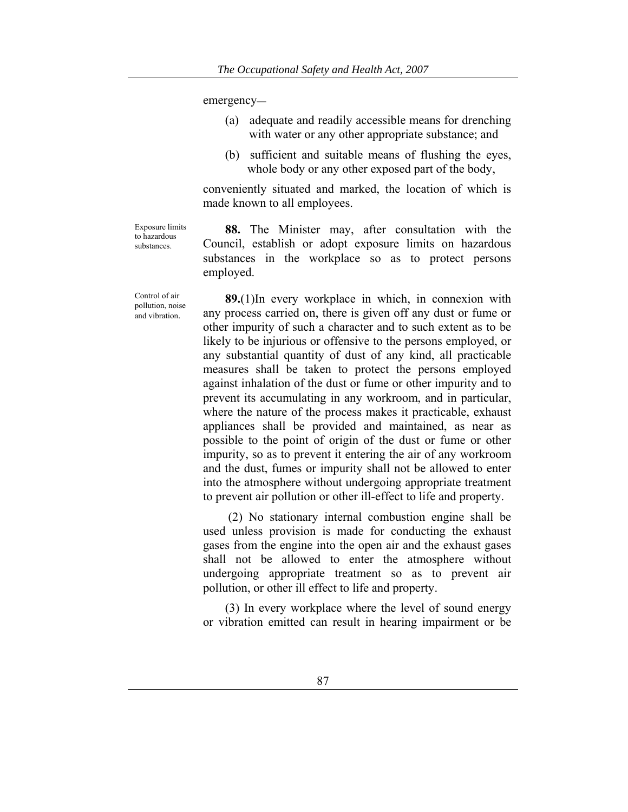emergency**—**

- (a) adequate and readily accessible means for drenching with water or any other appropriate substance; and
- (b) sufficient and suitable means of flushing the eyes, whole body or any other exposed part of the body,

conveniently situated and marked, the location of which is made known to all employees.

**88.** The Minister may, after consultation with the Council, establish or adopt exposure limits on hazardous substances in the workplace so as to protect persons employed.

**89.**(1)In every workplace in which, in connexion with any process carried on, there is given off any dust or fume or other impurity of such a character and to such extent as to be likely to be injurious or offensive to the persons employed, or any substantial quantity of dust of any kind, all practicable measures shall be taken to protect the persons employed against inhalation of the dust or fume or other impurity and to prevent its accumulating in any workroom, and in particular, where the nature of the process makes it practicable, exhaust appliances shall be provided and maintained, as near as possible to the point of origin of the dust or fume or other impurity, so as to prevent it entering the air of any workroom and the dust, fumes or impurity shall not be allowed to enter into the atmosphere without undergoing appropriate treatment to prevent air pollution or other ill-effect to life and property.

 (2) No stationary internal combustion engine shall be used unless provision is made for conducting the exhaust gases from the engine into the open air and the exhaust gases shall not be allowed to enter the atmosphere without undergoing appropriate treatment so as to prevent air pollution, or other ill effect to life and property.

(3) In every workplace where the level of sound energy or vibration emitted can result in hearing impairment or be

Exposure limits to hazardous substances.

Control of air pollution, noise and vibration.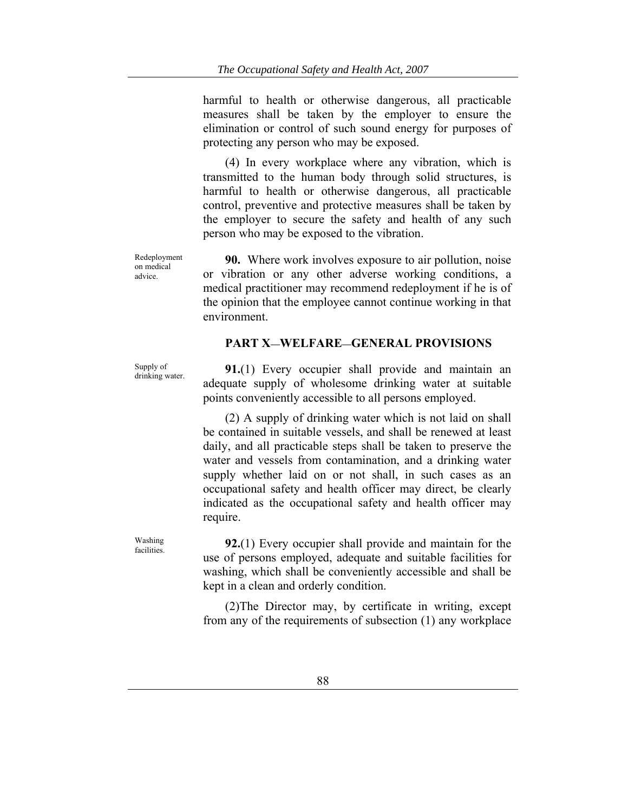harmful to health or otherwise dangerous, all practicable measures shall be taken by the employer to ensure the elimination or control of such sound energy for purposes of protecting any person who may be exposed.

(4) In every workplace where any vibration, which is transmitted to the human body through solid structures, is harmful to health or otherwise dangerous, all practicable control, preventive and protective measures shall be taken by the employer to secure the safety and health of any such person who may be exposed to the vibration.

Redeployment on medical advice.

**90.** Where work involves exposure to air pollution, noise or vibration or any other adverse working conditions, a medical practitioner may recommend redeployment if he is of the opinion that the employee cannot continue working in that environment.

### **PART X—WELFARE—GENERAL PROVISIONS**

Supply of

Supply of drinking water. **91.**(1) Every occupier shall provide and maintain an adequate supply of wholesome drinking water at suitable points conveniently accessible to all persons employed.

> (2) A supply of drinking water which is not laid on shall be contained in suitable vessels, and shall be renewed at least daily, and all practicable steps shall be taken to preserve the water and vessels from contamination, and a drinking water supply whether laid on or not shall, in such cases as an occupational safety and health officer may direct, be clearly indicated as the occupational safety and health officer may require.

facilities. **92.**(1) Every occupier shall provide and maintain for the use of persons employed, adequate and suitable facilities for washing, which shall be conveniently accessible and shall be kept in a clean and orderly condition.

> (2)The Director may, by certificate in writing, except from any of the requirements of subsection (1) any workplace

Washing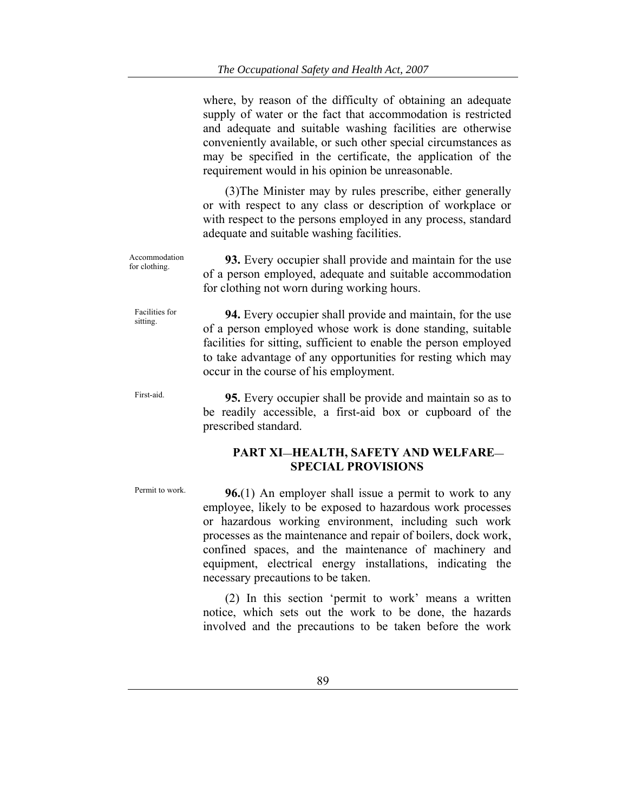where, by reason of the difficulty of obtaining an adequate supply of water or the fact that accommodation is restricted and adequate and suitable washing facilities are otherwise conveniently available, or such other special circumstances as may be specified in the certificate, the application of the requirement would in his opinion be unreasonable.

(3)The Minister may by rules prescribe, either generally or with respect to any class or description of workplace or with respect to the persons employed in any process, standard adequate and suitable washing facilities.

Accommodation<br>for clothing. **93.** Every occupier shall provide and maintain for the use of a person employed, adequate and suitable accommodation for clothing not worn during working hours.

Facilities for **94.** Every occupier shall provide and maintain, for the use of a person employed whose work is done standing, suitable facilities for sitting, sufficient to enable the person employed to take advantage of any opportunities for resting which may occur in the course of his employment.

First-aid. **95.** Every occupier shall be provide and maintain so as to be readily accessible, a first-aid box or cupboard of the prescribed standard.

### **PART XI—HEALTH, SAFETY AND WELFARE— SPECIAL PROVISIONS**

Facilities for

Permit to work. **96.**(1) An employer shall issue a permit to work to any employee, likely to be exposed to hazardous work processes or hazardous working environment, including such work processes as the maintenance and repair of boilers, dock work, confined spaces, and the maintenance of machinery and equipment, electrical energy installations, indicating the necessary precautions to be taken.

> (2) In this section 'permit to work' means a written notice, which sets out the work to be done, the hazards involved and the precautions to be taken before the work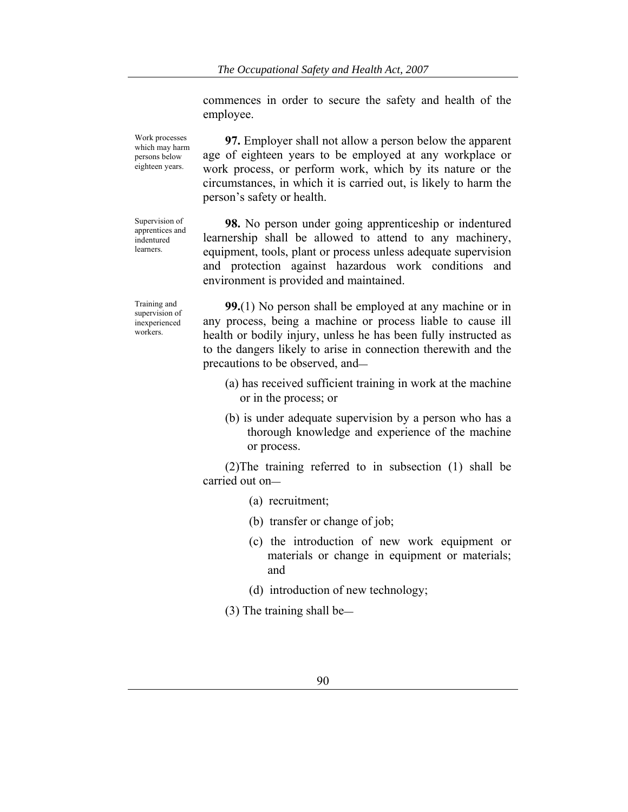commences in order to secure the safety and health of the employee.

Work processes which may harm persons below eighteen years.

**97.** Employer shall not allow a person below the apparent age of eighteen years to be employed at any workplace or work process, or perform work, which by its nature or the circumstances, in which it is carried out, is likely to harm the person's safety or health.

Supervision of apprentices and indentured learners.

**98.** No person under going apprenticeship or indentured learnership shall be allowed to attend to any machinery, equipment, tools, plant or process unless adequate supervision and protection against hazardous work conditions and environment is provided and maintained.

Training and supervision of inexperienced workers.

**99.**(1) No person shall be employed at any machine or in any process, being a machine or process liable to cause ill health or bodily injury, unless he has been fully instructed as to the dangers likely to arise in connection therewith and the precautions to be observed, and**—**

- (a) has received sufficient training in work at the machine or in the process; or
- (b) is under adequate supervision by a person who has a thorough knowledge and experience of the machine or process.

(2)The training referred to in subsection (1) shall be carried out on**—**

- (a) recruitment;
- (b) transfer or change of job;
- (c) the introduction of new work equipment or materials or change in equipment or materials; and
- (d) introduction of new technology;

(3) The training shall be**—**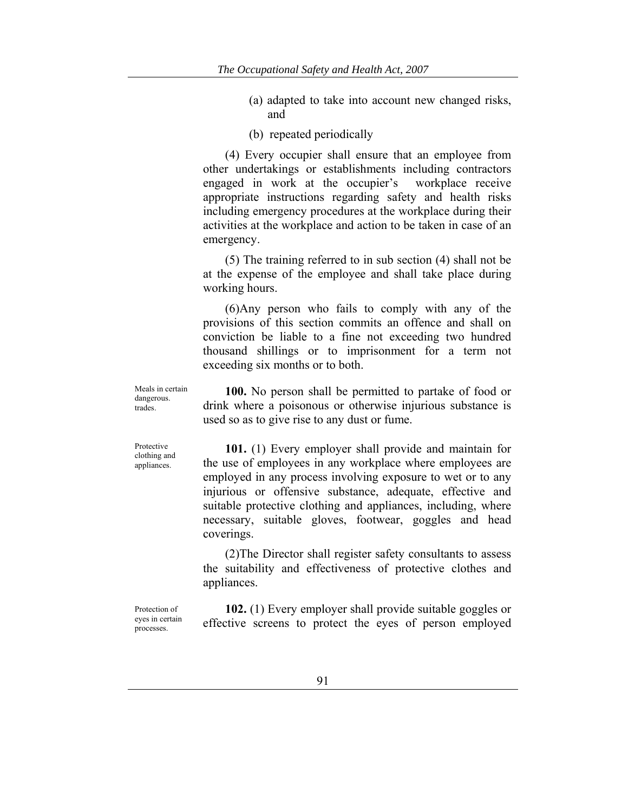(a) adapted to take into account new changed risks, and

(b) repeated periodically

(4) Every occupier shall ensure that an employee from other undertakings or establishments including contractors engaged in work at the occupier's workplace receive appropriate instructions regarding safety and health risks including emergency procedures at the workplace during their activities at the workplace and action to be taken in case of an emergency.

(5) The training referred to in sub section (4) shall not be at the expense of the employee and shall take place during working hours.

(6)Any person who fails to comply with any of the provisions of this section commits an offence and shall on conviction be liable to a fine not exceeding two hundred thousand shillings or to imprisonment for a term not exceeding six months or to both.

Meals in certain dangerous. trades.

**100.** No person shall be permitted to partake of food or drink where a poisonous or otherwise injurious substance is used so as to give rise to any dust or fume.

Protective clothing and appliances.

**101.** (1) Every employer shall provide and maintain for the use of employees in any workplace where employees are employed in any process involving exposure to wet or to any injurious or offensive substance, adequate, effective and suitable protective clothing and appliances, including, where necessary, suitable gloves, footwear, goggles and head coverings.

(2)The Director shall register safety consultants to assess the suitability and effectiveness of protective clothes and appliances.

Protection of eyes in certain processes.

**102.** (1) Every employer shall provide suitable goggles or effective screens to protect the eyes of person employed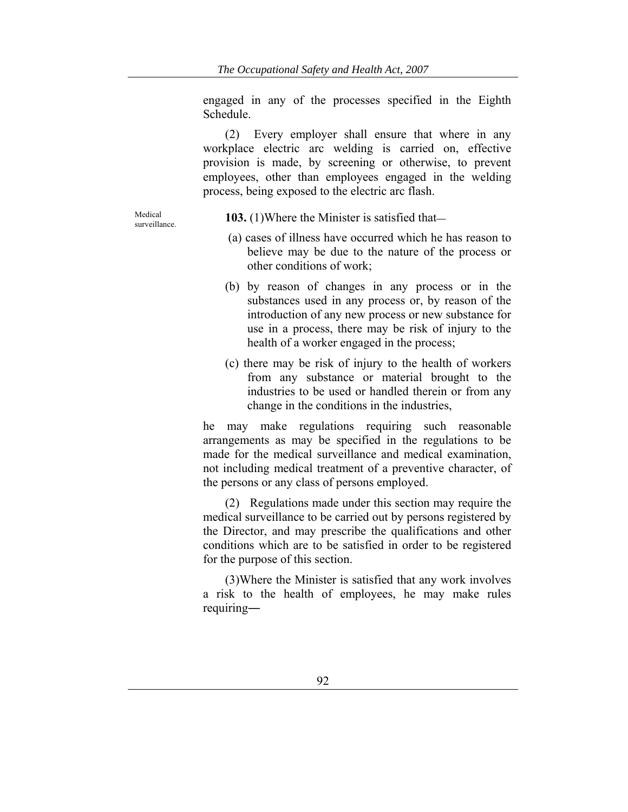engaged in any of the processes specified in the Eighth Schedule.

(2) Every employer shall ensure that where in any workplace electric arc welding is carried on, effective provision is made, by screening or otherwise, to prevent employees, other than employees engaged in the welding process, being exposed to the electric arc flash.

Medical

surveillance. **103.** (1)Where the Minister is satisfied that**—**

- (a) cases of illness have occurred which he has reason to believe may be due to the nature of the process or other conditions of work;
- (b) by reason of changes in any process or in the substances used in any process or, by reason of the introduction of any new process or new substance for use in a process, there may be risk of injury to the health of a worker engaged in the process;
- (c) there may be risk of injury to the health of workers from any substance or material brought to the industries to be used or handled therein or from any change in the conditions in the industries,

he may make regulations requiring such reasonable arrangements as may be specified in the regulations to be made for the medical surveillance and medical examination, not including medical treatment of a preventive character, of the persons or any class of persons employed.

(2) Regulations made under this section may require the medical surveillance to be carried out by persons registered by the Director, and may prescribe the qualifications and other conditions which are to be satisfied in order to be registered for the purpose of this section.

(3)Where the Minister is satisfied that any work involves a risk to the health of employees, he may make rules requiring―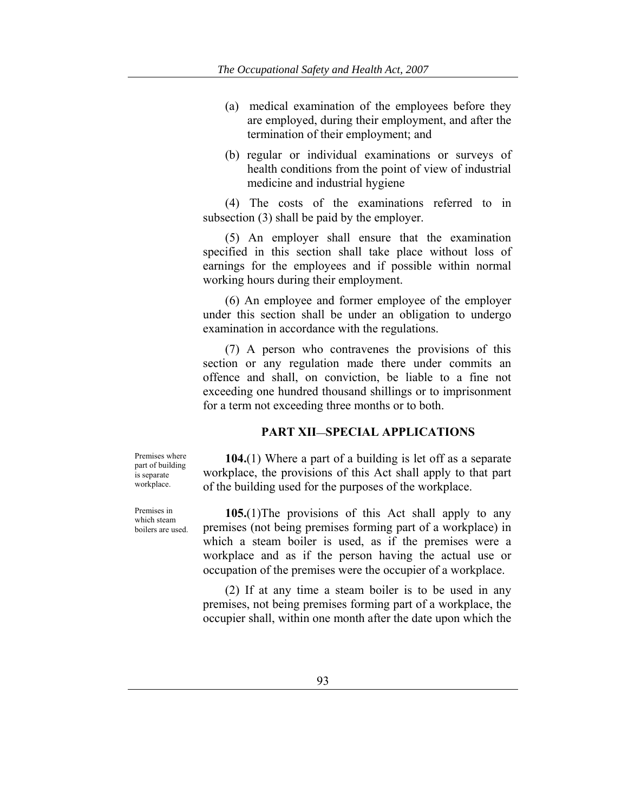- (a) medical examination of the employees before they are employed, during their employment, and after the termination of their employment; and
- (b) regular or individual examinations or surveys of health conditions from the point of view of industrial medicine and industrial hygiene

(4) The costs of the examinations referred to in subsection (3) shall be paid by the employer.

(5) An employer shall ensure that the examination specified in this section shall take place without loss of earnings for the employees and if possible within normal working hours during their employment.

(6) An employee and former employee of the employer under this section shall be under an obligation to undergo examination in accordance with the regulations.

(7) A person who contravenes the provisions of this section or any regulation made there under commits an offence and shall, on conviction, be liable to a fine not exceeding one hundred thousand shillings or to imprisonment for a term not exceeding three months or to both.

#### **PART XII—SPECIAL APPLICATIONS**

Premises where part of building is separate workplace.

Premises in which steam boilers are used.

**104.**(1) Where a part of a building is let off as a separate workplace, the provisions of this Act shall apply to that part of the building used for the purposes of the workplace.

**105.**(1)The provisions of this Act shall apply to any premises (not being premises forming part of a workplace) in which a steam boiler is used, as if the premises were a workplace and as if the person having the actual use or occupation of the premises were the occupier of a workplace.

(2) If at any time a steam boiler is to be used in any premises, not being premises forming part of a workplace, the occupier shall, within one month after the date upon which the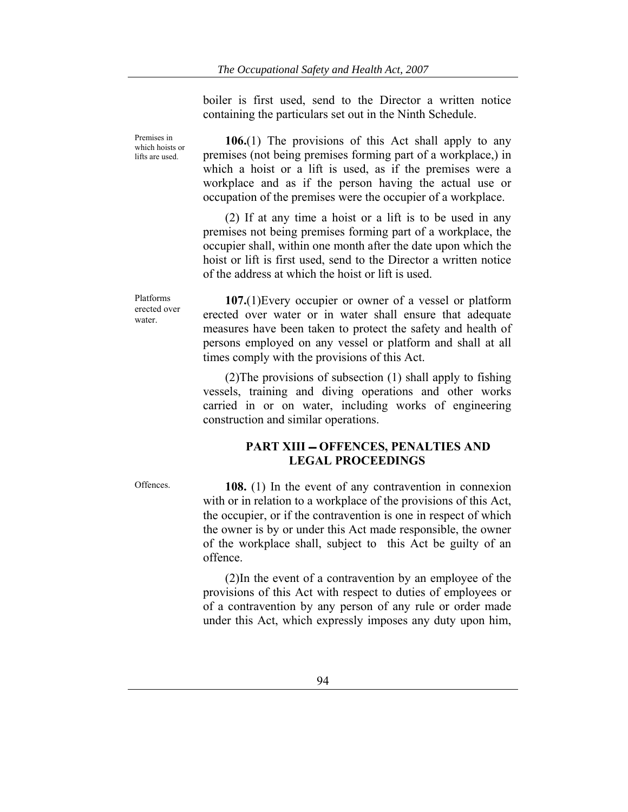boiler is first used, send to the Director a written notice containing the particulars set out in the Ninth Schedule.

**106.**(1) The provisions of this Act shall apply to any premises (not being premises forming part of a workplace,) in which a hoist or a lift is used, as if the premises were a workplace and as if the person having the actual use or occupation of the premises were the occupier of a workplace.

(2) If at any time a hoist or a lift is to be used in any premises not being premises forming part of a workplace, the occupier shall, within one month after the date upon which the hoist or lift is first used, send to the Director a written notice of the address at which the hoist or lift is used.

**107.**(1)Every occupier or owner of a vessel or platform erected over water or in water shall ensure that adequate measures have been taken to protect the safety and health of persons employed on any vessel or platform and shall at all times comply with the provisions of this Act.

(2)The provisions of subsection (1) shall apply to fishing vessels, training and diving operations and other works carried in or on water, including works of engineering construction and similar operations.

# **PART XIII OFFENCES, PENALTIES AND LEGAL PROCEEDINGS**

Premises in which hoists or lifts are used.

Platforms erected over water.

Offences. **108.** (1) In the event of any contravention in connexion with or in relation to a workplace of the provisions of this Act, the occupier, or if the contravention is one in respect of which the owner is by or under this Act made responsible, the owner of the workplace shall, subject to this Act be guilty of an offence.

> (2)In the event of a contravention by an employee of the provisions of this Act with respect to duties of employees or of a contravention by any person of any rule or order made under this Act, which expressly imposes any duty upon him,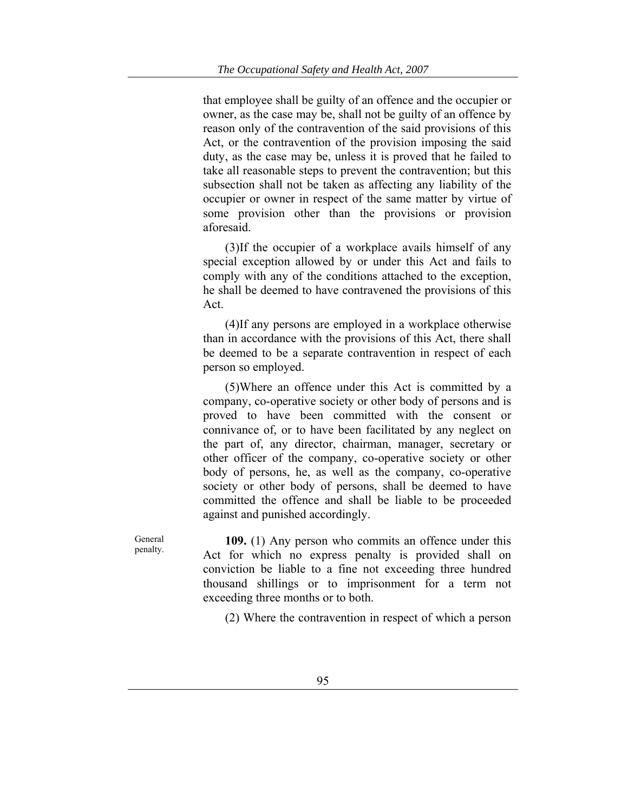that employee shall be guilty of an offence and the occupier or owner, as the case may be, shall not be guilty of an offence by reason only of the contravention of the said provisions of this Act, or the contravention of the provision imposing the said duty, as the case may be, unless it is proved that he failed to take all reasonable steps to prevent the contravention; but this subsection shall not be taken as affecting any liability of the occupier or owner in respect of the same matter by virtue of some provision other than the provisions or provision aforesaid.

(3)If the occupier of a workplace avails himself of any special exception allowed by or under this Act and fails to comply with any of the conditions attached to the exception, he shall be deemed to have contravened the provisions of this Act.

(4)If any persons are employed in a workplace otherwise than in accordance with the provisions of this Act, there shall be deemed to be a separate contravention in respect of each person so employed.

(5)Where an offence under this Act is committed by a company, co-operative society or other body of persons and is proved to have been committed with the consent or connivance of, or to have been facilitated by any neglect on the part of, any director, chairman, manager, secretary or other officer of the company, co-operative society or other body of persons, he, as well as the company, co-operative society or other body of persons, shall be deemed to have committed the offence and shall be liable to be proceeded against and punished accordingly.

General penalty.

**109.** (1) Any person who commits an offence under this Act for which no express penalty is provided shall on conviction be liable to a fine not exceeding three hundred thousand shillings or to imprisonment for a term not exceeding three months or to both.

(2) Where the contravention in respect of which a person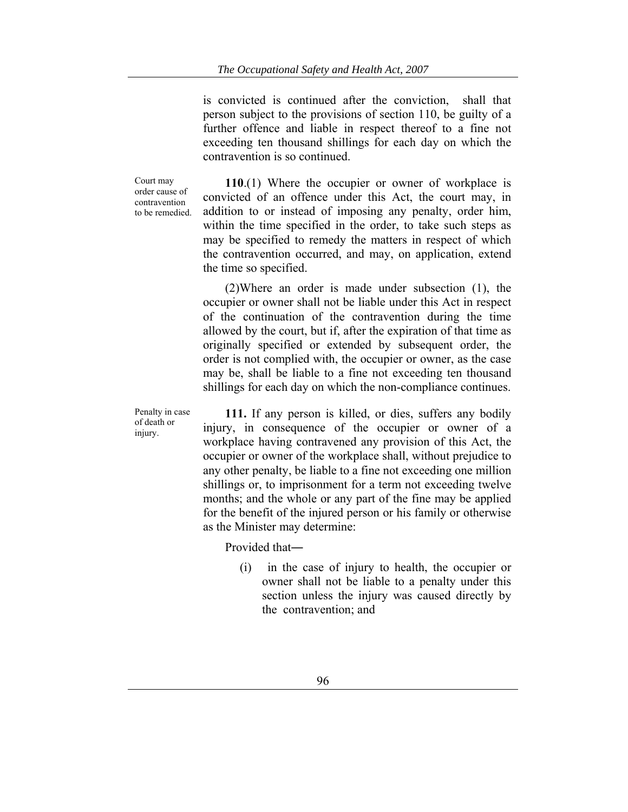is convicted is continued after the conviction, shall that person subject to the provisions of section 110, be guilty of a further offence and liable in respect thereof to a fine not exceeding ten thousand shillings for each day on which the contravention is so continued.

Court may order cause of contravention to be remedied.

**110**.(1) Where the occupier or owner of workplace is convicted of an offence under this Act, the court may, in addition to or instead of imposing any penalty, order him, within the time specified in the order, to take such steps as may be specified to remedy the matters in respect of which the contravention occurred, and may, on application, extend the time so specified.

(2)Where an order is made under subsection (1), the occupier or owner shall not be liable under this Act in respect of the continuation of the contravention during the time allowed by the court, but if, after the expiration of that time as originally specified or extended by subsequent order, the order is not complied with, the occupier or owner, as the case may be, shall be liable to a fine not exceeding ten thousand shillings for each day on which the non-compliance continues.

Penalty in case of death or injury.

**111.** If any person is killed, or dies, suffers any bodily injury, in consequence of the occupier or owner of a workplace having contravened any provision of this Act, the occupier or owner of the workplace shall, without prejudice to any other penalty, be liable to a fine not exceeding one million shillings or, to imprisonment for a term not exceeding twelve months; and the whole or any part of the fine may be applied for the benefit of the injured person or his family or otherwise as the Minister may determine:

Provided that―

(i) in the case of injury to health, the occupier or owner shall not be liable to a penalty under this section unless the injury was caused directly by the contravention; and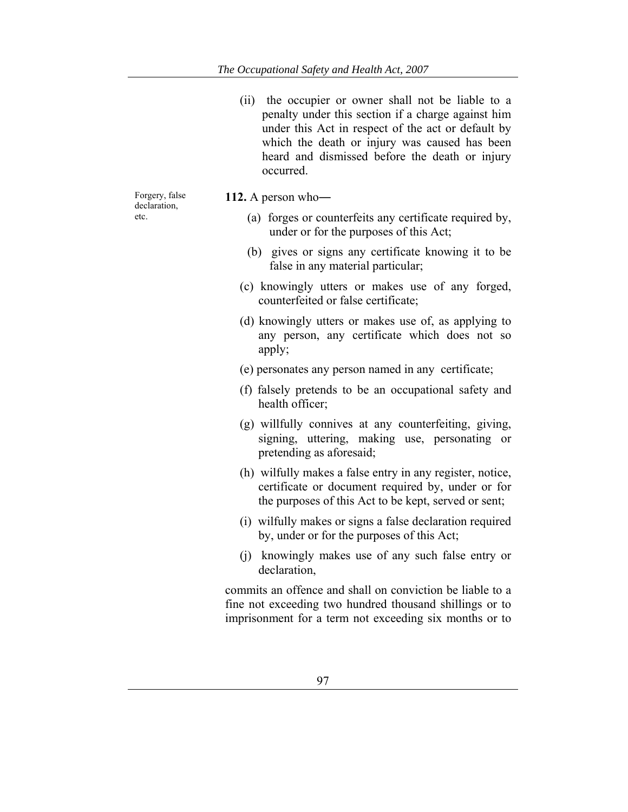(ii) the occupier or owner shall not be liable to a penalty under this section if a charge against him under this Act in respect of the act or default by which the death or injury was caused has been heard and dismissed before the death or injury occurred.

Forgery, false declaration, etc.

- **112.** A person who―
	- (a) forges or counterfeits any certificate required by, under or for the purposes of this Act;
	- (b) gives or signs any certificate knowing it to be false in any material particular;
	- (c) knowingly utters or makes use of any forged, counterfeited or false certificate;
	- (d) knowingly utters or makes use of, as applying to any person, any certificate which does not so apply;
	- (e) personates any person named in any certificate;
	- (f) falsely pretends to be an occupational safety and health officer;
	- (g) willfully connives at any counterfeiting, giving, signing, uttering, making use, personating or pretending as aforesaid;
	- (h) wilfully makes a false entry in any register, notice, certificate or document required by, under or for the purposes of this Act to be kept, served or sent;
	- (i) wilfully makes or signs a false declaration required by, under or for the purposes of this Act;
	- (j) knowingly makes use of any such false entry or declaration,

commits an offence and shall on conviction be liable to a fine not exceeding two hundred thousand shillings or to imprisonment for a term not exceeding six months or to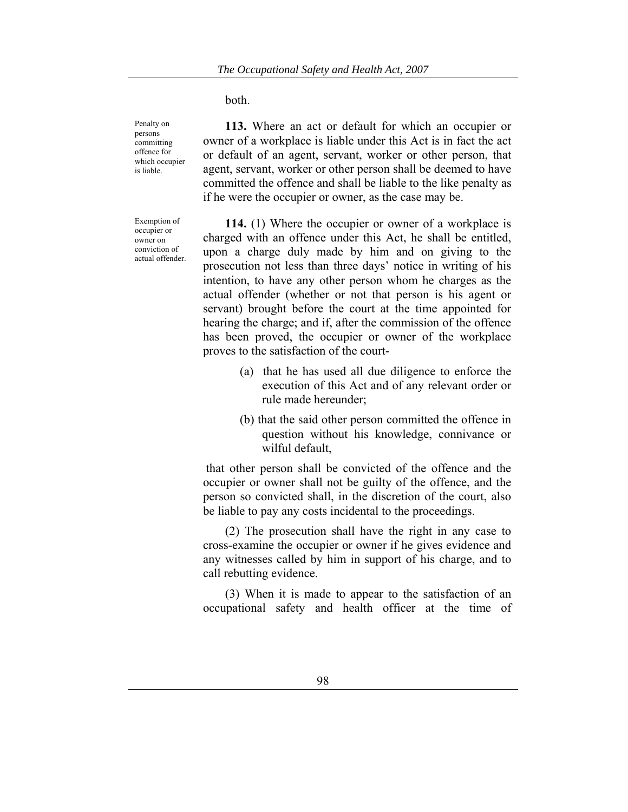both.

**113.** Where an act or default for which an occupier or owner of a workplace is liable under this Act is in fact the act or default of an agent, servant, worker or other person, that agent, servant, worker or other person shall be deemed to have committed the offence and shall be liable to the like penalty as if he were the occupier or owner, as the case may be.

**114.** (1) Where the occupier or owner of a workplace is charged with an offence under this Act, he shall be entitled, upon a charge duly made by him and on giving to the prosecution not less than three days' notice in writing of his intention, to have any other person whom he charges as the actual offender (whether or not that person is his agent or servant) brought before the court at the time appointed for hearing the charge; and if, after the commission of the offence has been proved, the occupier or owner of the workplace proves to the satisfaction of the court-

- (a) that he has used all due diligence to enforce the execution of this Act and of any relevant order or rule made hereunder;
- (b) that the said other person committed the offence in question without his knowledge, connivance or wilful default,

 that other person shall be convicted of the offence and the occupier or owner shall not be guilty of the offence, and the person so convicted shall, in the discretion of the court, also be liable to pay any costs incidental to the proceedings.

(2) The prosecution shall have the right in any case to cross-examine the occupier or owner if he gives evidence and any witnesses called by him in support of his charge, and to call rebutting evidence.

(3) When it is made to appear to the satisfaction of an occupational safety and health officer at the time of

Penalty on persons committing offence for which occupier is liable.

Exemption of occupier or owner on conviction of actual offender.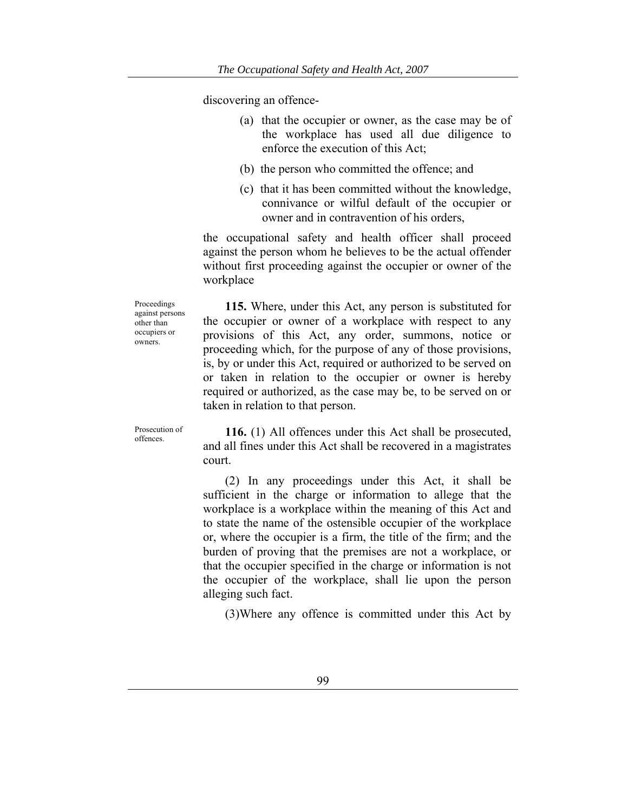discovering an offence-

- (a) that the occupier or owner, as the case may be of the workplace has used all due diligence to enforce the execution of this Act;
- (b) the person who committed the offence; and
- (c) that it has been committed without the knowledge, connivance or wilful default of the occupier or owner and in contravention of his orders,

the occupational safety and health officer shall proceed against the person whom he believes to be the actual offender without first proceeding against the occupier or owner of the workplace

**115.** Where, under this Act, any person is substituted for the occupier or owner of a workplace with respect to any provisions of this Act, any order, summons, notice or proceeding which, for the purpose of any of those provisions, is, by or under this Act, required or authorized to be served on or taken in relation to the occupier or owner is hereby required or authorized, as the case may be, to be served on or taken in relation to that person.

Prosecution of<br>offences

Proceedings against persons other than occupiers or owners.

> **116.** (1) All offences under this Act shall be prosecuted, and all fines under this Act shall be recovered in a magistrates court.

> (2) In any proceedings under this Act, it shall be sufficient in the charge or information to allege that the workplace is a workplace within the meaning of this Act and to state the name of the ostensible occupier of the workplace or, where the occupier is a firm, the title of the firm; and the burden of proving that the premises are not a workplace, or that the occupier specified in the charge or information is not the occupier of the workplace, shall lie upon the person alleging such fact.

(3)Where any offence is committed under this Act by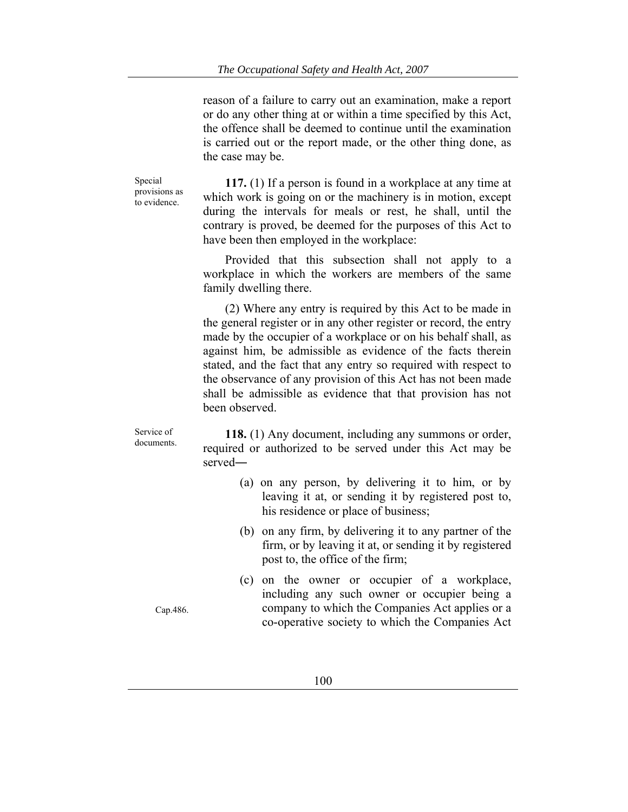reason of a failure to carry out an examination, make a report or do any other thing at or within a time specified by this Act, the offence shall be deemed to continue until the examination is carried out or the report made, or the other thing done, as the case may be.

Special provisions as to evidence.

Service of documents.

**117.** (1) If a person is found in a workplace at any time at which work is going on or the machinery is in motion, except during the intervals for meals or rest, he shall, until the contrary is proved, be deemed for the purposes of this Act to have been then employed in the workplace:

Provided that this subsection shall not apply to a workplace in which the workers are members of the same family dwelling there.

(2) Where any entry is required by this Act to be made in the general register or in any other register or record, the entry made by the occupier of a workplace or on his behalf shall, as against him, be admissible as evidence of the facts therein stated, and the fact that any entry so required with respect to the observance of any provision of this Act has not been made shall be admissible as evidence that that provision has not been observed.

**118.** (1) Any document, including any summons or order, required or authorized to be served under this Act may be served―

- (a) on any person, by delivering it to him, or by leaving it at, or sending it by registered post to, his residence or place of business;
- (b) on any firm, by delivering it to any partner of the firm, or by leaving it at, or sending it by registered post to, the office of the firm;
- (c) on the owner or occupier of a workplace, including any such owner or occupier being a company to which the Companies Act applies or a co-operative society to which the Companies Act

Cap.486.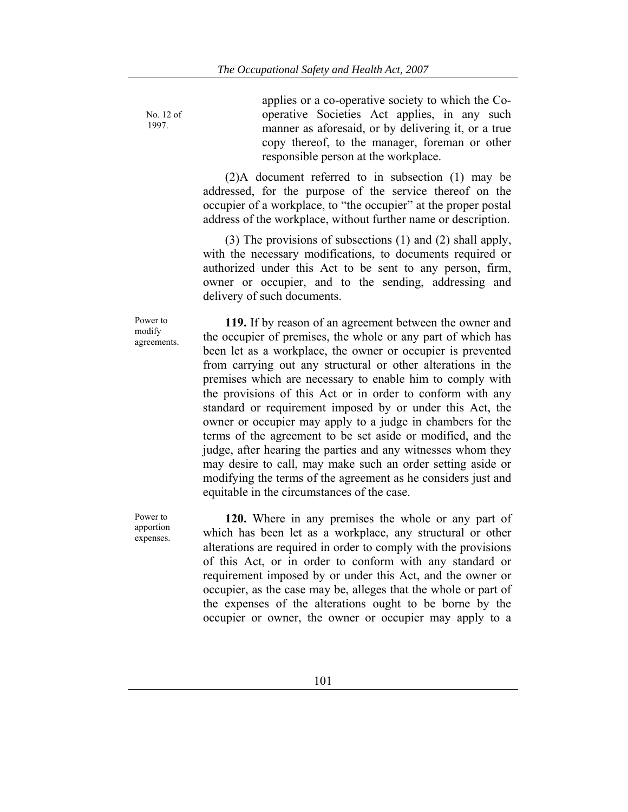No. 12 of 1997.

applies or a co-operative society to which the Cooperative Societies Act applies, in any such manner as aforesaid, or by delivering it, or a true copy thereof, to the manager, foreman or other responsible person at the workplace.

(2)A document referred to in subsection (1) may be addressed, for the purpose of the service thereof on the occupier of a workplace, to "the occupier" at the proper postal address of the workplace, without further name or description.

(3) The provisions of subsections (1) and (2) shall apply, with the necessary modifications, to documents required or authorized under this Act to be sent to any person, firm, owner or occupier, and to the sending, addressing and delivery of such documents.

Power to modify agreements.

**119.** If by reason of an agreement between the owner and the occupier of premises, the whole or any part of which has been let as a workplace, the owner or occupier is prevented from carrying out any structural or other alterations in the premises which are necessary to enable him to comply with the provisions of this Act or in order to conform with any standard or requirement imposed by or under this Act, the owner or occupier may apply to a judge in chambers for the terms of the agreement to be set aside or modified, and the judge, after hearing the parties and any witnesses whom they may desire to call, may make such an order setting aside or modifying the terms of the agreement as he considers just and equitable in the circumstances of the case.

Power to apportion expenses.

**120.** Where in any premises the whole or any part of which has been let as a workplace, any structural or other alterations are required in order to comply with the provisions of this Act, or in order to conform with any standard or requirement imposed by or under this Act, and the owner or occupier, as the case may be, alleges that the whole or part of the expenses of the alterations ought to be borne by the occupier or owner, the owner or occupier may apply to a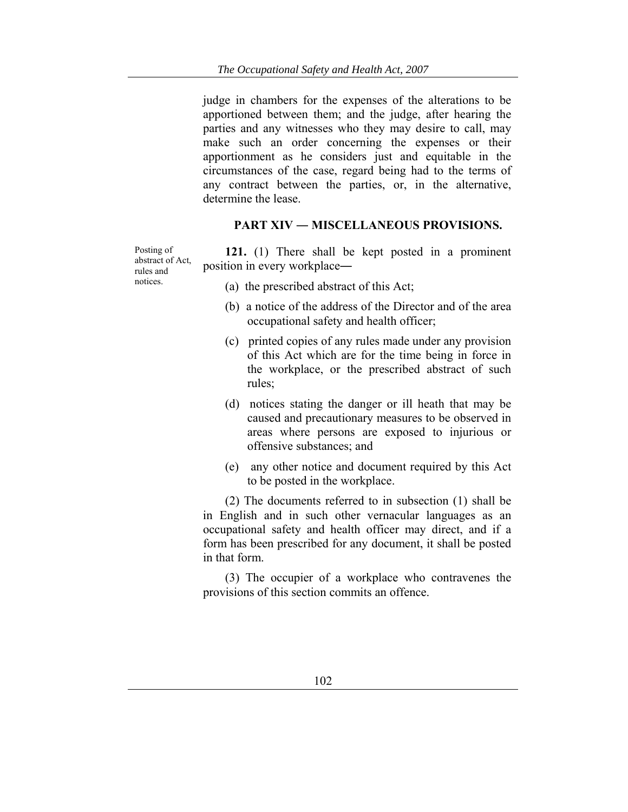judge in chambers for the expenses of the alterations to be apportioned between them; and the judge, after hearing the parties and any witnesses who they may desire to call, may make such an order concerning the expenses or their apportionment as he considers just and equitable in the circumstances of the case, regard being had to the terms of any contract between the parties, or, in the alternative, determine the lease.

#### **PART XIV ― MISCELLANEOUS PROVISIONS.**

Posting of abstract of Act, rules and notices.

**121.** (1) There shall be kept posted in a prominent position in every workplace**―**

- (a) the prescribed abstract of this Act;
- (b) a notice of the address of the Director and of the area occupational safety and health officer;
- (c) printed copies of any rules made under any provision of this Act which are for the time being in force in the workplace, or the prescribed abstract of such rules;
- (d) notices stating the danger or ill heath that may be caused and precautionary measures to be observed in areas where persons are exposed to injurious or offensive substances; and
- (e) any other notice and document required by this Act to be posted in the workplace.

(2) The documents referred to in subsection (1) shall be in English and in such other vernacular languages as an occupational safety and health officer may direct, and if a form has been prescribed for any document, it shall be posted in that form.

(3) The occupier of a workplace who contravenes the provisions of this section commits an offence.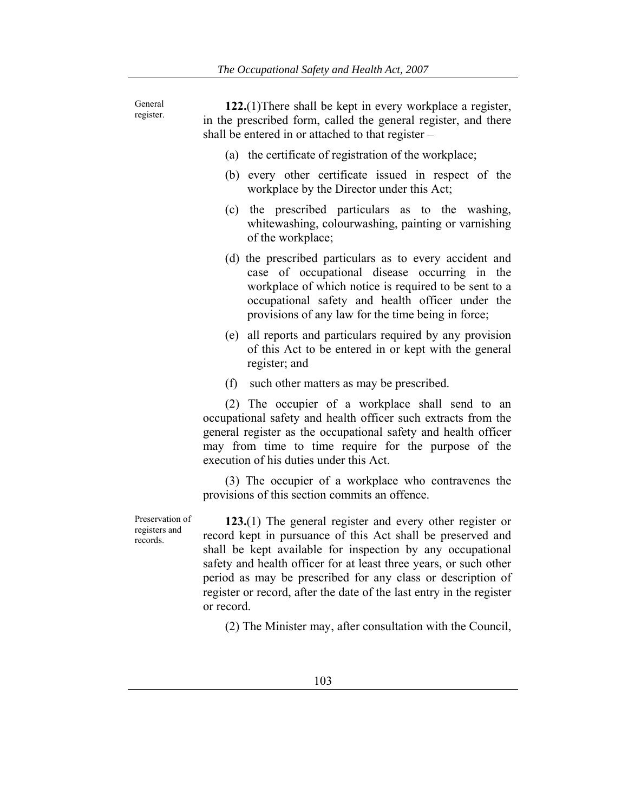General register. **122.**(1)There shall be kept in every workplace a register, in the prescribed form, called the general register, and there shall be entered in or attached to that register – (a) the certificate of registration of the workplace; (b) every other certificate issued in respect of the workplace by the Director under this Act; (c) the prescribed particulars as to the washing, whitewashing, colourwashing, painting or varnishing of the workplace; (d) the prescribed particulars as to every accident and case of occupational disease occurring in the workplace of which notice is required to be sent to a occupational safety and health officer under the provisions of any law for the time being in force; (e) all reports and particulars required by any provision of this Act to be entered in or kept with the general register; and (f) such other matters as may be prescribed. (2) The occupier of a workplace shall send to an occupational safety and health officer such extracts from the general register as the occupational safety and health officer may from time to time require for the purpose of the execution of his duties under this Act. (3) The occupier of a workplace who contravenes the provisions of this section commits an offence. Preservation of registers and records. **123.**(1) The general register and every other register or

record kept in pursuance of this Act shall be preserved and shall be kept available for inspection by any occupational safety and health officer for at least three years, or such other period as may be prescribed for any class or description of register or record, after the date of the last entry in the register or record.

(2) The Minister may, after consultation with the Council,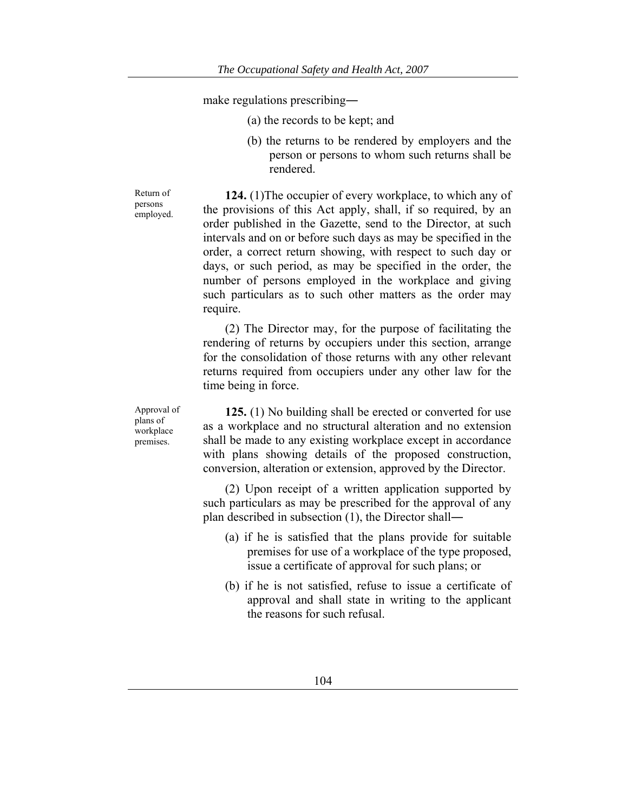make regulations prescribing**―**

- (a) the records to be kept; and
- (b) the returns to be rendered by employers and the person or persons to whom such returns shall be rendered.

**124.** (1)The occupier of every workplace, to which any of the provisions of this Act apply, shall, if so required, by an order published in the Gazette, send to the Director, at such intervals and on or before such days as may be specified in the order, a correct return showing, with respect to such day or days, or such period, as may be specified in the order, the number of persons employed in the workplace and giving such particulars as to such other matters as the order may require.

(2) The Director may, for the purpose of facilitating the rendering of returns by occupiers under this section, arrange for the consolidation of those returns with any other relevant returns required from occupiers under any other law for the time being in force.

**125.** (1) No building shall be erected or converted for use as a workplace and no structural alteration and no extension shall be made to any existing workplace except in accordance with plans showing details of the proposed construction, conversion, alteration or extension, approved by the Director.

(2) Upon receipt of a written application supported by such particulars as may be prescribed for the approval of any plan described in subsection (1), the Director shall―

- (a) if he is satisfied that the plans provide for suitable premises for use of a workplace of the type proposed, issue a certificate of approval for such plans; or
- (b) if he is not satisfied, refuse to issue a certificate of approval and shall state in writing to the applicant the reasons for such refusal.

Return of persons employed.

Approval of plans of workplace premises.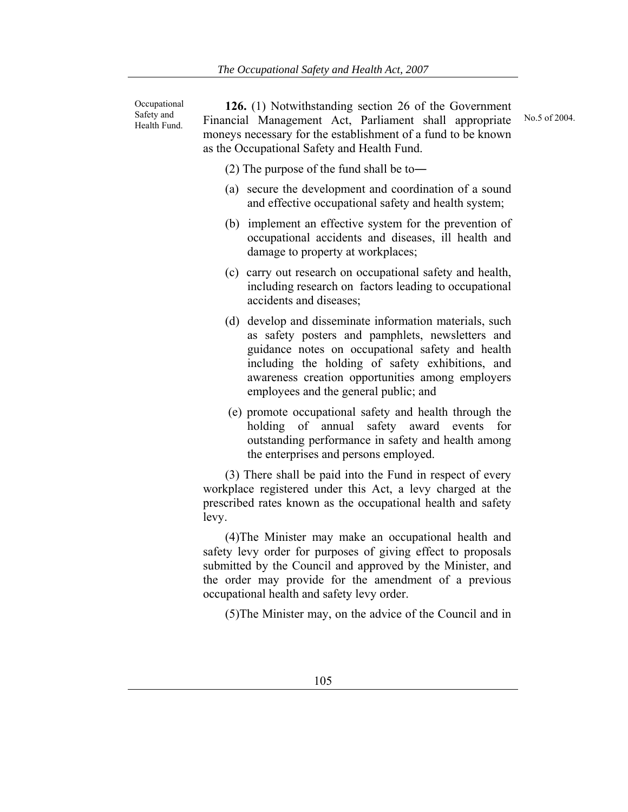**Occupational** Safety and Health Fund.

**126.** (1) Notwithstanding section 26 of the Government Financial Management Act, Parliament shall appropriate moneys necessary for the establishment of a fund to be known as the Occupational Safety and Health Fund.

(2) The purpose of the fund shall be to―

- (a) secure the development and coordination of a sound and effective occupational safety and health system;
- (b) implement an effective system for the prevention of occupational accidents and diseases, ill health and damage to property at workplaces;
- (c) carry out research on occupational safety and health, including research on factors leading to occupational accidents and diseases;
- (d) develop and disseminate information materials, such as safety posters and pamphlets, newsletters and guidance notes on occupational safety and health including the holding of safety exhibitions, and awareness creation opportunities among employers employees and the general public; and
- (e) promote occupational safety and health through the holding of annual safety award events for outstanding performance in safety and health among the enterprises and persons employed.

(3) There shall be paid into the Fund in respect of every workplace registered under this Act, a levy charged at the prescribed rates known as the occupational health and safety levy.

(4)The Minister may make an occupational health and safety levy order for purposes of giving effect to proposals submitted by the Council and approved by the Minister, and the order may provide for the amendment of a previous occupational health and safety levy order.

(5)The Minister may, on the advice of the Council and in

No.5 of 2004.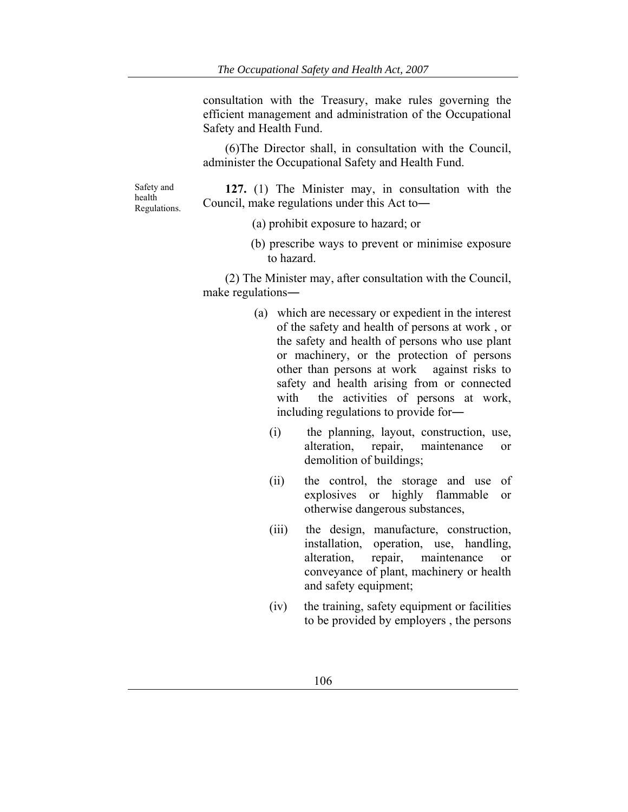consultation with the Treasury, make rules governing the efficient management and administration of the Occupational Safety and Health Fund.

(6)The Director shall, in consultation with the Council, administer the Occupational Safety and Health Fund.

Safety and health Regulations.

**127.** (1) The Minister may, in consultation with the Council, make regulations under this Act to―

(a) prohibit exposure to hazard; or

(b) prescribe ways to prevent or minimise exposure to hazard.

(2) The Minister may, after consultation with the Council, make regulations―

- (a) which are necessary or expedient in the interest of the safety and health of persons at work , or the safety and health of persons who use plant or machinery, or the protection of persons other than persons at work against risks to safety and health arising from or connected with the activities of persons at work, including regulations to provide for―
	- (i) the planning, layout, construction, use, alteration, repair, maintenance or demolition of buildings;
	- (ii) the control, the storage and use of explosives or highly flammable or otherwise dangerous substances,
	- (iii) the design, manufacture, construction, installation, operation, use, handling, alteration, repair, maintenance or conveyance of plant, machinery or health and safety equipment;
	- (iv) the training, safety equipment or facilities to be provided by employers , the persons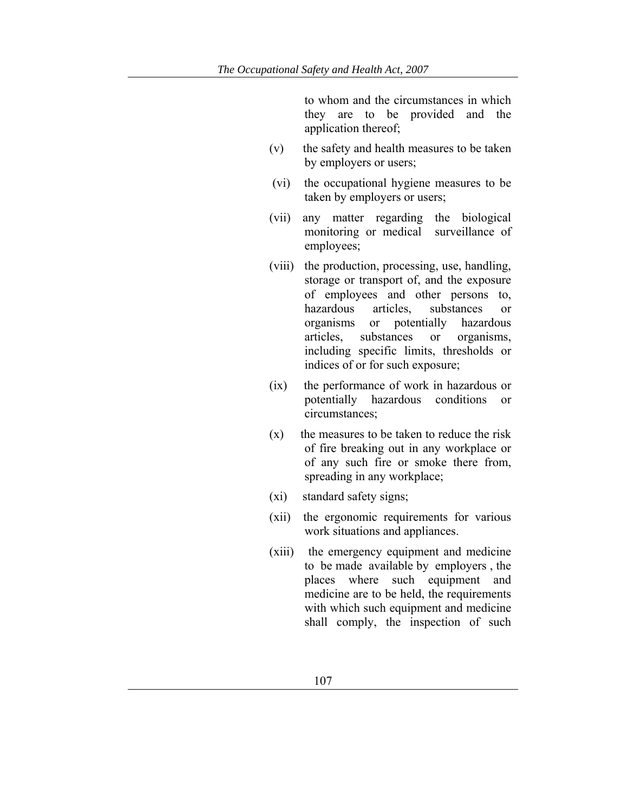to whom and the circumstances in which they are to be provided and the application thereof;

- (v) the safety and health measures to be taken by employers or users;
- (vi) the occupational hygiene measures to be taken by employers or users;
- (vii) any matter regarding the biological monitoring or medical surveillance of employees;
- (viii) the production, processing, use, handling, storage or transport of, and the exposure of employees and other persons to, hazardous articles, substances or organisms or potentially hazardous articles, substances or organisms, including specific limits, thresholds or indices of or for such exposure;
- (ix) the performance of work in hazardous or potentially hazardous conditions or circumstances;
- $(x)$  the measures to be taken to reduce the risk of fire breaking out in any workplace or of any such fire or smoke there from, spreading in any workplace;
- (xi) standard safety signs;
- (xii) the ergonomic requirements for various work situations and appliances.
- (xiii) the emergency equipment and medicine to be made available by employers , the places where such equipment and medicine are to be held, the requirements with which such equipment and medicine shall comply, the inspection of such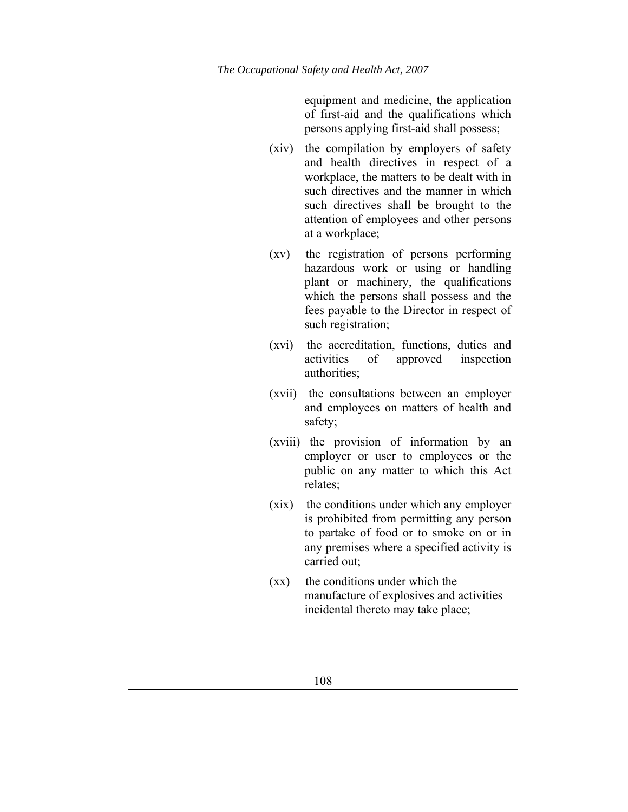equipment and medicine, the application of first-aid and the qualifications which persons applying first-aid shall possess;

- (xiv) the compilation by employers of safety and health directives in respect of a workplace, the matters to be dealt with in such directives and the manner in which such directives shall be brought to the attention of employees and other persons at a workplace;
- (xv) the registration of persons performing hazardous work or using or handling plant or machinery, the qualifications which the persons shall possess and the fees payable to the Director in respect of such registration;
- (xvi) the accreditation, functions, duties and activities of approved inspection authorities;
- (xvii) the consultations between an employer and employees on matters of health and safety;
- (xviii) the provision of information by an employer or user to employees or the public on any matter to which this Act relates;
- (xix) the conditions under which any employer is prohibited from permitting any person to partake of food or to smoke on or in any premises where a specified activity is carried out;
- (xx) the conditions under which the manufacture of explosives and activities incidental thereto may take place;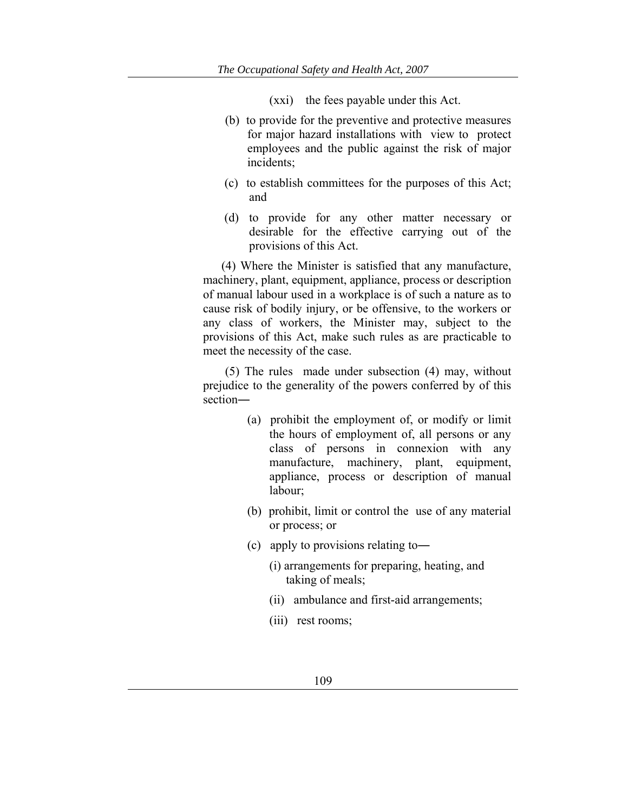(xxi) the fees payable under this Act.

- (b) to provide for the preventive and protective measures for major hazard installations with view to protect employees and the public against the risk of major incidents;
- (c) to establish committees for the purposes of this Act; and
- (d) to provide for any other matter necessary or desirable for the effective carrying out of the provisions of this Act.

 (4) Where the Minister is satisfied that any manufacture, machinery, plant, equipment, appliance, process or description of manual labour used in a workplace is of such a nature as to cause risk of bodily injury, or be offensive, to the workers or any class of workers, the Minister may, subject to the provisions of this Act, make such rules as are practicable to meet the necessity of the case.

(5) The rules made under subsection (4) may, without prejudice to the generality of the powers conferred by of this section―

- (a) prohibit the employment of, or modify or limit the hours of employment of, all persons or any class of persons in connexion with any manufacture, machinery, plant, equipment, appliance, process or description of manual labour;
- (b) prohibit, limit or control the use of any material or process; or
- (c) apply to provisions relating to―
	- (i) arrangements for preparing, heating, and taking of meals;
	- (ii) ambulance and first-aid arrangements;
	- (iii) rest rooms;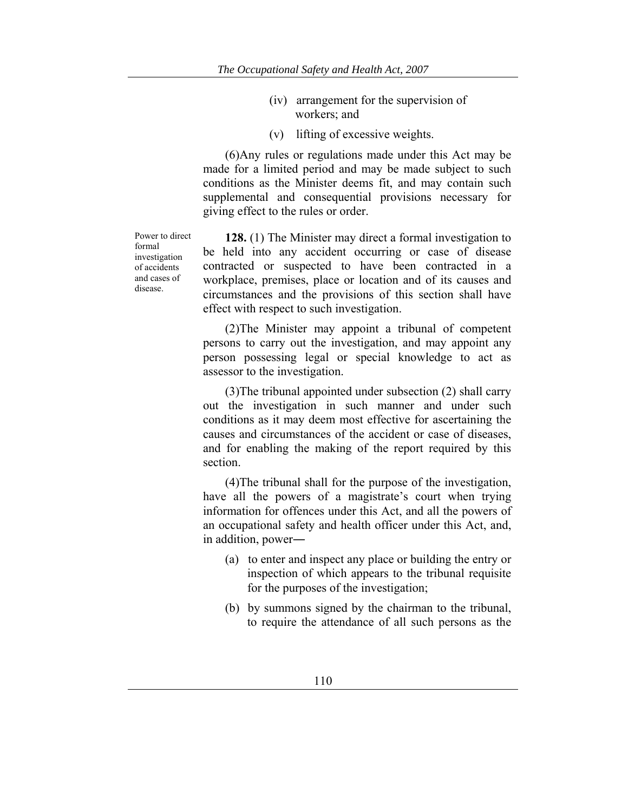- (iv) arrangement for the supervision of workers; and
- (v) lifting of excessive weights.

(6)Any rules or regulations made under this Act may be made for a limited period and may be made subject to such conditions as the Minister deems fit, and may contain such supplemental and consequential provisions necessary for giving effect to the rules or order.

Power to direct formal investigation of accidents and cases of disease.

**128.** (1) The Minister may direct a formal investigation to be held into any accident occurring or case of disease contracted or suspected to have been contracted in a workplace, premises, place or location and of its causes and circumstances and the provisions of this section shall have effect with respect to such investigation.

(2)The Minister may appoint a tribunal of competent persons to carry out the investigation, and may appoint any person possessing legal or special knowledge to act as assessor to the investigation.

(3)The tribunal appointed under subsection (2) shall carry out the investigation in such manner and under such conditions as it may deem most effective for ascertaining the causes and circumstances of the accident or case of diseases, and for enabling the making of the report required by this section.

(4)The tribunal shall for the purpose of the investigation, have all the powers of a magistrate's court when trying information for offences under this Act, and all the powers of an occupational safety and health officer under this Act, and, in addition, power―

- (a) to enter and inspect any place or building the entry or inspection of which appears to the tribunal requisite for the purposes of the investigation;
- (b) by summons signed by the chairman to the tribunal, to require the attendance of all such persons as the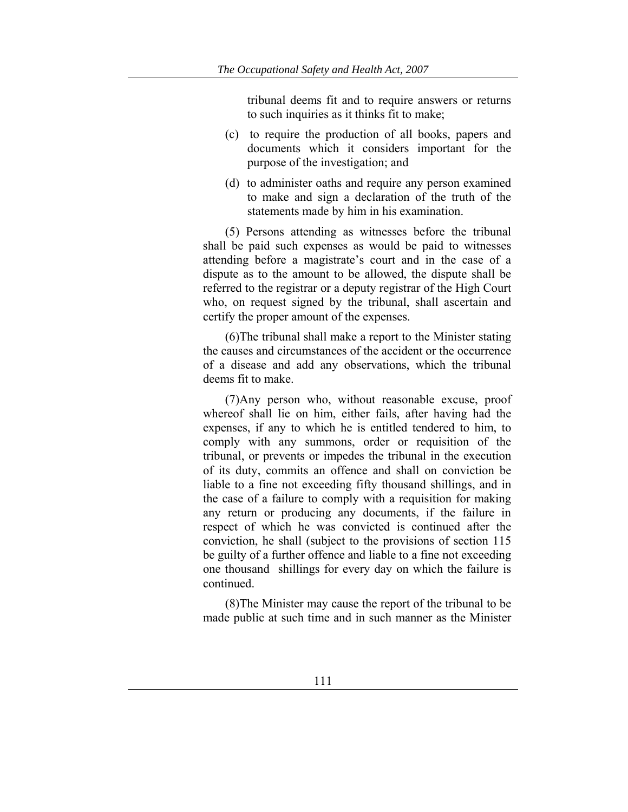tribunal deems fit and to require answers or returns to such inquiries as it thinks fit to make;

- (c) to require the production of all books, papers and documents which it considers important for the purpose of the investigation; and
- (d) to administer oaths and require any person examined to make and sign a declaration of the truth of the statements made by him in his examination.

(5) Persons attending as witnesses before the tribunal shall be paid such expenses as would be paid to witnesses attending before a magistrate's court and in the case of a dispute as to the amount to be allowed, the dispute shall be referred to the registrar or a deputy registrar of the High Court who, on request signed by the tribunal, shall ascertain and certify the proper amount of the expenses.

(6)The tribunal shall make a report to the Minister stating the causes and circumstances of the accident or the occurrence of a disease and add any observations, which the tribunal deems fit to make.

(7)Any person who, without reasonable excuse, proof whereof shall lie on him, either fails, after having had the expenses, if any to which he is entitled tendered to him, to comply with any summons, order or requisition of the tribunal, or prevents or impedes the tribunal in the execution of its duty, commits an offence and shall on conviction be liable to a fine not exceeding fifty thousand shillings, and in the case of a failure to comply with a requisition for making any return or producing any documents, if the failure in respect of which he was convicted is continued after the conviction, he shall (subject to the provisions of section 115 be guilty of a further offence and liable to a fine not exceeding one thousand shillings for every day on which the failure is continued.

(8)The Minister may cause the report of the tribunal to be made public at such time and in such manner as the Minister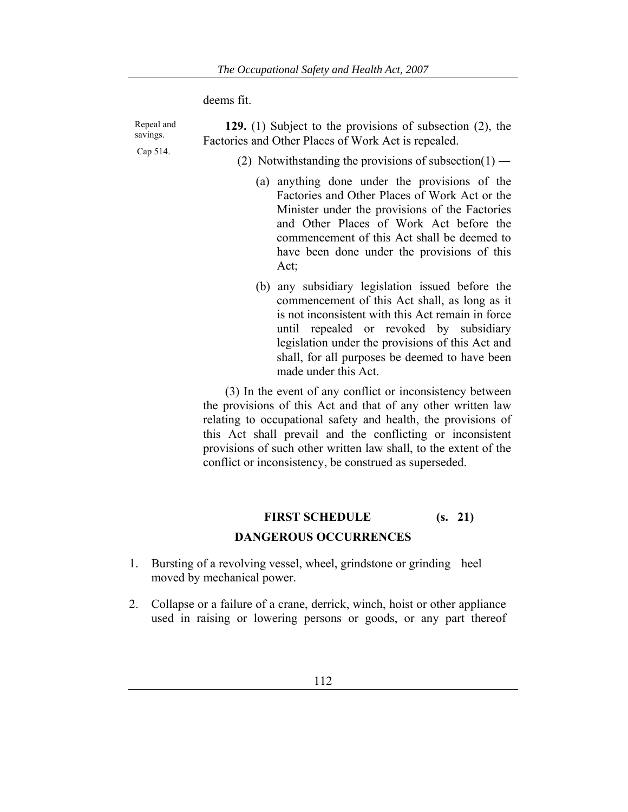deems fit.

| Repeal and<br>savings. | 129. $(1)$ Subject to the provisions of subsection $(2)$ , the<br>Factories and Other Places of Work Act is repealed.                                                                                                                                                                                                                                                                  |  |  |  |  |
|------------------------|----------------------------------------------------------------------------------------------------------------------------------------------------------------------------------------------------------------------------------------------------------------------------------------------------------------------------------------------------------------------------------------|--|--|--|--|
| Cap 514.               | (2) Notwithstanding the provisions of subsection(1) —                                                                                                                                                                                                                                                                                                                                  |  |  |  |  |
|                        | (a) anything done under the provisions of the<br>Factories and Other Places of Work Act or the<br>Minister under the provisions of the Factories<br>and Other Places of Work Act before the<br>commencement of this Act shall be deemed to<br>have been done under the provisions of this<br>Act;                                                                                      |  |  |  |  |
|                        | (b) any subsidiary legislation issued before the<br>commencement of this Act shall, as long as it<br>is not inconsistent with this Act remain in force<br>until repealed or revoked by subsidiary<br>legislation under the provisions of this Act and<br>shall, for all purposes be deemed to have been<br>made under this Act.                                                        |  |  |  |  |
|                        | (3) In the event of any conflict or inconsistency between<br>the provisions of this Act and that of any other written law<br>relating to occupational safety and health, the provisions of<br>this Act shall prevail and the conflicting or inconsistent<br>provisions of such other written law shall, to the extent of the<br>conflict or inconsistency, be construed as superseded. |  |  |  |  |

# **FIRST SCHEDULE (s. 21) DANGEROUS OCCURRENCES**

- 1. Bursting of a revolving vessel, wheel, grindstone or grinding heel moved by mechanical power.
- 2. Collapse or a failure of a crane, derrick, winch, hoist or other appliance used in raising or lowering persons or goods, or any part thereof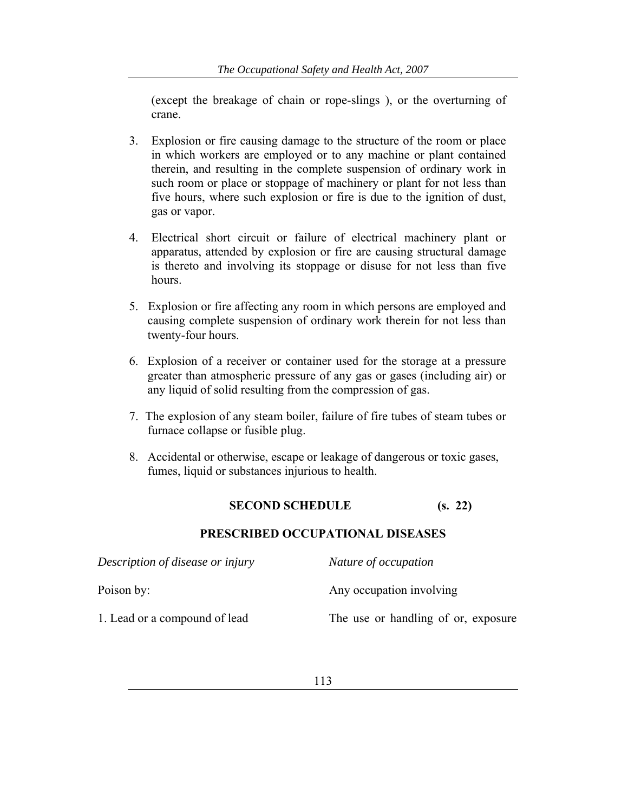(except the breakage of chain or rope-slings ), or the overturning of crane.

- 3. Explosion or fire causing damage to the structure of the room or place in which workers are employed or to any machine or plant contained therein, and resulting in the complete suspension of ordinary work in such room or place or stoppage of machinery or plant for not less than five hours, where such explosion or fire is due to the ignition of dust, gas or vapor.
- 4. Electrical short circuit or failure of electrical machinery plant or apparatus, attended by explosion or fire are causing structural damage is thereto and involving its stoppage or disuse for not less than five hours.
- 5. Explosion or fire affecting any room in which persons are employed and causing complete suspension of ordinary work therein for not less than twenty-four hours.
- 6. Explosion of a receiver or container used for the storage at a pressure greater than atmospheric pressure of any gas or gases (including air) or any liquid of solid resulting from the compression of gas.
- 7. The explosion of any steam boiler, failure of fire tubes of steam tubes or furnace collapse or fusible plug.
- 8. Accidental or otherwise, escape or leakage of dangerous or toxic gases, fumes, liquid or substances injurious to health.

## **SECOND SCHEDULE (s. 22)**

#### **PRESCRIBED OCCUPATIONAL DISEASES**

| Description of disease or injury | Nature of occupation                |  |
|----------------------------------|-------------------------------------|--|
| Poison by:                       | Any occupation involving            |  |
| 1. Lead or a compound of lead    | The use or handling of or, exposure |  |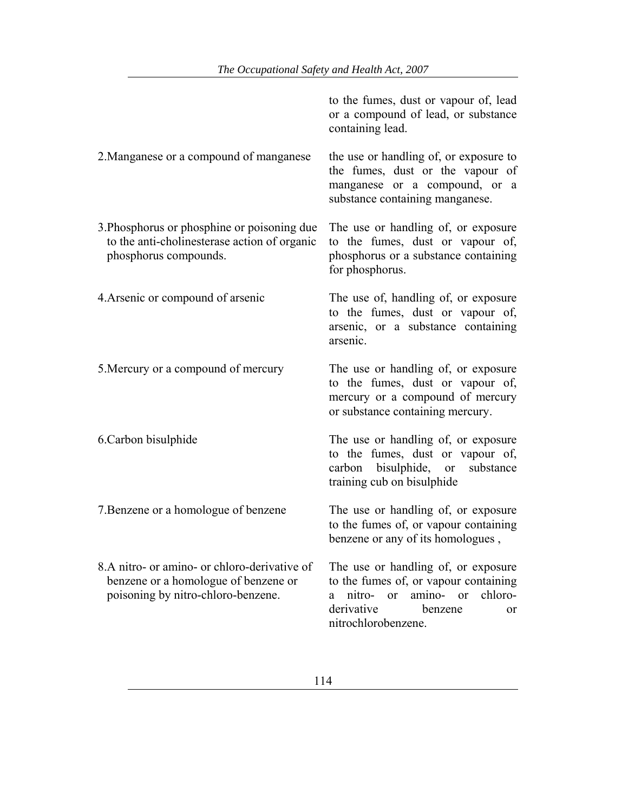|                                                                                                                            | to the fumes, dust or vapour of, lead<br>or a compound of lead, or substance<br>containing lead.                                                                          |
|----------------------------------------------------------------------------------------------------------------------------|---------------------------------------------------------------------------------------------------------------------------------------------------------------------------|
| 2. Manganese or a compound of manganese                                                                                    | the use or handling of, or exposure to<br>the fumes, dust or the vapour of<br>manganese or a compound, or a<br>substance containing manganese.                            |
| 3. Phosphorus or phosphine or poisoning due<br>to the anti-cholinesterase action of organic<br>phosphorus compounds.       | The use or handling of, or exposure<br>to the fumes, dust or vapour of,<br>phosphorus or a substance containing<br>for phosphorus.                                        |
| 4. Arsenic or compound of arsenic                                                                                          | The use of, handling of, or exposure<br>to the fumes, dust or vapour of,<br>arsenic, or a substance containing<br>arsenic.                                                |
| 5. Mercury or a compound of mercury                                                                                        | The use or handling of, or exposure<br>to the fumes, dust or vapour of,<br>mercury or a compound of mercury<br>or substance containing mercury.                           |
| 6. Carbon bisulphide                                                                                                       | The use or handling of, or exposure<br>to the fumes, dust or vapour of,<br>carbon bisulphide, or<br>substance<br>training cub on bisulphide                               |
| 7. Benzene or a homologue of benzene                                                                                       | The use or handling of, or exposure<br>to the fumes of, or vapour containing<br>benzene or any of its homologues,                                                         |
| 8.A nitro- or amino- or chloro-derivative of<br>benzene or a homologue of benzene or<br>poisoning by nitro-chloro-benzene. | The use or handling of, or exposure<br>to the fumes of, or vapour containing<br>nitro- or amino- or<br>chloro-<br>a<br>derivative<br>benzene<br>or<br>nitrochlorobenzene. |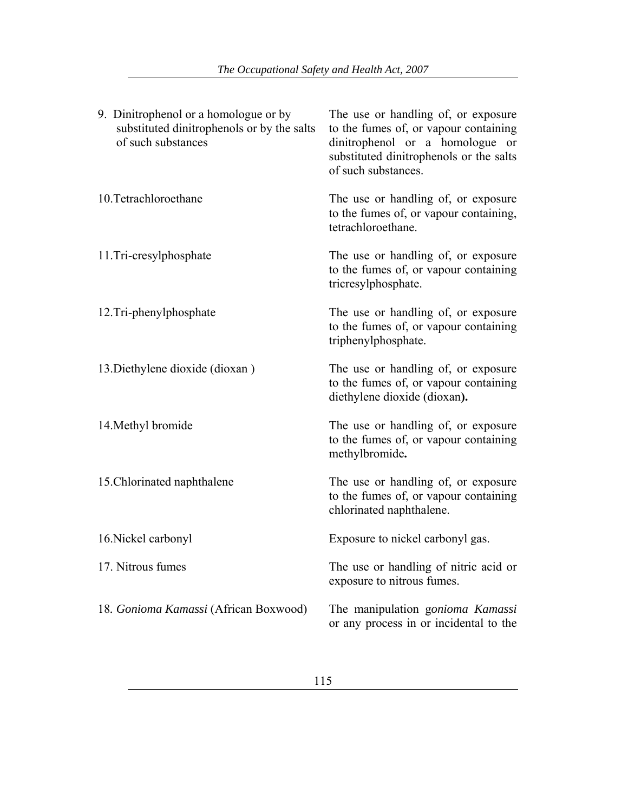| 9. Dinitrophenol or a homologue or by<br>substituted dinitrophenols or by the salts<br>of such substances | The use or handling of, or exposure<br>to the fumes of, or vapour containing<br>dinitrophenol or a homologue or<br>substituted dinitrophenols or the salts<br>of such substances. |
|-----------------------------------------------------------------------------------------------------------|-----------------------------------------------------------------------------------------------------------------------------------------------------------------------------------|
| 10. Tetrachloroethane                                                                                     | The use or handling of, or exposure<br>to the fumes of, or vapour containing,<br>tetrachloroethane.                                                                               |
| 11.Tri-cresylphosphate                                                                                    | The use or handling of, or exposure<br>to the fumes of, or vapour containing<br>tricresylphosphate.                                                                               |
| 12.Tri-phenylphosphate                                                                                    | The use or handling of, or exposure<br>to the fumes of, or vapour containing<br>triphenylphosphate.                                                                               |
| 13. Diethylene dioxide (dioxan)                                                                           | The use or handling of, or exposure<br>to the fumes of, or vapour containing<br>diethylene dioxide (dioxan).                                                                      |
| 14. Methyl bromide                                                                                        | The use or handling of, or exposure<br>to the fumes of, or vapour containing<br>methylbromide.                                                                                    |
| 15. Chlorinated naphthalene                                                                               | The use or handling of, or exposure<br>to the fumes of, or vapour containing<br>chlorinated naphthalene.                                                                          |
| 16. Nickel carbonyl                                                                                       | Exposure to nickel carbonyl gas.                                                                                                                                                  |
| 17. Nitrous fumes                                                                                         | The use or handling of nitric acid or<br>exposure to nitrous fumes.                                                                                                               |
| 18. Gonioma Kamassi (African Boxwood)                                                                     | The manipulation gonioma Kamassi<br>or any process in or incidental to the                                                                                                        |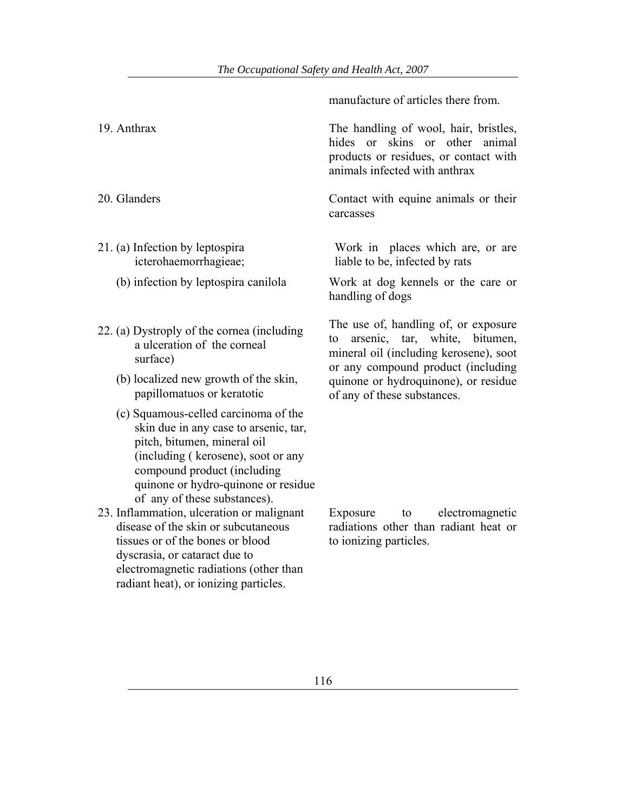manufacture of articles there from.

| 19. Anthrax                                                                                                                                                                                                                                              | The handling of wool, hair, bristles,<br>hides or skins or other<br>animal<br>products or residues, or contact with<br>animals infected with anthrax        |
|----------------------------------------------------------------------------------------------------------------------------------------------------------------------------------------------------------------------------------------------------------|-------------------------------------------------------------------------------------------------------------------------------------------------------------|
| 20. Glanders                                                                                                                                                                                                                                             | Contact with equine animals or their<br>carcasses                                                                                                           |
| 21. (a) Infection by leptospira<br>icterohaemorrhagieae;                                                                                                                                                                                                 | Work in places which are, or are<br>liable to be, infected by rats                                                                                          |
| (b) infection by leptospira canilola                                                                                                                                                                                                                     | Work at dog kennels or the care or<br>handling of dogs                                                                                                      |
| 22. (a) Dystroply of the cornea (including<br>a ulceration of the corneal<br>surface)                                                                                                                                                                    | The use of, handling of, or exposure<br>arsenic, tar, white, bitumen,<br>to<br>mineral oil (including kerosene), soot<br>or any compound product (including |
| (b) localized new growth of the skin,<br>papillomatuos or keratotic                                                                                                                                                                                      | quinone or hydroquinone), or residue<br>of any of these substances.                                                                                         |
| (c) Squamous-celled carcinoma of the<br>skin due in any case to arsenic, tar,<br>pitch, bitumen, mineral oil<br>(including (kerosene), soot or any<br>compound product (including<br>quinone or hydro-quinone or residue<br>of any of these substances). |                                                                                                                                                             |
| 23. Inflammation, ulceration or malignant<br>disease of the skin or subcutaneous<br>tissues or of the bones or blood<br>dyscrasia, or cataract due to                                                                                                    | Exposure<br>electromagnetic<br>to<br>radiations other than radiant heat or<br>to ionizing particles.                                                        |

electromagnetic radiations (other than radiant heat), or ionizing particles.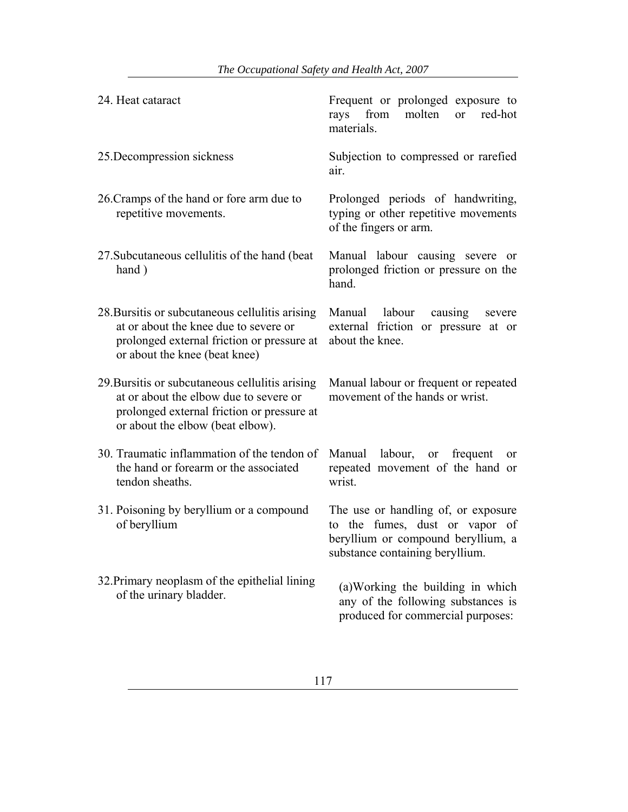| 24. Heat cataract                                                                                                                                                           | Frequent or prolonged exposure to<br>from<br>molten<br>red-hot<br>rays<br><sub>or</sub><br>materials.                                          |
|-----------------------------------------------------------------------------------------------------------------------------------------------------------------------------|------------------------------------------------------------------------------------------------------------------------------------------------|
| 25. Decompression sickness                                                                                                                                                  | Subjection to compressed or rarefied<br>air.                                                                                                   |
| 26. Cramps of the hand or fore arm due to<br>repetitive movements.                                                                                                          | Prolonged periods of handwriting,<br>typing or other repetitive movements<br>of the fingers or arm.                                            |
| 27. Subcutaneous cellulitis of the hand (beat)<br>hand)                                                                                                                     | Manual labour causing severe or<br>prolonged friction or pressure on the<br>hand.                                                              |
| 28. Bursitis or subcutaneous cellulitis arising<br>at or about the knee due to severe or<br>prolonged external friction or pressure at<br>or about the knee (beat knee)     | Manual labour<br>causing<br>severe<br>external friction or pressure at or<br>about the knee.                                                   |
| 29. Bursitis or subcutaneous cellulitis arising<br>at or about the elbow due to severe or<br>prolonged external friction or pressure at<br>or about the elbow (beat elbow). | Manual labour or frequent or repeated<br>movement of the hands or wrist.                                                                       |
| 30. Traumatic inflammation of the tendon of<br>the hand or forearm or the associated<br>tendon sheaths.                                                                     | Manual labour, or<br>frequent<br>or<br>repeated movement of the hand or<br>wrist.                                                              |
| 31. Poisoning by beryllium or a compound<br>of beryllium                                                                                                                    | The use or handling of, or exposure<br>to the fumes, dust or vapor of<br>beryllium or compound beryllium, a<br>substance containing beryllium. |
| 32. Primary neoplasm of the epithelial lining<br>of the urinary bladder.                                                                                                    | (a) Working the building in which<br>any of the following substances is<br>produced for commercial purposes:                                   |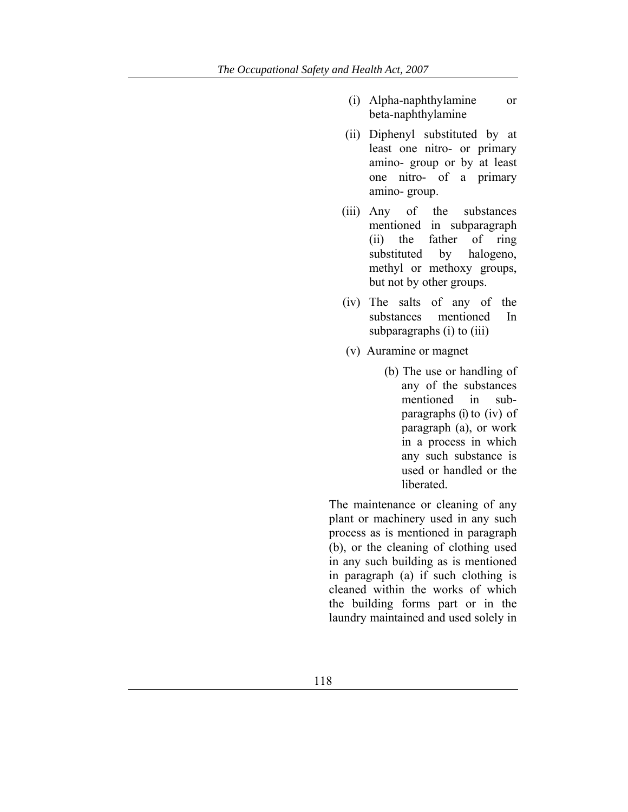- (i) Alpha-naphthylamine or beta-naphthylamine
- (ii) Diphenyl substituted by at least one nitro- or primary amino- group or by at least one nitro- of a primary amino- group.
- (iii) Any of the substances mentioned in subparagraph (ii) the father of ring substituted by halogeno, methyl or methoxy groups, but not by other groups.
- (iv) The salts of any of the substances mentioned In subparagraphs (i) to (iii)
- (v) Auramine or magnet
	- (b) The use or handling of any of the substances mentioned in subparagraphs (i) to (iv) of paragraph (a), or work in a process in which any such substance is used or handled or the liberated.

The maintenance or cleaning of any plant or machinery used in any such process as is mentioned in paragraph (b), or the cleaning of clothing used in any such building as is mentioned in paragraph (a) if such clothing is cleaned within the works of which the building forms part or in the laundry maintained and used solely in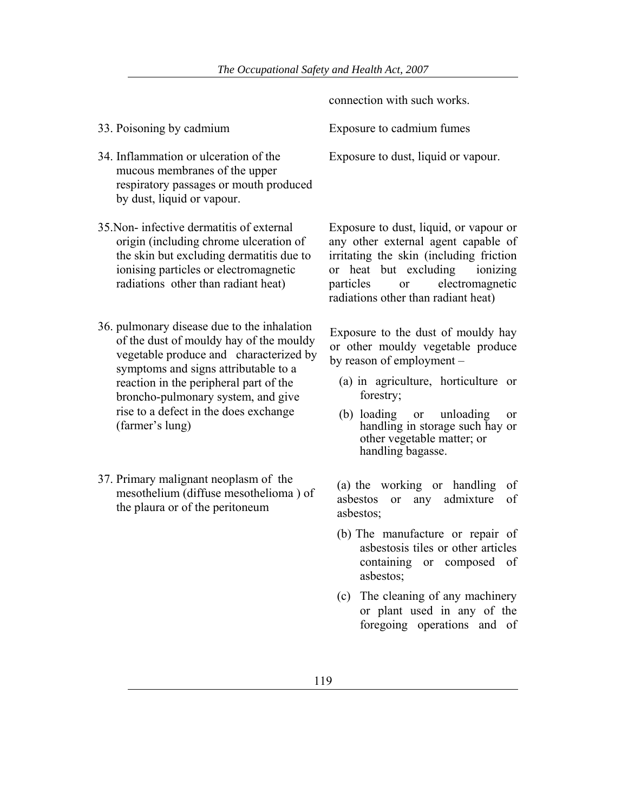- 34. Inflammation or ulceration of the mucous membranes of the upper respiratory passages or mouth produced by dust, liquid or vapour.
- 35.Non- infective dermatitis of external origin (including chrome ulceration of the skin but excluding dermatitis due to ionising particles or electromagnetic radiations other than radiant heat)
- 36. pulmonary disease due to the inhalation of the dust of mouldy hay of the mouldy vegetable produce and characterized by symptoms and signs attributable to a reaction in the peripheral part of the broncho-pulmonary system, and give rise to a defect in the does exchange (farmer's lung)
- 37. Primary malignant neoplasm of the mesothelium (diffuse mesothelioma ) of the plaura or of the peritoneum

connection with such works.

33. Poisoning by cadmium Exposure to cadmium fumes

Exposure to dust, liquid or vapour.

Exposure to dust, liquid, or vapour or any other external agent capable of irritating the skin (including friction or heat but excluding ionizing particles or electromagnetic radiations other than radiant heat)

Exposure to the dust of mouldy hay or other mouldy vegetable produce by reason of employment –

- (a) in agriculture, horticulture or forestry;
- (b) loading or unloading or handling in storage such hay or other vegetable matter; or handling bagasse.

(a) the working or handling of asbestos or any admixture of asbestos;

- (b) The manufacture or repair of asbestosis tiles or other articles containing or composed of asbestos;
- (c) The cleaning of any machinery or plant used in any of the foregoing operations and of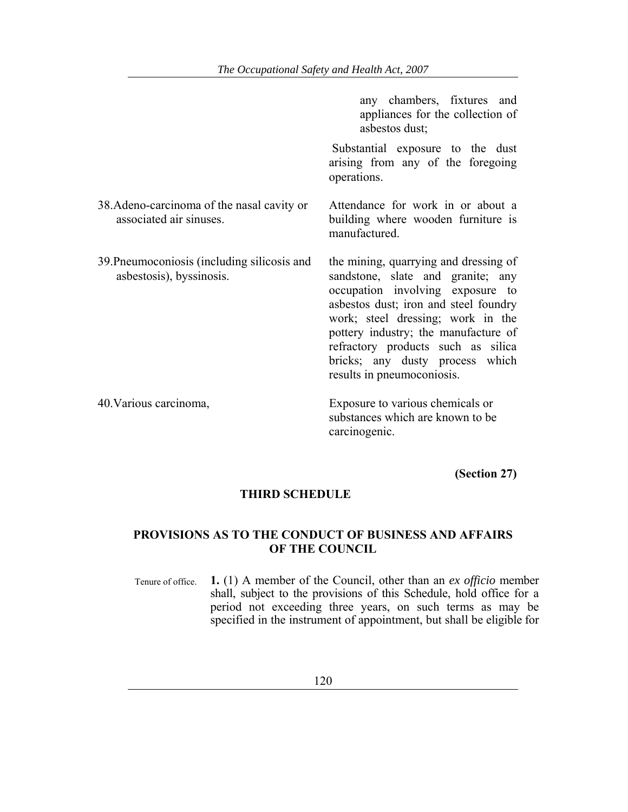any chambers, fixtures and appliances for the collection of asbestos dust;

 Substantial exposure to the dust arising from any of the foregoing operations.

Attendance for work in or about a building where wooden furniture is

manufactured.

- 38.Adeno-carcinoma of the nasal cavity or associated air sinuses.
- 39.Pneumoconiosis (including silicosis and asbestosis), byssinosis.

the mining, quarrying and dressing of sandstone, slate and granite; any occupation involving exposure to asbestos dust; iron and steel foundry work; steel dressing; work in the pottery industry; the manufacture of refractory products such as silica bricks; any dusty process which results in pneumoconiosis.

40.Various carcinoma, Exposure to various chemicals or substances which are known to be carcinogenic.

**(Section 27)** 

#### **THIRD SCHEDULE**

### **PROVISIONS AS TO THE CONDUCT OF BUSINESS AND AFFAIRS OF THE COUNCIL**

Tenure of office. **1.** (1) A member of the Council, other than an *ex officio* member shall, subject to the provisions of this Schedule, hold office for a period not exceeding three years, on such terms as may be specified in the instrument of appointment, but shall be eligible for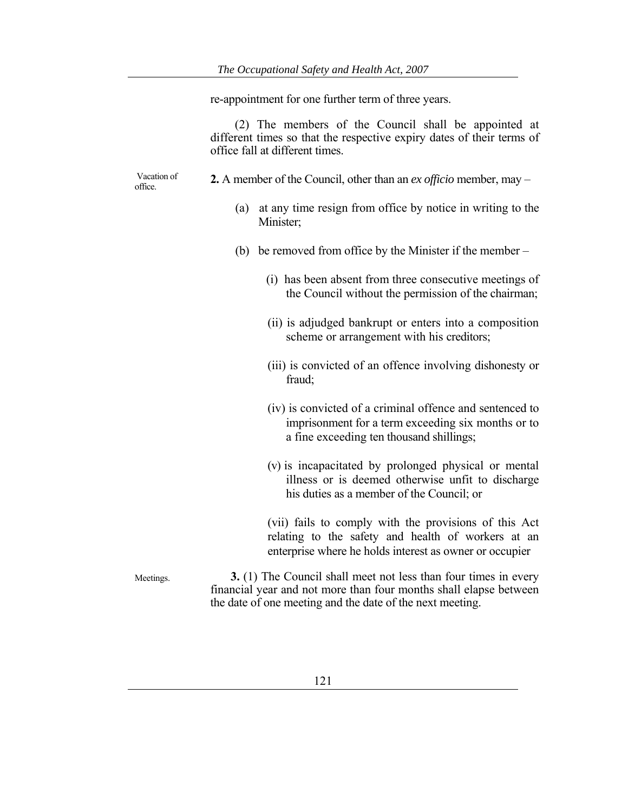re-appointment for one further term of three years.

 (2) The members of the Council shall be appointed at different times so that the respective expiry dates of their terms of office fall at different times.

 Vacation of office.

- **2.** A member of the Council, other than an *ex officio* member, may
	- (a) at any time resign from office by notice in writing to the Minister;
	- (b) be removed from office by the Minister if the member
		- (i) has been absent from three consecutive meetings of the Council without the permission of the chairman;
		- (ii) is adjudged bankrupt or enters into a composition scheme or arrangement with his creditors;
		- (iii) is convicted of an offence involving dishonesty or fraud;
		- (iv) is convicted of a criminal offence and sentenced to imprisonment for a term exceeding six months or to a fine exceeding ten thousand shillings;
		- (v) is incapacitated by prolonged physical or mental illness or is deemed otherwise unfit to discharge his duties as a member of the Council; or

(vii) fails to comply with the provisions of this Act relating to the safety and health of workers at an enterprise where he holds interest as owner or occupier

Meetings. **3.** (1) The Council shall meet not less than four times in every financial year and not more than four months shall elapse between the date of one meeting and the date of the next meeting.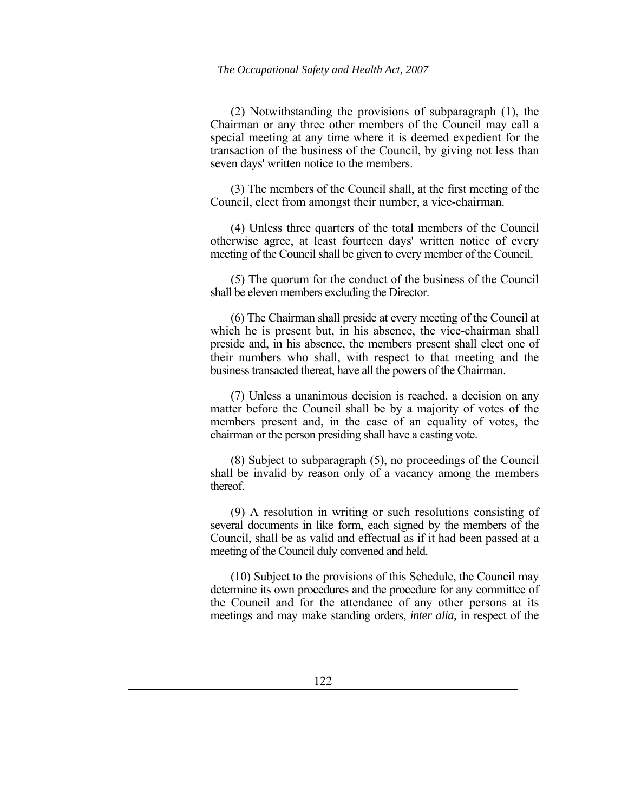(2) Notwithstanding the provisions of subparagraph (1), the Chairman or any three other members of the Council may call a special meeting at any time where it is deemed expedient for the transaction of the business of the Council, by giving not less than seven days' written notice to the members.

(3) The members of the Council shall, at the first meeting of the Council, elect from amongst their number, a vice-chairman.

(4) Unless three quarters of the total members of the Council otherwise agree, at least fourteen days' written notice of every meeting of the Council shall be given to every member of the Council.

(5) The quorum for the conduct of the business of the Council shall be eleven members excluding the Director.

(6) The Chairman shall preside at every meeting of the Council at which he is present but, in his absence, the vice-chairman shall preside and, in his absence, the members present shall elect one of their numbers who shall, with respect to that meeting and the business transacted thereat, have all the powers of the Chairman.

(7) Unless a unanimous decision is reached, a decision on any matter before the Council shall be by a majority of votes of the members present and, in the case of an equality of votes, the chairman or the person presiding shall have a casting vote.

(8) Subject to subparagraph (5), no proceedings of the Council shall be invalid by reason only of a vacancy among the members thereof.

(9) A resolution in writing or such resolutions consisting of several documents in like form, each signed by the members of the Council, shall be as valid and effectual as if it had been passed at a meeting of the Council duly convened and held.

(10) Subject to the provisions of this Schedule, the Council may determine its own procedures and the procedure for any committee of the Council and for the attendance of any other persons at its meetings and may make standing orders, *inter alia,* in respect of the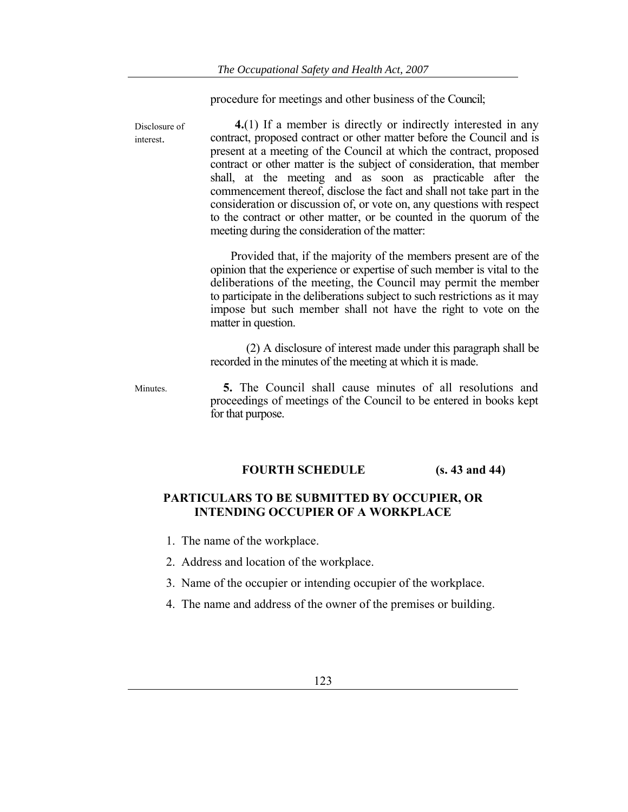procedure for meetings and other business of the Council;

| Disclosure of<br>interest. | $4(1)$ If a member is directly or indirectly interested in any<br>contract, proposed contract or other matter before the Council and is<br>present at a meeting of the Council at which the contract, proposed<br>contract or other matter is the subject of consideration, that member<br>shall, at the meeting and as soon as practicable after the<br>commencement thereof, disclose the fact and shall not take part in the<br>consideration or discussion of, or vote on, any questions with respect<br>to the contract or other matter, or be counted in the quorum of the<br>meeting during the consideration of the matter: |
|----------------------------|-------------------------------------------------------------------------------------------------------------------------------------------------------------------------------------------------------------------------------------------------------------------------------------------------------------------------------------------------------------------------------------------------------------------------------------------------------------------------------------------------------------------------------------------------------------------------------------------------------------------------------------|
|                            | Provided that, if the majority of the members present are of the<br>opinion that the experience or expertise of such member is vital to the<br>deliberations of the meeting, the Council may permit the member<br>to participate in the deliberations subject to such restrictions as it may<br>impose but such member shall not have the right to vote on the<br>matter in question.                                                                                                                                                                                                                                               |
|                            | (2) A disclosure of interest made under this paragraph shall be<br>recorded in the minutes of the meeting at which it is made.                                                                                                                                                                                                                                                                                                                                                                                                                                                                                                      |
| Minutes.                   | <b>5.</b> The Council shall cause minutes of all resolutions and<br>proceedings of meetings of the Council to be entered in books kept<br>for that purpose.                                                                                                                                                                                                                                                                                                                                                                                                                                                                         |

## **FOURTH SCHEDULE (s. 43 and 44)**

## **PARTICULARS TO BE SUBMITTED BY OCCUPIER, OR INTENDING OCCUPIER OF A WORKPLACE**

- 1. The name of the workplace.
- 2. Address and location of the workplace.
- 3. Name of the occupier or intending occupier of the workplace.
- 4. The name and address of the owner of the premises or building.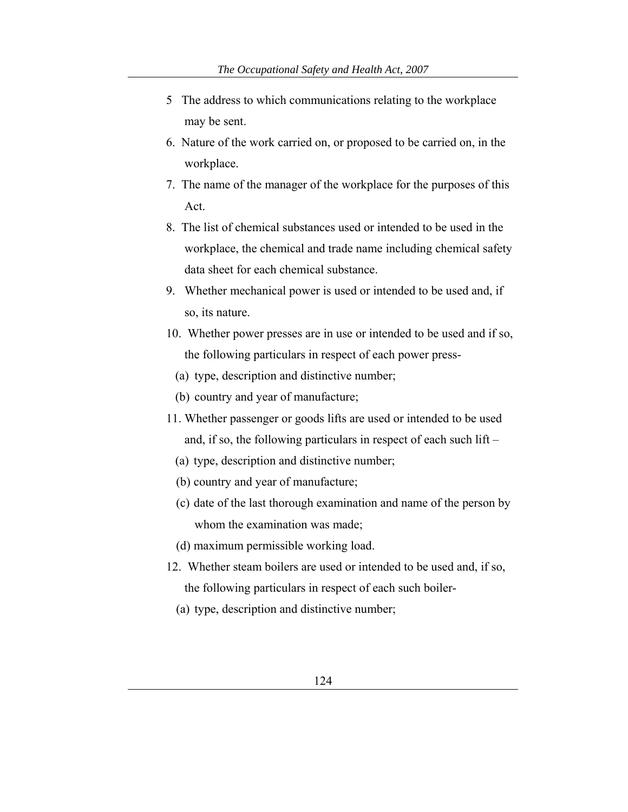- 5 The address to which communications relating to the workplace may be sent.
- 6. Nature of the work carried on, or proposed to be carried on, in the workplace.
- 7. The name of the manager of the workplace for the purposes of this Act.
- 8. The list of chemical substances used or intended to be used in the workplace, the chemical and trade name including chemical safety data sheet for each chemical substance.
- 9. Whether mechanical power is used or intended to be used and, if so, its nature.
- 10. Whether power presses are in use or intended to be used and if so, the following particulars in respect of each power press-
	- (a) type, description and distinctive number;
	- (b) country and year of manufacture;
- 11. Whether passenger or goods lifts are used or intended to be used and, if so, the following particulars in respect of each such lift –
	- (a) type, description and distinctive number;
	- (b) country and year of manufacture;
	- (c) date of the last thorough examination and name of the person by whom the examination was made;
	- (d) maximum permissible working load.
- 12. Whether steam boilers are used or intended to be used and, if so, the following particulars in respect of each such boiler-
	- (a) type, description and distinctive number;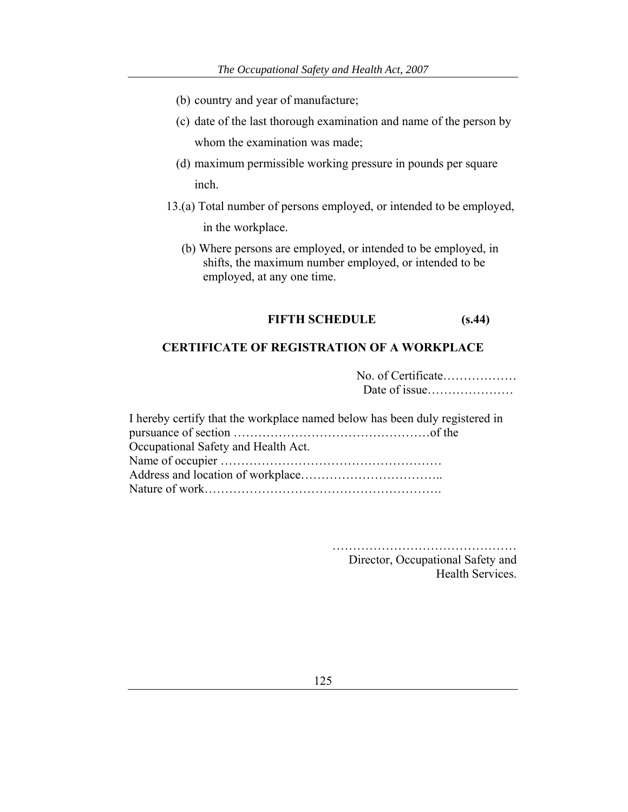- (b) country and year of manufacture;
- (c) date of the last thorough examination and name of the person by whom the examination was made;
- (d) maximum permissible working pressure in pounds per square inch.
- 13.(a) Total number of persons employed, or intended to be employed, in the workplace.
	- (b) Where persons are employed, or intended to be employed, in shifts, the maximum number employed, or intended to be employed, at any one time.

## **FIFTH SCHEDULE (s.44)**

### **CERTIFICATE OF REGISTRATION OF A WORKPLACE**

| No. of Certificate |
|--------------------|
|                    |

| I hereby certify that the workplace named below has been duly registered in |  |
|-----------------------------------------------------------------------------|--|
|                                                                             |  |
| Occupational Safety and Health Act.                                         |  |
|                                                                             |  |
|                                                                             |  |
|                                                                             |  |

…………………………………………… Director, Occupational Safety and Health Services.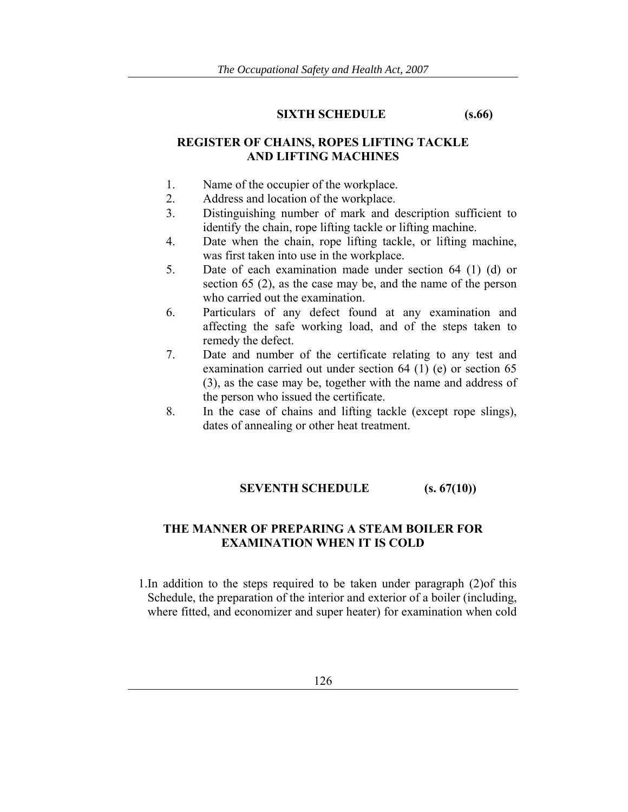#### **SIXTH SCHEDULE (s.66)**

## **REGISTER OF CHAINS, ROPES LIFTING TACKLE AND LIFTING MACHINES**

- 1. Name of the occupier of the workplace.
- 2. Address and location of the workplace.
- 3. Distinguishing number of mark and description sufficient to identify the chain, rope lifting tackle or lifting machine.
- 4. Date when the chain, rope lifting tackle, or lifting machine, was first taken into use in the workplace.
- 5. Date of each examination made under section 64 (1) (d) or section 65 (2), as the case may be, and the name of the person who carried out the examination.
- 6. Particulars of any defect found at any examination and affecting the safe working load, and of the steps taken to remedy the defect.
- 7. Date and number of the certificate relating to any test and examination carried out under section 64 (1) (e) or section 65 (3), as the case may be, together with the name and address of the person who issued the certificate.
- 8. In the case of chains and lifting tackle (except rope slings), dates of annealing or other heat treatment.

## **SEVENTH SCHEDULE** (s. 67(10))

## **THE MANNER OF PREPARING A STEAM BOILER FOR EXAMINATION WHEN IT IS COLD**

1.In addition to the steps required to be taken under paragraph (2)of this Schedule, the preparation of the interior and exterior of a boiler (including, where fitted, and economizer and super heater) for examination when cold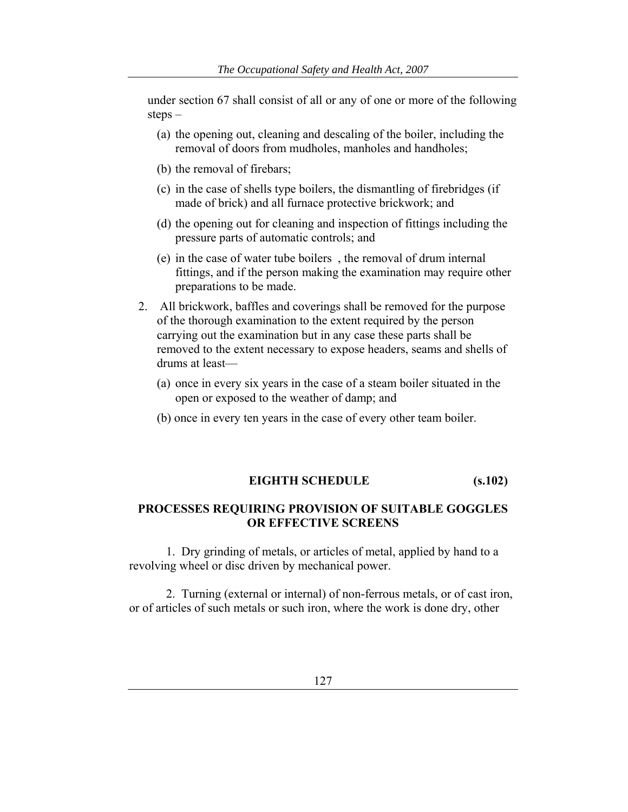under section 67 shall consist of all or any of one or more of the following steps –

- (a) the opening out, cleaning and descaling of the boiler, including the removal of doors from mudholes, manholes and handholes;
- (b) the removal of firebars;
- (c) in the case of shells type boilers, the dismantling of firebridges (if made of brick) and all furnace protective brickwork; and
- (d) the opening out for cleaning and inspection of fittings including the pressure parts of automatic controls; and
- (e) in the case of water tube boilers , the removal of drum internal fittings, and if the person making the examination may require other preparations to be made.
- 2. All brickwork, baffles and coverings shall be removed for the purpose of the thorough examination to the extent required by the person carrying out the examination but in any case these parts shall be removed to the extent necessary to expose headers, seams and shells of drums at least—
	- (a) once in every six years in the case of a steam boiler situated in the open or exposed to the weather of damp; and
	- (b) once in every ten years in the case of every other team boiler.

#### **EIGHTH SCHEDULE (s.102)**

## **PROCESSES REQUIRING PROVISION OF SUITABLE GOGGLES OR EFFECTIVE SCREENS**

 1. Dry grinding of metals, or articles of metal, applied by hand to a revolving wheel or disc driven by mechanical power.

 2. Turning (external or internal) of non-ferrous metals, or of cast iron, or of articles of such metals or such iron, where the work is done dry, other